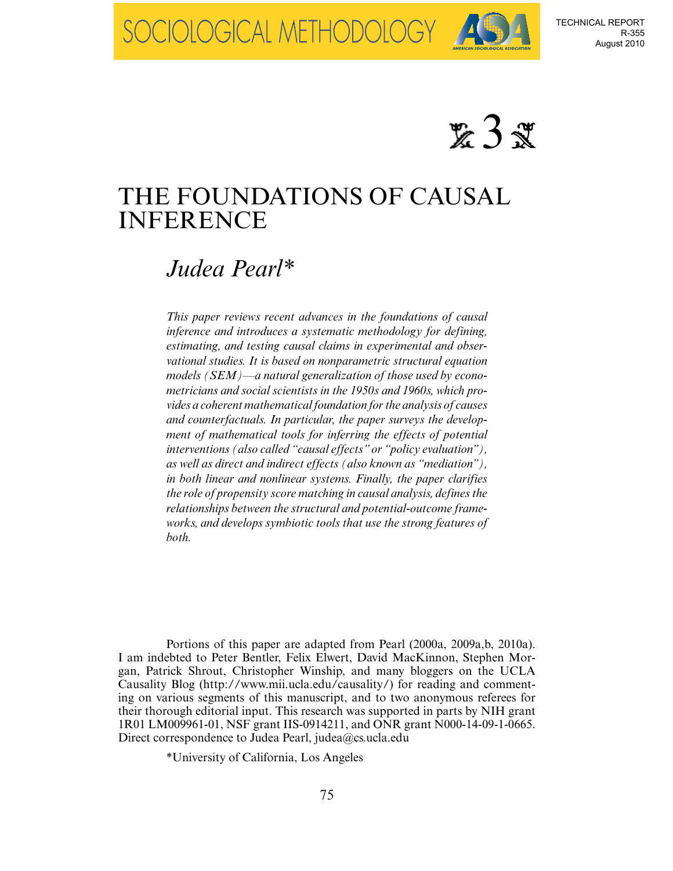OCIOLOGICAL METHODOLOG'





# THE FOUNDATIONS OF CAUSAL INFERENCE

# *Judea Pearl\**

*This paper reviews recent advances in the foundations of causal inference and introduces a systematic methodology for defining, estimating, and testing causal claims in experimental and observational studies. It is based on nonparametric structural equation models (SEM)—a natural generalization of those used by econometricians and social scientists in the 1950s and 1960s, which provides a coherent mathematical foundation for the analysis of causes and counterfactuals. In particular, the paper surveys the development of mathematical tools for inferring the effects of potential interventions (also called "causal effects" or "policy evaluation"), as well as direct and indirect effects (also known as "mediation"), in both linear and nonlinear systems. Finally, the paper clarifies the role of propensity score matching in causal analysis, defines the relationships between the structural and potential-outcome frameworks, and develops symbiotic tools that use the strong features of both.*

Portions of this paper are adapted from Pearl (2000a, 2009a,b, 2010a). I am indebted to Peter Bentler, Felix Elwert, David MacKinnon, Stephen Morgan, Patrick Shrout, Christopher Winship, and many bloggers on the UCLA Causality Blog (http://www.mii.ucla.edu/causality/) for reading and commenting on various segments of this manuscript, and to two anonymous referees for their thorough editorial input. This research was supported in parts by NIH grant 1R01 LM009961-01, NSF grant IIS-0914211, and ONR grant N000-14-09-1-0665. Direct correspondence to Judea Pearl, judea@cs.ucla.edu

\*University of California, Los Angeles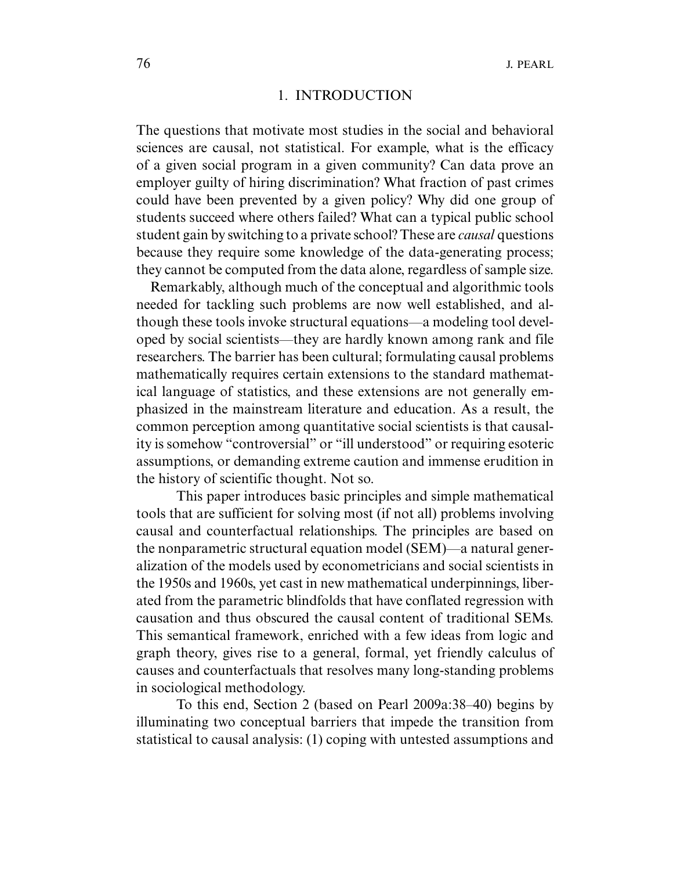#### 1. INTRODUCTION

The questions that motivate most studies in the social and behavioral sciences are causal, not statistical. For example, what is the efficacy of a given social program in a given community? Can data prove an employer guilty of hiring discrimination? What fraction of past crimes could have been prevented by a given policy? Why did one group of students succeed where others failed? What can a typical public school student gain by switching to a private school? These are *causal* questions because they require some knowledge of the data-generating process; they cannot be computed from the data alone, regardless of sample size.

Remarkably, although much of the conceptual and algorithmic tools needed for tackling such problems are now well established, and although these tools invoke structural equations—a modeling tool developed by social scientists—they are hardly known among rank and file researchers. The barrier has been cultural; formulating causal problems mathematically requires certain extensions to the standard mathematical language of statistics, and these extensions are not generally emphasized in the mainstream literature and education. As a result, the common perception among quantitative social scientists is that causality is somehow "controversial" or "ill understood" or requiring esoteric assumptions, or demanding extreme caution and immense erudition in the history of scientific thought. Not so.

This paper introduces basic principles and simple mathematical tools that are sufficient for solving most (if not all) problems involving causal and counterfactual relationships. The principles are based on the nonparametric structural equation model (SEM)—a natural generalization of the models used by econometricians and social scientists in the 1950s and 1960s, yet cast in new mathematical underpinnings, liberated from the parametric blindfolds that have conflated regression with causation and thus obscured the causal content of traditional SEMs. This semantical framework, enriched with a few ideas from logic and graph theory, gives rise to a general, formal, yet friendly calculus of causes and counterfactuals that resolves many long-standing problems in sociological methodology.

To this end, Section 2 (based on Pearl 2009a:38–40) begins by illuminating two conceptual barriers that impede the transition from statistical to causal analysis: (1) coping with untested assumptions and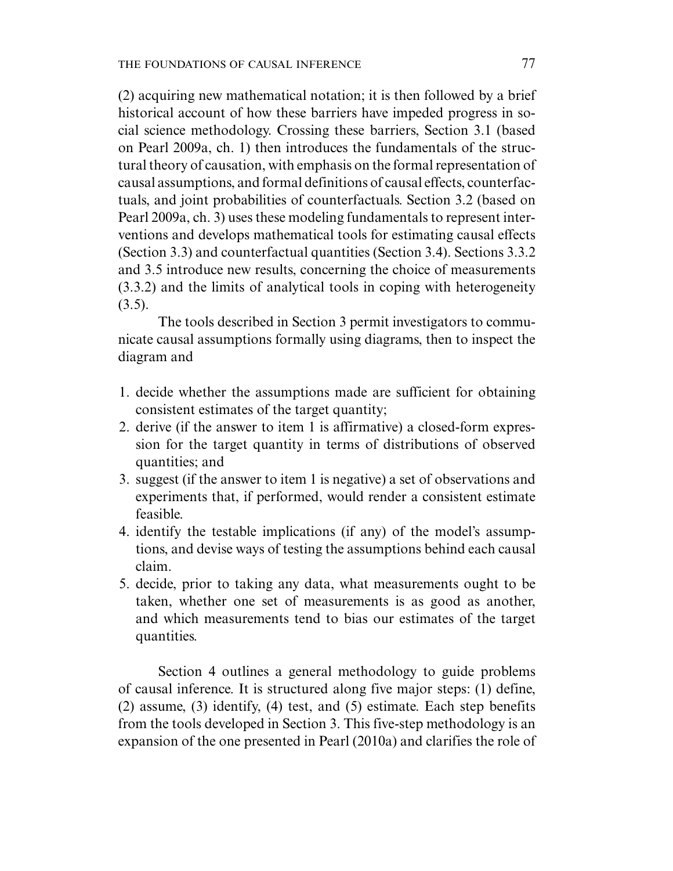(2) acquiring new mathematical notation; it is then followed by a brief historical account of how these barriers have impeded progress in social science methodology. Crossing these barriers, Section 3.1 (based on Pearl 2009a, ch. 1) then introduces the fundamentals of the structural theory of causation, with emphasis on the formal representation of causal assumptions, and formal definitions of causal effects, counterfactuals, and joint probabilities of counterfactuals. Section 3.2 (based on Pearl 2009a, ch. 3) uses these modeling fundamentals to represent interventions and develops mathematical tools for estimating causal effects (Section 3.3) and counterfactual quantities (Section 3.4). Sections 3.3.2 and 3.5 introduce new results, concerning the choice of measurements (3.3.2) and the limits of analytical tools in coping with heterogeneity  $(3.5).$ 

The tools described in Section 3 permit investigators to communicate causal assumptions formally using diagrams, then to inspect the diagram and

- 1. decide whether the assumptions made are sufficient for obtaining consistent estimates of the target quantity;
- 2. derive (if the answer to item 1 is affirmative) a closed-form expression for the target quantity in terms of distributions of observed quantities; and
- 3. suggest (if the answer to item 1 is negative) a set of observations and experiments that, if performed, would render a consistent estimate feasible.
- 4. identify the testable implications (if any) of the model's assumptions, and devise ways of testing the assumptions behind each causal claim.
- 5. decide, prior to taking any data, what measurements ought to be taken, whether one set of measurements is as good as another, and which measurements tend to bias our estimates of the target quantities.

Section 4 outlines a general methodology to guide problems of causal inference. It is structured along five major steps: (1) define, (2) assume, (3) identify, (4) test, and (5) estimate. Each step benefits from the tools developed in Section 3. This five-step methodology is an expansion of the one presented in Pearl (2010a) and clarifies the role of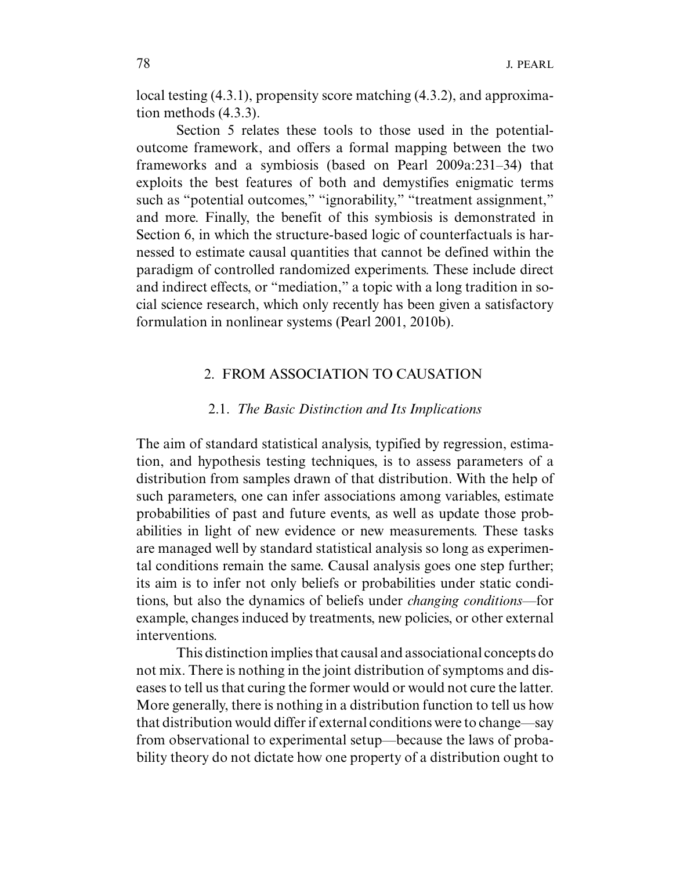local testing (4.3.1), propensity score matching (4.3.2), and approximation methods (4.3.3).

Section 5 relates these tools to those used in the potentialoutcome framework, and offers a formal mapping between the two frameworks and a symbiosis (based on Pearl 2009a:231–34) that exploits the best features of both and demystifies enigmatic terms such as "potential outcomes," "ignorability," "treatment assignment," and more. Finally, the benefit of this symbiosis is demonstrated in Section 6, in which the structure-based logic of counterfactuals is harnessed to estimate causal quantities that cannot be defined within the paradigm of controlled randomized experiments. These include direct and indirect effects, or "mediation," a topic with a long tradition in social science research, which only recently has been given a satisfactory formulation in nonlinear systems (Pearl 2001, 2010b).

#### 2. FROM ASSOCIATION TO CAUSATION

#### 2.1. *The Basic Distinction and Its Implications*

The aim of standard statistical analysis, typified by regression, estimation, and hypothesis testing techniques, is to assess parameters of a distribution from samples drawn of that distribution. With the help of such parameters, one can infer associations among variables, estimate probabilities of past and future events, as well as update those probabilities in light of new evidence or new measurements. These tasks are managed well by standard statistical analysis so long as experimental conditions remain the same. Causal analysis goes one step further; its aim is to infer not only beliefs or probabilities under static conditions, but also the dynamics of beliefs under *changing conditions*—for example, changes induced by treatments, new policies, or other external interventions.

This distinction implies that causal and associational concepts do not mix. There is nothing in the joint distribution of symptoms and diseases to tell us that curing the former would or would not cure the latter. More generally, there is nothing in a distribution function to tell us how that distribution would differ if external conditions were to change—say from observational to experimental setup—because the laws of probability theory do not dictate how one property of a distribution ought to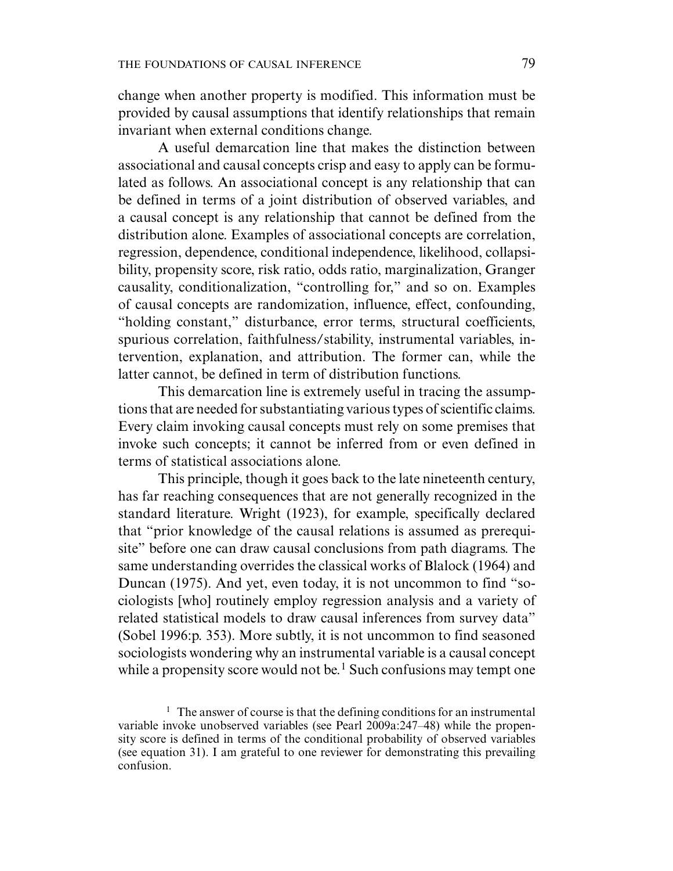change when another property is modified. This information must be provided by causal assumptions that identify relationships that remain invariant when external conditions change.

A useful demarcation line that makes the distinction between associational and causal concepts crisp and easy to apply can be formulated as follows. An associational concept is any relationship that can be defined in terms of a joint distribution of observed variables, and a causal concept is any relationship that cannot be defined from the distribution alone. Examples of associational concepts are correlation, regression, dependence, conditional independence, likelihood, collapsibility, propensity score, risk ratio, odds ratio, marginalization, Granger causality, conditionalization, "controlling for," and so on. Examples of causal concepts are randomization, influence, effect, confounding, "holding constant," disturbance, error terms, structural coefficients, spurious correlation, faithfulness/stability, instrumental variables, intervention, explanation, and attribution. The former can, while the latter cannot, be defined in term of distribution functions.

This demarcation line is extremely useful in tracing the assumptions that are needed for substantiating various types of scientific claims. Every claim invoking causal concepts must rely on some premises that invoke such concepts; it cannot be inferred from or even defined in terms of statistical associations alone.

This principle, though it goes back to the late nineteenth century, has far reaching consequences that are not generally recognized in the standard literature. Wright (1923), for example, specifically declared that "prior knowledge of the causal relations is assumed as prerequisite" before one can draw causal conclusions from path diagrams. The same understanding overrides the classical works of Blalock (1964) and Duncan (1975). And yet, even today, it is not uncommon to find "sociologists [who] routinely employ regression analysis and a variety of related statistical models to draw causal inferences from survey data" (Sobel 1996:p. 353). More subtly, it is not uncommon to find seasoned sociologists wondering why an instrumental variable is a causal concept while a propensity score would not be.<sup>1</sup> Such confusions may tempt one

 $1$  The answer of course is that the defining conditions for an instrumental variable invoke unobserved variables (see Pearl 2009a:247–48) while the propensity score is defined in terms of the conditional probability of observed variables (see equation 31). I am grateful to one reviewer for demonstrating this prevailing confusion.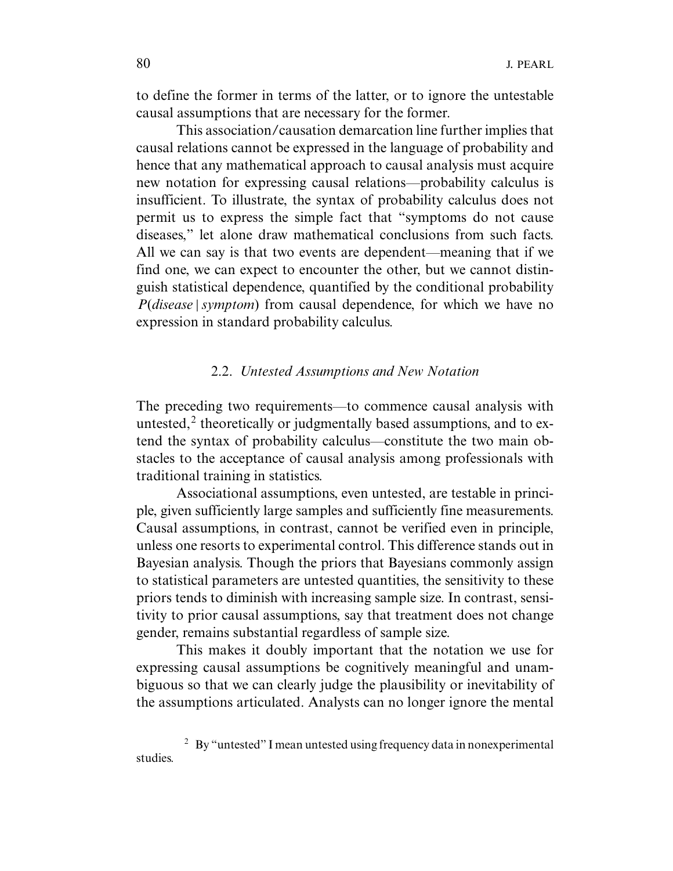to define the former in terms of the latter, or to ignore the untestable causal assumptions that are necessary for the former.

This association/causation demarcation line further implies that causal relations cannot be expressed in the language of probability and hence that any mathematical approach to causal analysis must acquire new notation for expressing causal relations—probability calculus is insufficient. To illustrate, the syntax of probability calculus does not permit us to express the simple fact that "symptoms do not cause diseases," let alone draw mathematical conclusions from such facts. All we can say is that two events are dependent—meaning that if we find one, we can expect to encounter the other, but we cannot distinguish statistical dependence, quantified by the conditional probability *P*(*disease* |*symptom*) from causal dependence, for which we have no expression in standard probability calculus.

## 2.2. *Untested Assumptions and New Notation*

The preceding two requirements—to commence causal analysis with untested, $2$  theoretically or judgmentally based assumptions, and to extend the syntax of probability calculus—constitute the two main obstacles to the acceptance of causal analysis among professionals with traditional training in statistics.

Associational assumptions, even untested, are testable in principle, given sufficiently large samples and sufficiently fine measurements. Causal assumptions, in contrast, cannot be verified even in principle, unless one resorts to experimental control. This difference stands out in Bayesian analysis. Though the priors that Bayesians commonly assign to statistical parameters are untested quantities, the sensitivity to these priors tends to diminish with increasing sample size. In contrast, sensitivity to prior causal assumptions, say that treatment does not change gender, remains substantial regardless of sample size.

This makes it doubly important that the notation we use for expressing causal assumptions be cognitively meaningful and unambiguous so that we can clearly judge the plausibility or inevitability of the assumptions articulated. Analysts can no longer ignore the mental

<sup>&</sup>lt;sup>2</sup> By "untested" I mean untested using frequency data in nonexperimental studies.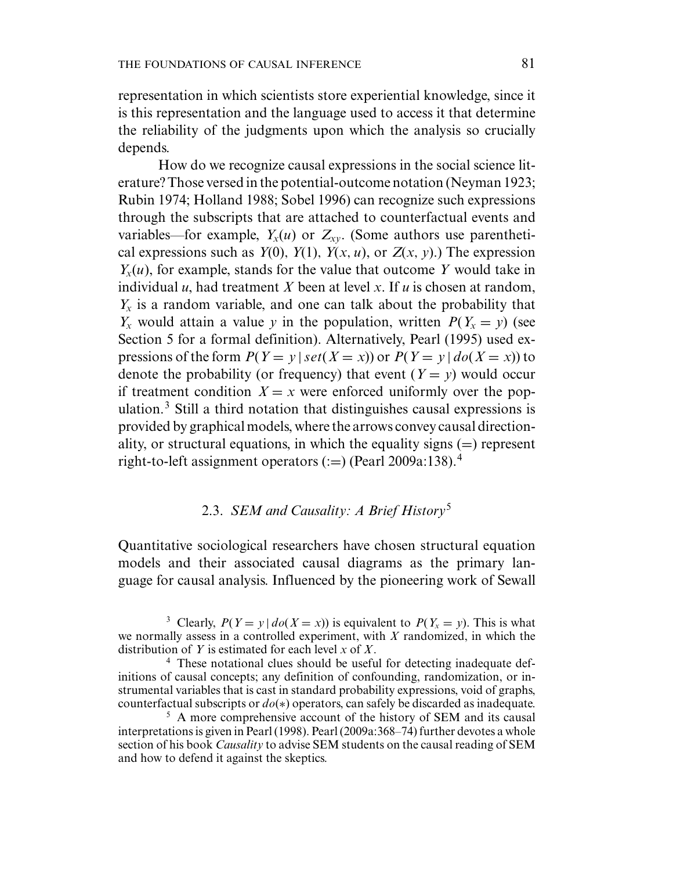representation in which scientists store experiential knowledge, since it is this representation and the language used to access it that determine the reliability of the judgments upon which the analysis so crucially depends.

How do we recognize causal expressions in the social science literature? Those versed in the potential-outcome notation (Neyman 1923; Rubin 1974; Holland 1988; Sobel 1996) can recognize such expressions through the subscripts that are attached to counterfactual events and variables—for example,  $Y_x(u)$  or  $Z_{xy}$ . (Some authors use parenthetical expressions such as  $Y(0)$ ,  $Y(1)$ ,  $Y(x, u)$ , or  $Z(x, y)$ .) The expression  $Y_x(u)$ , for example, stands for the value that outcome *Y* would take in individual *u*, had treatment *X* been at level *x*. If *u* is chosen at random,  $Y_x$  is a random variable, and one can talk about the probability that *Y<sub>x</sub>* would attain a value *y* in the population, written  $P(Y_x = y)$  (see Section 5 for a formal definition). Alternatively, Pearl (1995) used expressions of the form  $P(Y = y \mid set(X = x))$  or  $P(Y = y \mid do(X = x))$  to denote the probability (or frequency) that event  $(Y = y)$  would occur if treatment condition  $X = x$  were enforced uniformly over the population.<sup>3</sup> Still a third notation that distinguishes causal expressions is provided by graphical models, where the arrows convey causal directionality, or structural equations, in which the equality signs  $(=)$  represent right-to-left assignment operators (:=) (Pearl 2009a:138).<sup>4</sup>

# 2.3. *SEM and Causality: A Brief History*<sup>5</sup>

Quantitative sociological researchers have chosen structural equation models and their associated causal diagrams as the primary language for causal analysis. Influenced by the pioneering work of Sewall

<sup>3</sup> Clearly,  $P(Y = y | do(X = x))$  is equivalent to  $P(Y_x = y)$ . This is what we normally assess in a controlled experiment, with *X* randomized, in which the distribution of *Y* is estimated for each level *x* of *X*.

<sup>4</sup> These notational clues should be useful for detecting inadequate definitions of causal concepts; any definition of confounding, randomization, or instrumental variables that is cast in standard probability expressions, void of graphs, counterfactual subscripts or *do*(∗) operators, can safely be discarded as inadequate.

<sup>5</sup> A more comprehensive account of the history of SEM and its causal interpretations is given in Pearl (1998). Pearl (2009a:368–74) further devotes a whole section of his book *Causality* to advise SEM students on the causal reading of SEM and how to defend it against the skeptics.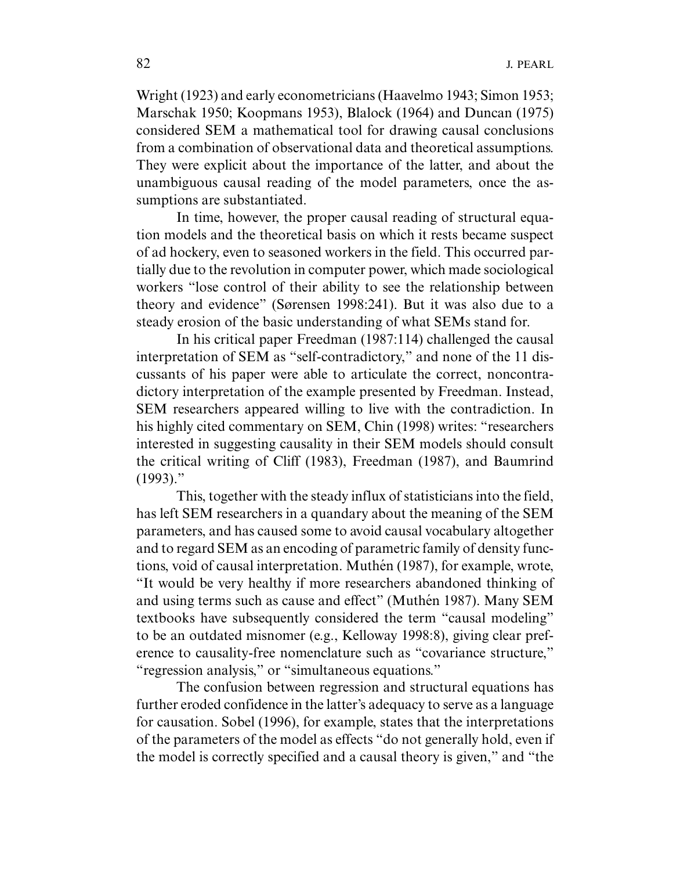Wright (1923) and early econometricians (Haavelmo 1943; Simon 1953; Marschak 1950; Koopmans 1953), Blalock (1964) and Duncan (1975) considered SEM a mathematical tool for drawing causal conclusions from a combination of observational data and theoretical assumptions. They were explicit about the importance of the latter, and about the unambiguous causal reading of the model parameters, once the assumptions are substantiated.

In time, however, the proper causal reading of structural equation models and the theoretical basis on which it rests became suspect of ad hockery, even to seasoned workers in the field. This occurred partially due to the revolution in computer power, which made sociological workers "lose control of their ability to see the relationship between theory and evidence" (Sørensen 1998:241). But it was also due to a steady erosion of the basic understanding of what SEMs stand for.

In his critical paper Freedman (1987:114) challenged the causal interpretation of SEM as "self-contradictory," and none of the 11 discussants of his paper were able to articulate the correct, noncontradictory interpretation of the example presented by Freedman. Instead, SEM researchers appeared willing to live with the contradiction. In his highly cited commentary on SEM, Chin (1998) writes: "researchers interested in suggesting causality in their SEM models should consult the critical writing of Cliff (1983), Freedman (1987), and Baumrind  $(1993)$ ."

This, together with the steady influx of statisticians into the field, has left SEM researchers in a quandary about the meaning of the SEM parameters, and has caused some to avoid causal vocabulary altogether and to regard SEM as an encoding of parametric family of density functions, void of causal interpretation. Muthén (1987), for example, wrote, "It would be very healthy if more researchers abandoned thinking of and using terms such as cause and effect" (Muthén 1987). Many SEM textbooks have subsequently considered the term "causal modeling" to be an outdated misnomer (e.g., Kelloway 1998:8), giving clear preference to causality-free nomenclature such as "covariance structure," "regression analysis," or "simultaneous equations."

The confusion between regression and structural equations has further eroded confidence in the latter's adequacy to serve as a language for causation. Sobel (1996), for example, states that the interpretations of the parameters of the model as effects "do not generally hold, even if the model is correctly specified and a causal theory is given," and "the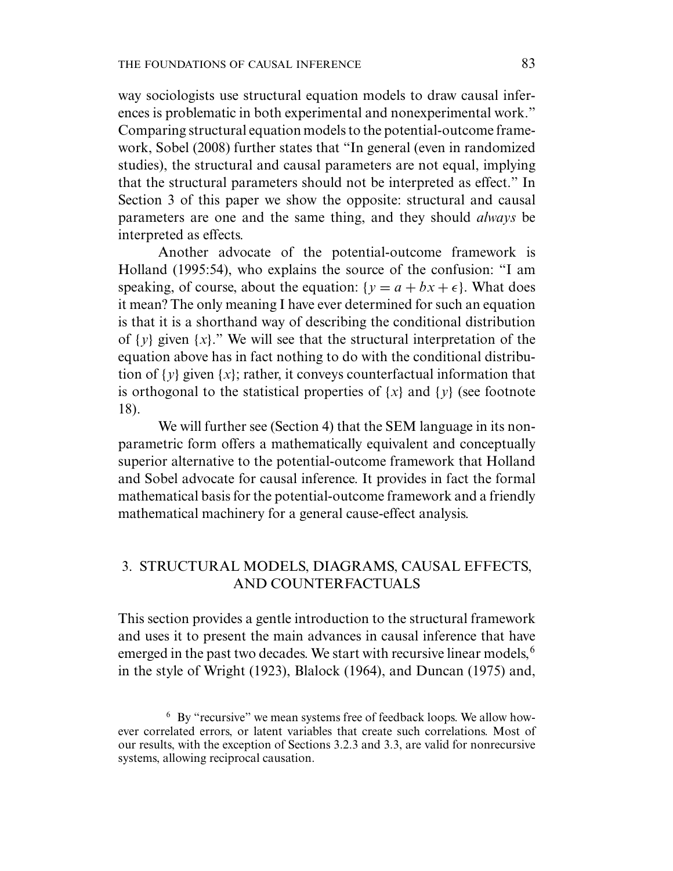way sociologists use structural equation models to draw causal inferences is problematic in both experimental and nonexperimental work." Comparing structural equation models to the potential-outcome framework, Sobel (2008) further states that "In general (even in randomized studies), the structural and causal parameters are not equal, implying that the structural parameters should not be interpreted as effect." In Section 3 of this paper we show the opposite: structural and causal parameters are one and the same thing, and they should *always* be interpreted as effects.

Another advocate of the potential-outcome framework is Holland (1995:54), who explains the source of the confusion: "I am speaking, of course, about the equation:  $\{y = a + bx + \epsilon\}$ . What does it mean? The only meaning I have ever determined for such an equation is that it is a shorthand way of describing the conditional distribution of  $\{y\}$  given  $\{x\}$ ." We will see that the structural interpretation of the equation above has in fact nothing to do with the conditional distribution of {*y*} given {*x*}; rather, it conveys counterfactual information that is orthogonal to the statistical properties of {*x*} and {*y*} (see footnote 18).

We will further see (Section 4) that the SEM language in its nonparametric form offers a mathematically equivalent and conceptually superior alternative to the potential-outcome framework that Holland and Sobel advocate for causal inference. It provides in fact the formal mathematical basis for the potential-outcome framework and a friendly mathematical machinery for a general cause-effect analysis.

# 3. STRUCTURAL MODELS, DIAGRAMS, CAUSAL EFFECTS, AND COUNTERFACTUALS

This section provides a gentle introduction to the structural framework and uses it to present the main advances in causal inference that have emerged in the past two decades. We start with recursive linear models,<sup>6</sup> in the style of Wright (1923), Blalock (1964), and Duncan (1975) and,

<sup>6</sup> By "recursive" we mean systems free of feedback loops. We allow however correlated errors, or latent variables that create such correlations. Most of our results, with the exception of Sections 3.2.3 and 3.3, are valid for nonrecursive systems, allowing reciprocal causation.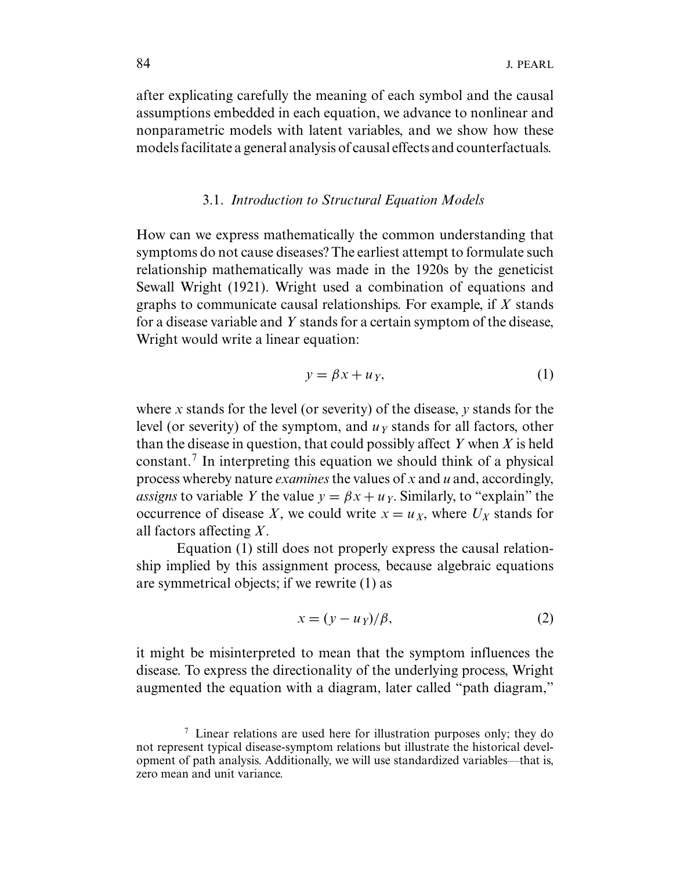after explicating carefully the meaning of each symbol and the causal assumptions embedded in each equation, we advance to nonlinear and nonparametric models with latent variables, and we show how these models facilitate a general analysis of causal effects and counterfactuals.

#### 3.1. *Introduction to Structural Equation Models*

How can we express mathematically the common understanding that symptoms do not cause diseases? The earliest attempt to formulate such relationship mathematically was made in the 1920s by the geneticist Sewall Wright (1921). Wright used a combination of equations and graphs to communicate causal relationships. For example, if *X* stands for a disease variable and *Y* stands for a certain symptom of the disease, Wright would write a linear equation:

$$
y = \beta x + u_Y,\tag{1}
$$

where *x* stands for the level (or severity) of the disease, *y* stands for the level (or severity) of the symptom, and  $u<sub>Y</sub>$  stands for all factors, other than the disease in question, that could possibly affect *Y* when *X* is held constant.<sup>7</sup> In interpreting this equation we should think of a physical process whereby nature *examines*the values of *x* and *u* and, accordingly, *assigns* to variable *Y* the value  $y = \beta x + u_y$ . Similarly, to "explain" the occurrence of disease *X*, we could write  $x = u_X$ , where  $U_X$  stands for all factors affecting *X*.

Equation (1) still does not properly express the causal relationship implied by this assignment process, because algebraic equations are symmetrical objects; if we rewrite (1) as

$$
x = (y - u_Y)/\beta, \tag{2}
$$

it might be misinterpreted to mean that the symptom influences the disease. To express the directionality of the underlying process, Wright augmented the equation with a diagram, later called "path diagram,"

<sup>7</sup> Linear relations are used here for illustration purposes only; they do not represent typical disease-symptom relations but illustrate the historical development of path analysis. Additionally, we will use standardized variables—that is, zero mean and unit variance.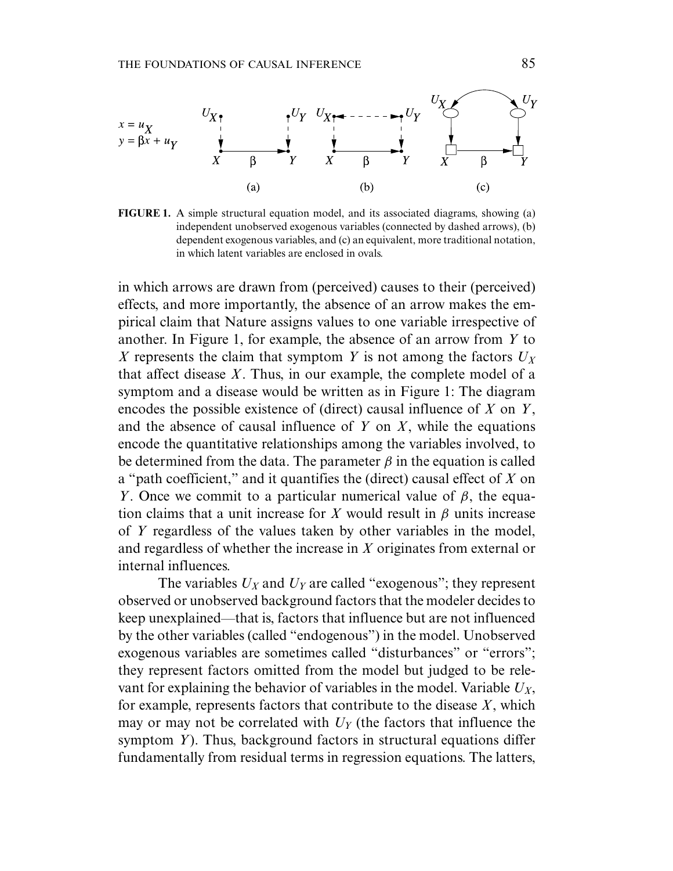

**FIGURE 1.** A simple structural equation model, and its associated diagrams, showing (a) independent unobserved exogenous variables (connected by dashed arrows), (b) dependent exogenous variables, and (c) an equivalent, more traditional notation, in which latent variables are enclosed in ovals.

in which arrows are drawn from (perceived) causes to their (perceived) effects, and more importantly, the absence of an arrow makes the empirical claim that Nature assigns values to one variable irrespective of another. In Figure 1, for example, the absence of an arrow from *Y* to *X* represents the claim that symptom *Y* is not among the factors  $U_X$ that affect disease *X*. Thus, in our example, the complete model of a symptom and a disease would be written as in Figure 1: The diagram encodes the possible existence of (direct) causal influence of *X* on *Y*, and the absence of causal influence of *Y* on *X*, while the equations encode the quantitative relationships among the variables involved, to be determined from the data. The parameter  $\beta$  in the equation is called a "path coefficient," and it quantifies the (direct) causal effect of *X* on *Y*. Once we commit to a particular numerical value of  $\beta$ , the equation claims that a unit increase for *X* would result in  $\beta$  units increase of *Y* regardless of the values taken by other variables in the model, and regardless of whether the increase in *X* originates from external or internal influences.

The variables  $U_X$  and  $U_Y$  are called "exogenous"; they represent observed or unobserved background factors that the modeler decides to keep unexplained—that is, factors that influence but are not influenced by the other variables (called "endogenous") in the model. Unobserved exogenous variables are sometimes called "disturbances" or "errors"; they represent factors omitted from the model but judged to be relevant for explaining the behavior of variables in the model. Variable *UX*, for example, represents factors that contribute to the disease *X*, which may or may not be correlated with  $U<sub>Y</sub>$  (the factors that influence the symptom *Y*). Thus, background factors in structural equations differ fundamentally from residual terms in regression equations. The latters,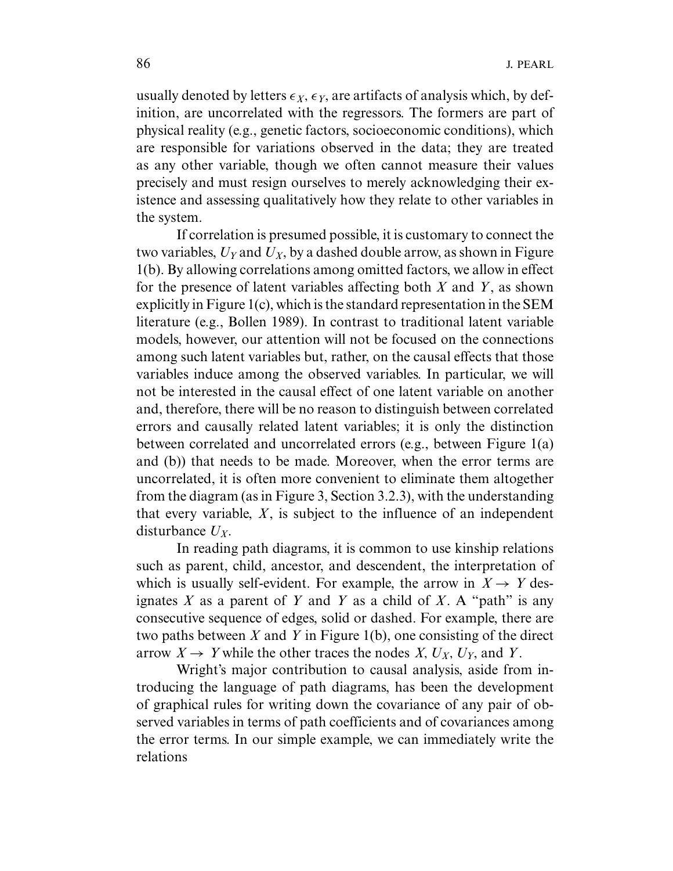usually denoted by letters  $\epsilon_X$ ,  $\epsilon_Y$ , are artifacts of analysis which, by definition, are uncorrelated with the regressors. The formers are part of physical reality (e.g., genetic factors, socioeconomic conditions), which are responsible for variations observed in the data; they are treated as any other variable, though we often cannot measure their values precisely and must resign ourselves to merely acknowledging their existence and assessing qualitatively how they relate to other variables in the system.

If correlation is presumed possible, it is customary to connect the two variables, *UY* and *UX*, by a dashed double arrow, as shown in Figure 1(b). By allowing correlations among omitted factors, we allow in effect for the presence of latent variables affecting both *X* and *Y*, as shown explicitly in Figure 1(c), which is the standard representation in the SEM literature (e.g., Bollen 1989). In contrast to traditional latent variable models, however, our attention will not be focused on the connections among such latent variables but, rather, on the causal effects that those variables induce among the observed variables. In particular, we will not be interested in the causal effect of one latent variable on another and, therefore, there will be no reason to distinguish between correlated errors and causally related latent variables; it is only the distinction between correlated and uncorrelated errors (e.g., between Figure 1(a) and (b)) that needs to be made. Moreover, when the error terms are uncorrelated, it is often more convenient to eliminate them altogether from the diagram (as in Figure 3, Section 3.2.3), with the understanding that every variable, *X*, is subject to the influence of an independent disturbance  $U_X$ .

In reading path diagrams, it is common to use kinship relations such as parent, child, ancestor, and descendent, the interpretation of which is usually self-evident. For example, the arrow in  $X \to Y$  designates *X* as a parent of *Y* and *Y* as a child of *X*. A "path" is any consecutive sequence of edges, solid or dashed. For example, there are two paths between *X* and *Y* in Figure 1(b), one consisting of the direct arrow  $X \to Y$  while the other traces the nodes *X*,  $U_X$ ,  $U_Y$ , and *Y*.

Wright's major contribution to causal analysis, aside from introducing the language of path diagrams, has been the development of graphical rules for writing down the covariance of any pair of observed variables in terms of path coefficients and of covariances among the error terms. In our simple example, we can immediately write the relations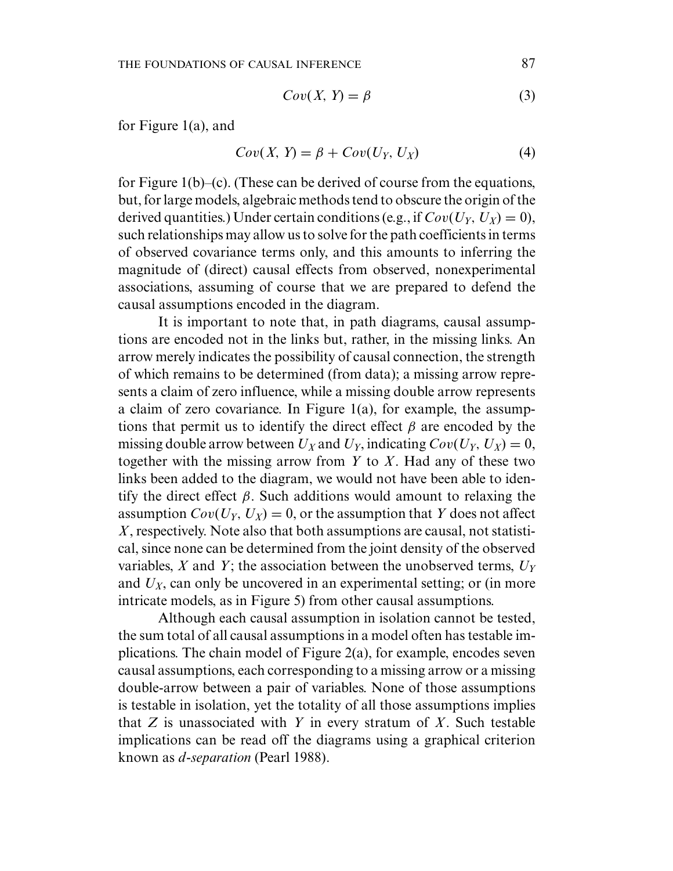$$
Cov(X, Y) = \beta \tag{3}
$$

for Figure 1(a), and

$$
Cov(X, Y) = \beta + Cov(U_Y, U_X)
$$
\n(4)

for Figure 1(b)–(c). (These can be derived of course from the equations, but, for large models, algebraic methods tend to obscure the origin of the derived quantities.) Under certain conditions (e.g., if  $Cov(U_Y, U_X) = 0$ ), such relationships may allow us to solve for the path coefficients in terms of observed covariance terms only, and this amounts to inferring the magnitude of (direct) causal effects from observed, nonexperimental associations, assuming of course that we are prepared to defend the causal assumptions encoded in the diagram.

It is important to note that, in path diagrams, causal assumptions are encoded not in the links but, rather, in the missing links. An arrow merely indicates the possibility of causal connection, the strength of which remains to be determined (from data); a missing arrow represents a claim of zero influence, while a missing double arrow represents a claim of zero covariance. In Figure 1(a), for example, the assumptions that permit us to identify the direct effect  $\beta$  are encoded by the missing double arrow between  $U_X$  and  $U_Y$ , indicating  $Cov(U_Y, U_X) = 0$ , together with the missing arrow from *Y* to *X*. Had any of these two links been added to the diagram, we would not have been able to identify the direct effect  $\beta$ . Such additions would amount to relaxing the assumption  $Cov(U_Y, U_X) = 0$ , or the assumption that *Y* does not affect *X*, respectively. Note also that both assumptions are causal, not statistical, since none can be determined from the joint density of the observed variables, *X* and *Y*; the association between the unobserved terms, *UY* and *UX*, can only be uncovered in an experimental setting; or (in more intricate models, as in Figure 5) from other causal assumptions.

Although each causal assumption in isolation cannot be tested, the sum total of all causal assumptions in a model often has testable implications. The chain model of Figure 2(a), for example, encodes seven causal assumptions, each corresponding to a missing arrow or a missing double-arrow between a pair of variables. None of those assumptions is testable in isolation, yet the totality of all those assumptions implies that *Z* is unassociated with *Y* in every stratum of *X*. Such testable implications can be read off the diagrams using a graphical criterion known as *d-separation* (Pearl 1988).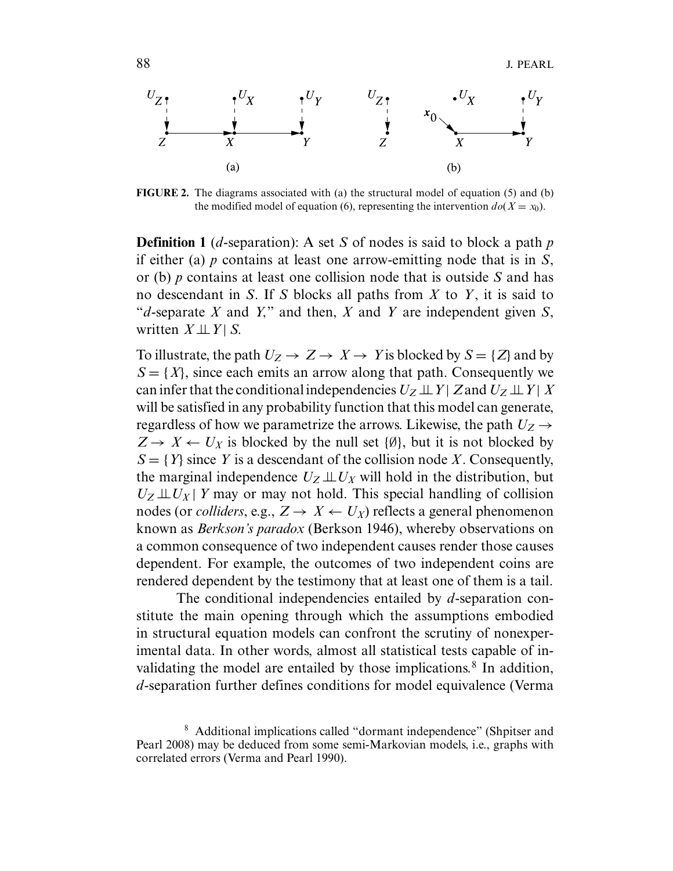

**FIGURE 2.** The diagrams associated with (a) the structural model of equation (5) and (b) the modified model of equation (6), representing the intervention  $d\rho(X = x_0)$ .

**Definition 1** (*d*-separation): A set *S* of nodes is said to block a path *p* if either (a) *p* contains at least one arrow-emitting node that is in *S*, or (b) *p* contains at least one collision node that is outside *S* and has no descendant in *S*. If *S* blocks all paths from *X* to *Y*, it is said to "*d*-separate *X* and *Y*," and then, *X* and *Y* are independent given *S*, written  $X \perp \!\!\! \perp Y \mid S$ .

To illustrate, the path  $U_Z \rightarrow Z \rightarrow X \rightarrow Y$  is blocked by  $S = \{Z\}$  and by  $S = \{X\}$ , since each emits an arrow along that path. Consequently we can infer that the conditional independencies  $U_Z \perp \!\!\! \perp Y | Z$  and  $U_Z \perp \!\!\! \perp Y | X$ will be satisfied in any probability function that this model can generate, regardless of how we parametrize the arrows. Likewise, the path  $U_Z \rightarrow$  $Z \rightarrow X \leftarrow U_X$  is blocked by the null set {Ø}, but it is not blocked by  $S = \{Y\}$  since *Y* is a descendant of the collision node *X*. Consequently, the marginal independence  $U_Z \perp\!\!\!\perp U_X$  will hold in the distribution, but  $U_Z \perp\!\!\!\perp U_X$  *Y* may or may not hold. This special handling of collision nodes (or *colliders*, e.g.,  $Z \rightarrow X \leftarrow U_X$ ) reflects a general phenomenon known as *Berkson's paradox* (Berkson 1946), whereby observations on a common consequence of two independent causes render those causes dependent. For example, the outcomes of two independent coins are rendered dependent by the testimony that at least one of them is a tail.

The conditional independencies entailed by *d*-separation constitute the main opening through which the assumptions embodied in structural equation models can confront the scrutiny of nonexperimental data. In other words, almost all statistical tests capable of invalidating the model are entailed by those implications. $8 \text{ In addition}$ , *d*-separation further defines conditions for model equivalence (Verma

<sup>8</sup> Additional implications called "dormant independence" (Shpitser and Pearl 2008) may be deduced from some semi-Markovian models, i.e., graphs with correlated errors (Verma and Pearl 1990).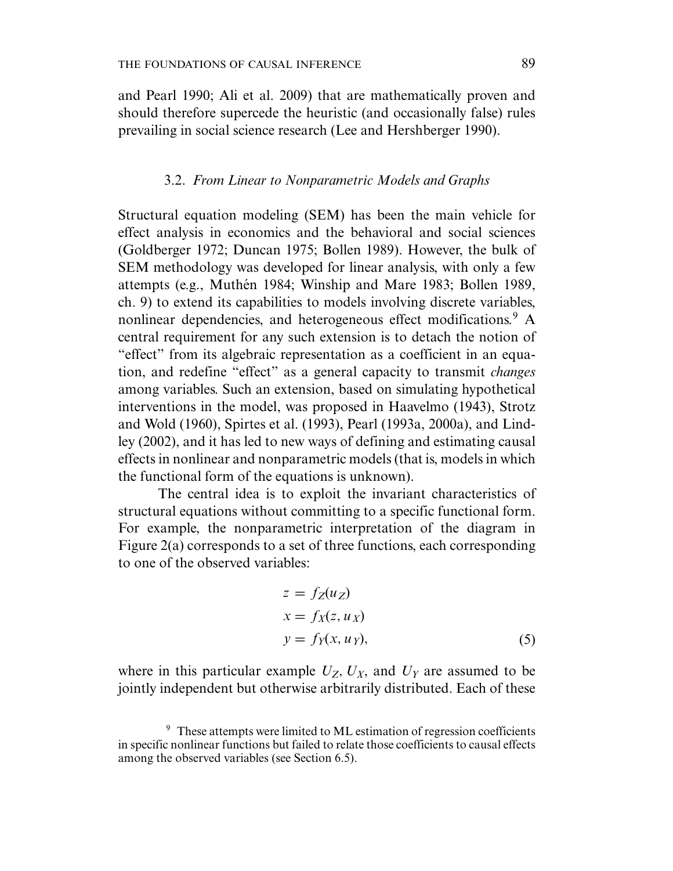and Pearl 1990; Ali et al. 2009) that are mathematically proven and should therefore supercede the heuristic (and occasionally false) rules prevailing in social science research (Lee and Hershberger 1990).

#### 3.2. *From Linear to Nonparametric Models and Graphs*

Structural equation modeling (SEM) has been the main vehicle for effect analysis in economics and the behavioral and social sciences (Goldberger 1972; Duncan 1975; Bollen 1989). However, the bulk of SEM methodology was developed for linear analysis, with only a few attempts (e.g., Muthén 1984; Winship and Mare 1983; Bollen 1989, ch. 9) to extend its capabilities to models involving discrete variables, nonlinear dependencies, and heterogeneous effect modifications.<sup>9</sup> A central requirement for any such extension is to detach the notion of "effect" from its algebraic representation as a coefficient in an equation, and redefine "effect" as a general capacity to transmit *changes* among variables. Such an extension, based on simulating hypothetical interventions in the model, was proposed in Haavelmo (1943), Strotz and Wold (1960), Spirtes et al. (1993), Pearl (1993a, 2000a), and Lindley (2002), and it has led to new ways of defining and estimating causal effects in nonlinear and nonparametric models (that is, models in which the functional form of the equations is unknown).

The central idea is to exploit the invariant characteristics of structural equations without committing to a specific functional form. For example, the nonparametric interpretation of the diagram in Figure 2(a) corresponds to a set of three functions, each corresponding to one of the observed variables:

$$
z = f_Z(u_Z)
$$
  
\n
$$
x = f_X(z, u_X)
$$
  
\n
$$
y = f_Y(x, u_Y),
$$
\n(5)

where in this particular example  $U_Z$ ,  $U_X$ , and  $U_Y$  are assumed to be jointly independent but otherwise arbitrarily distributed. Each of these

<sup>&</sup>lt;sup>9</sup> These attempts were limited to ML estimation of regression coefficients in specific nonlinear functions but failed to relate those coefficients to causal effects among the observed variables (see Section 6.5).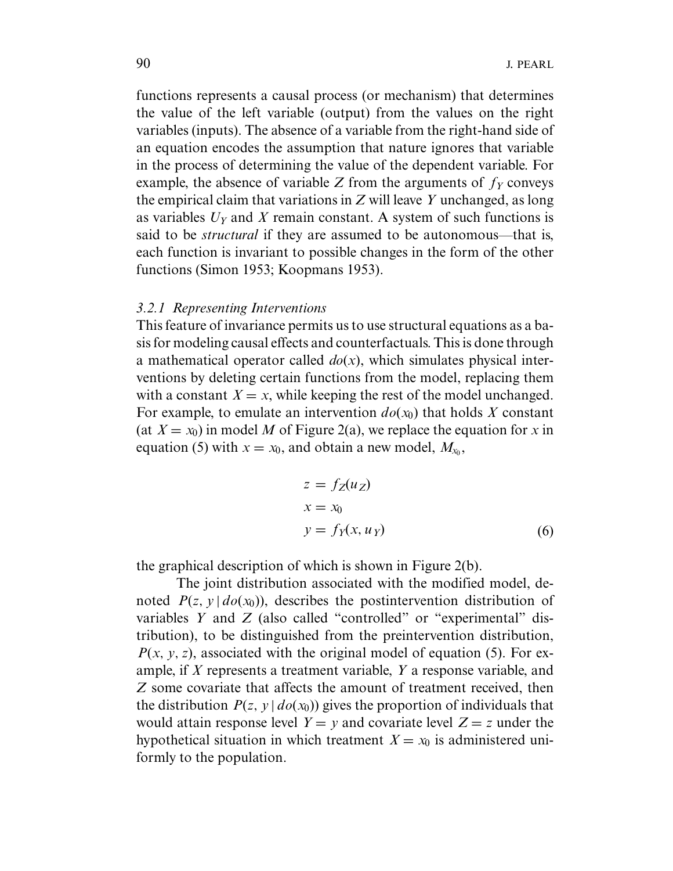functions represents a causal process (or mechanism) that determines the value of the left variable (output) from the values on the right variables (inputs). The absence of a variable from the right-hand side of an equation encodes the assumption that nature ignores that variable in the process of determining the value of the dependent variable. For example, the absence of variable  $Z$  from the arguments of  $f<sub>Y</sub>$  conveys the empirical claim that variations in *Z* will leave *Y* unchanged, as long as variables *UY* and *X* remain constant. A system of such functions is said to be *structural* if they are assumed to be autonomous—that is, each function is invariant to possible changes in the form of the other functions (Simon 1953; Koopmans 1953).

#### *3.2.1 Representing Interventions*

This feature of invariance permits us to use structural equations as a basis for modeling causal effects and counterfactuals. This is done through a mathematical operator called  $do(x)$ , which simulates physical interventions by deleting certain functions from the model, replacing them with a constant  $X = x$ , while keeping the rest of the model unchanged. For example, to emulate an intervention  $do(x_0)$  that holds *X* constant (at  $X = x_0$ ) in model M of Figure 2(a), we replace the equation for x in equation (5) with  $x = x_0$ , and obtain a new model,  $M_{x_0}$ ,

$$
z = f_Z(u_Z)
$$
  
\n
$$
x = x_0
$$
  
\n
$$
y = f_Y(x, u_Y)
$$
 (6)

the graphical description of which is shown in Figure 2(b).

The joint distribution associated with the modified model, denoted  $P(z, y | do(x_0))$ , describes the postintervention distribution of variables *Y* and *Z* (also called "controlled" or "experimental" distribution), to be distinguished from the preintervention distribution,  $P(x, y, z)$ , associated with the original model of equation (5). For example, if *X* represents a treatment variable, *Y* a response variable, and *Z* some covariate that affects the amount of treatment received, then the distribution  $P(z, y | do(x_0))$  gives the proportion of individuals that would attain response level  $Y = y$  and covariate level  $Z = z$  under the hypothetical situation in which treatment  $X = x_0$  is administered uniformly to the population.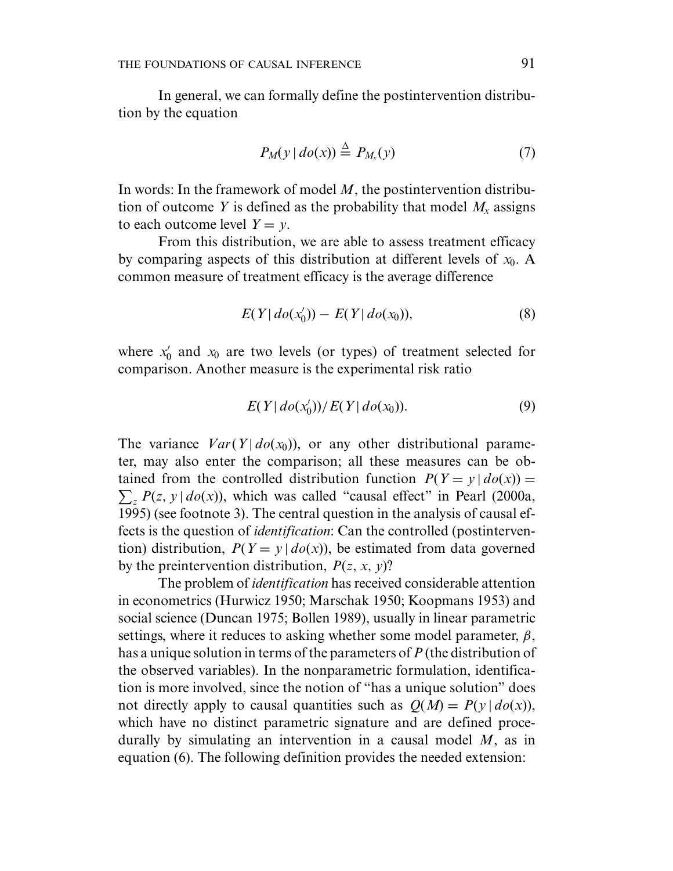In general, we can formally define the postintervention distribution by the equation

$$
P_M(y \mid do(x)) \stackrel{\Delta}{=} P_{M_x}(y) \tag{7}
$$

In words: In the framework of model *M*, the postintervention distribution of outcome *Y* is defined as the probability that model  $M_x$  assigns to each outcome level  $Y = y$ .

From this distribution, we are able to assess treatment efficacy by comparing aspects of this distribution at different levels of  $x_0$ . A common measure of treatment efficacy is the average difference

$$
E(Y | do(x'_0)) - E(Y | do(x_0)),
$$
\n(8)

where  $x'_0$  and  $x_0$  are two levels (or types) of treatment selected for comparison. Another measure is the experimental risk ratio

$$
E(Y | do(x'_0)) / E(Y | do(x_0)).
$$
\n(9)

The variance  $Var(Y|do(x_0))$ , or any other distributional parameter, may also enter the comparison; all these measures can be ob-  $\sum_{z} P(z, y \mid do(x))$ , which was called "causal effect" in Pearl (2000a, tained from the controlled distribution function  $P(Y = y | do(x)) =$ 1995) (see footnote 3). The central question in the analysis of causal effects is the question of *identification*: Can the controlled (postintervention) distribution,  $P(Y = y | do(x))$ , be estimated from data governed by the preintervention distribution,  $P(z, x, y)$ ?

The problem of *identification* has received considerable attention in econometrics (Hurwicz 1950; Marschak 1950; Koopmans 1953) and social science (Duncan 1975; Bollen 1989), usually in linear parametric settings, where it reduces to asking whether some model parameter,  $\beta$ , has a unique solution in terms of the parameters of*P* (the distribution of the observed variables). In the nonparametric formulation, identification is more involved, since the notion of "has a unique solution" does not directly apply to causal quantities such as  $Q(M) = P(\gamma | do(x)),$ which have no distinct parametric signature and are defined procedurally by simulating an intervention in a causal model *M*, as in equation (6). The following definition provides the needed extension: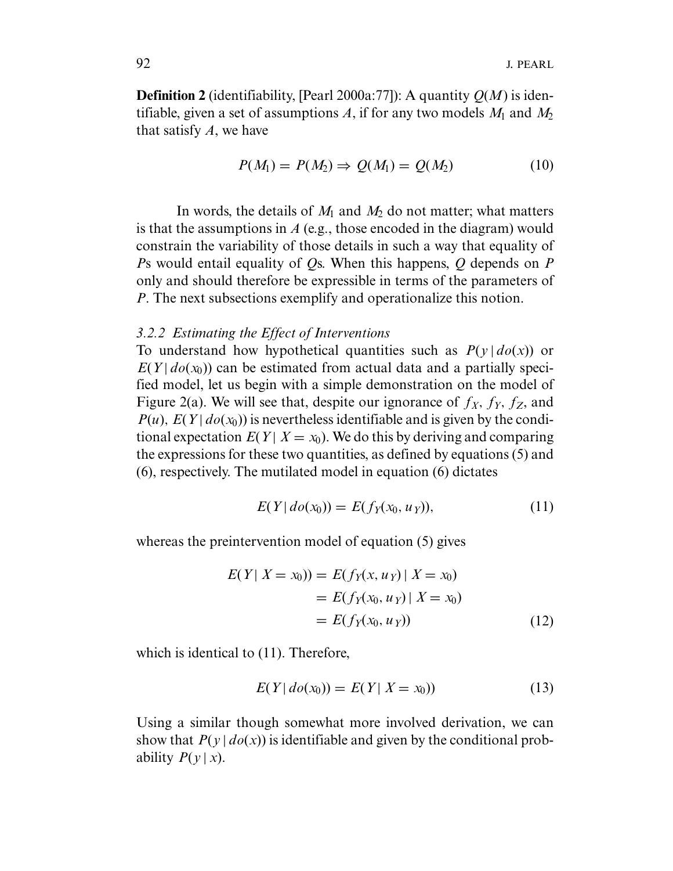**Definition 2** (identifiability, [Pearl 2000a:77]): A quantity *Q*(*M*) is identifiable, given a set of assumptions  $A$ , if for any two models  $M_1$  and  $M_2$ that satisfy *A*, we have

$$
P(M_1) = P(M_2) \Rightarrow Q(M_1) = Q(M_2) \tag{10}
$$

In words, the details of *M*<sup>1</sup> and *M*<sup>2</sup> do not matter; what matters is that the assumptions in *A* (e.g., those encoded in the diagram) would constrain the variability of those details in such a way that equality of *P*s would entail equality of *Q*s. When this happens, *Q* depends on *P* only and should therefore be expressible in terms of the parameters of *P*. The next subsections exemplify and operationalize this notion.

#### *3.2.2 Estimating the Effect of Interventions*

To understand how hypothetical quantities such as  $P(y | do(x))$  or  $E(Y|do(x_0))$  can be estimated from actual data and a partially specified model, let us begin with a simple demonstration on the model of Figure 2(a). We will see that, despite our ignorance of  $f_x$ ,  $f_y$ ,  $f_z$ , and  $P(u)$ ,  $E(Y | do(x_0))$  is nevertheless identifiable and is given by the conditional expectation  $E(Y|X=x_0)$ . We do this by deriving and comparing the expressions for these two quantities, as defined by equations (5) and (6), respectively. The mutilated model in equation (6) dictates

$$
E(Y | do(x_0)) = E(f_Y(x_0, u_Y)),
$$
\n(11)

whereas the preintervention model of equation (5) gives

$$
E(Y | X = x_0) = E(f_Y(x, u_Y) | X = x_0)
$$
  
=  $E(f_Y(x_0, u_Y) | X = x_0)$   
=  $E(f_Y(x_0, u_Y))$  (12)

which is identical to  $(11)$ . Therefore,

$$
E(Y | do(x_0)) = E(Y | X = x_0))
$$
\n(13)

Using a similar though somewhat more involved derivation, we can show that  $P(y | do(x))$  is identifiable and given by the conditional probability  $P(y | x)$ .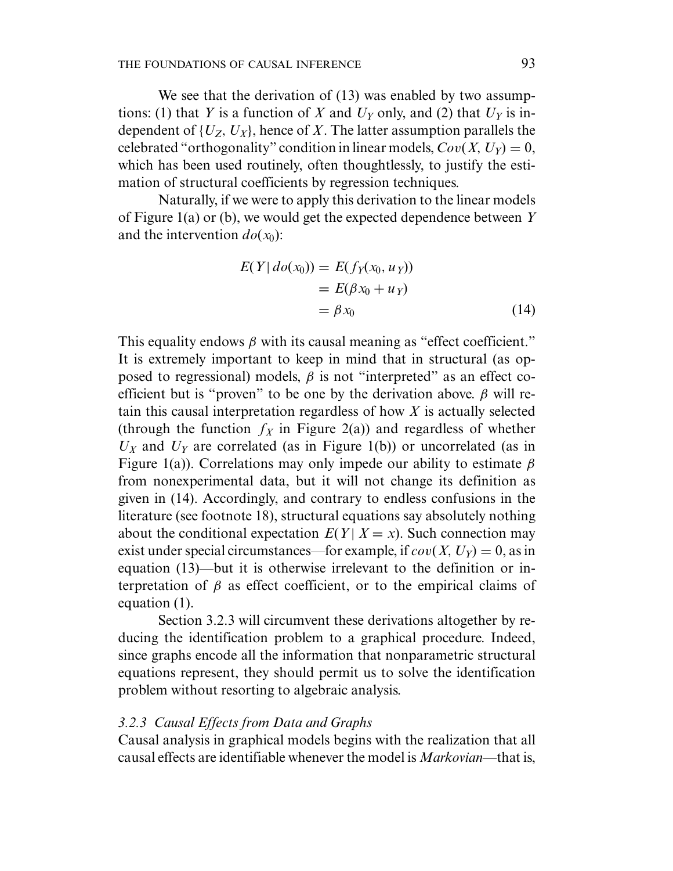We see that the derivation of (13) was enabled by two assumptions: (1) that *Y* is a function of *X* and  $U_Y$  only, and (2) that  $U_Y$  is independent of  $\{U_Z, U_X\}$ , hence of *X*. The latter assumption parallels the celebrated "orthogonality" condition in linear models,  $Cov(X, U_Y) = 0$ , which has been used routinely, often thoughtlessly, to justify the estimation of structural coefficients by regression techniques.

Naturally, if we were to apply this derivation to the linear models of Figure 1(a) or (b), we would get the expected dependence between *Y* and the intervention  $do(x_0)$ :

$$
E(Y | do(x_0)) = E(f_Y(x_0, u_Y))
$$
  
= 
$$
E(\beta x_0 + u_Y)
$$
  
= 
$$
\beta x_0
$$
 (14)

This equality endows  $\beta$  with its causal meaning as "effect coefficient." It is extremely important to keep in mind that in structural (as opposed to regressional) models,  $\beta$  is not "interpreted" as an effect coefficient but is "proven" to be one by the derivation above.  $\beta$  will retain this causal interpretation regardless of how *X* is actually selected (through the function  $f_X$  in Figure 2(a)) and regardless of whether  $U_x$  and  $U_y$  are correlated (as in Figure 1(b)) or uncorrelated (as in Figure 1(a)). Correlations may only impede our ability to estimate  $\beta$ from nonexperimental data, but it will not change its definition as given in (14). Accordingly, and contrary to endless confusions in the literature (see footnote 18), structural equations say absolutely nothing about the conditional expectation  $E(Y | X = x)$ . Such connection may exist under special circumstances—for example, if  $cov(X, U_Y) = 0$ , as in equation (13)—but it is otherwise irrelevant to the definition or interpretation of  $\beta$  as effect coefficient, or to the empirical claims of equation (1).

Section 3.2.3 will circumvent these derivations altogether by reducing the identification problem to a graphical procedure. Indeed, since graphs encode all the information that nonparametric structural equations represent, they should permit us to solve the identification problem without resorting to algebraic analysis.

#### *3.2.3 Causal Effects from Data and Graphs*

Causal analysis in graphical models begins with the realization that all causal effects are identifiable whenever the model is *Markovian*—that is,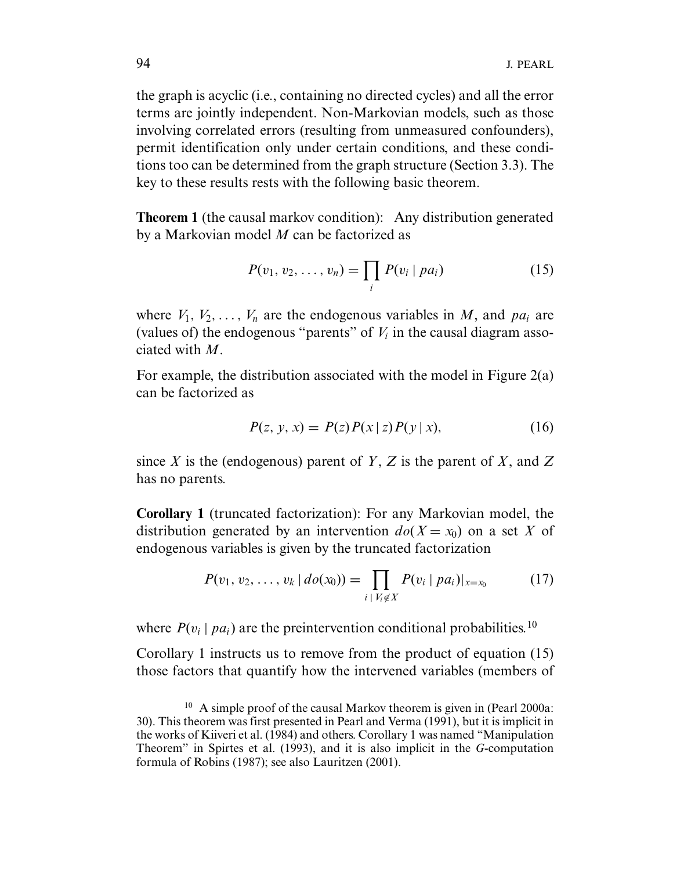the graph is acyclic (i.e., containing no directed cycles) and all the error terms are jointly independent. Non-Markovian models, such as those involving correlated errors (resulting from unmeasured confounders), permit identification only under certain conditions, and these conditions too can be determined from the graph structure (Section 3.3). The key to these results rests with the following basic theorem.

**Theorem 1** (the causal markov condition): Any distribution generated by a Markovian model *M* can be factorized as

$$
P(v_1, v_2, \dots, v_n) = \prod_i P(v_i \mid pa_i)
$$
 (15)

where  $V_1, V_2, \ldots, V_n$  are the endogenous variables in M, and pa<sub>i</sub> are (values of) the endogenous "parents" of  $V_i$  in the causal diagram associated with *M*.

For example, the distribution associated with the model in Figure 2(a) can be factorized as

$$
P(z, y, x) = P(z)P(x | z)P(y | x),
$$
\n(16)

since *X* is the (endogenous) parent of *Y*, *Z* is the parent of *X*, and *Z* has no parents.

**Corollary 1** (truncated factorization): For any Markovian model, the distribution generated by an intervention  $do(X = x_0)$  on a set X of endogenous variables is given by the truncated factorization

$$
P(v_1, v_2, \ldots, v_k \,|\, do(x_0)) = \prod_{i \,|\, V_i \notin X} P(v_i \,|\, pa_i)|_{x = x_0} \tag{17}
$$

where  $P(v_i | pa_i)$  are the preintervention conditional probabilities.<sup>10</sup>

Corollary 1 instructs us to remove from the product of equation (15) those factors that quantify how the intervened variables (members of

<sup>&</sup>lt;sup>10</sup> A simple proof of the causal Markov theorem is given in (Pearl 2000a: 30). This theorem was first presented in Pearl and Verma (1991), but it is implicit in the works of Kiiveri et al. (1984) and others. Corollary 1 was named "Manipulation Theorem" in Spirtes et al. (1993), and it is also implicit in the *G*-computation formula of Robins (1987); see also Lauritzen (2001).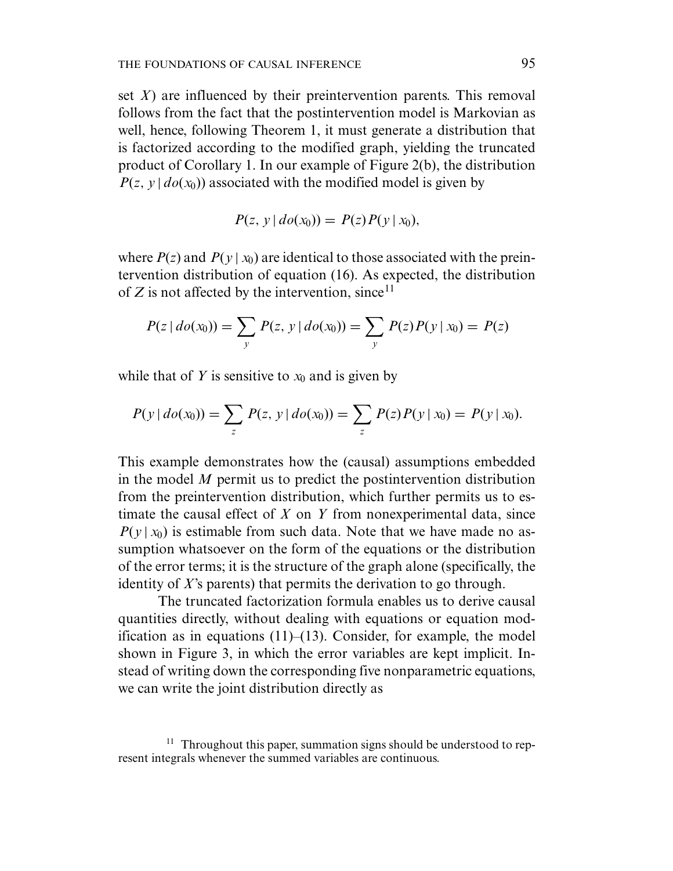set *X*) are influenced by their preintervention parents. This removal follows from the fact that the postintervention model is Markovian as well, hence, following Theorem 1, it must generate a distribution that is factorized according to the modified graph, yielding the truncated product of Corollary 1. In our example of Figure 2(b), the distribution  $P(z, y \mid do(x_0))$  associated with the modified model is given by

$$
P(z, y | do(x_0)) = P(z) P(y | x_0),
$$

where  $P(z)$  and  $P(y | x_0)$  are identical to those associated with the preintervention distribution of equation (16). As expected, the distribution of  $Z$  is not affected by the intervention, since<sup>11</sup>

$$
P(z | do(x_0)) = \sum_{y} P(z, y | do(x_0)) = \sum_{y} P(z) P(y | x_0) = P(z)
$$

while that of *Y* is sensitive to  $x_0$  and is given by

$$
P(y | do(x_0)) = \sum_{z} P(z, y | do(x_0)) = \sum_{z} P(z) P(y | x_0) = P(y | x_0).
$$

This example demonstrates how the (causal) assumptions embedded in the model *M* permit us to predict the postintervention distribution from the preintervention distribution, which further permits us to estimate the causal effect of *X* on *Y* from nonexperimental data, since  $P(y | x_0)$  is estimable from such data. Note that we have made no assumption whatsoever on the form of the equations or the distribution of the error terms; it is the structure of the graph alone (specifically, the identity of *X*'s parents) that permits the derivation to go through.

The truncated factorization formula enables us to derive causal quantities directly, without dealing with equations or equation modification as in equations  $(11)$ – $(13)$ . Consider, for example, the model shown in Figure 3, in which the error variables are kept implicit. Instead of writing down the corresponding five nonparametric equations, we can write the joint distribution directly as

 $11$  Throughout this paper, summation signs should be understood to represent integrals whenever the summed variables are continuous.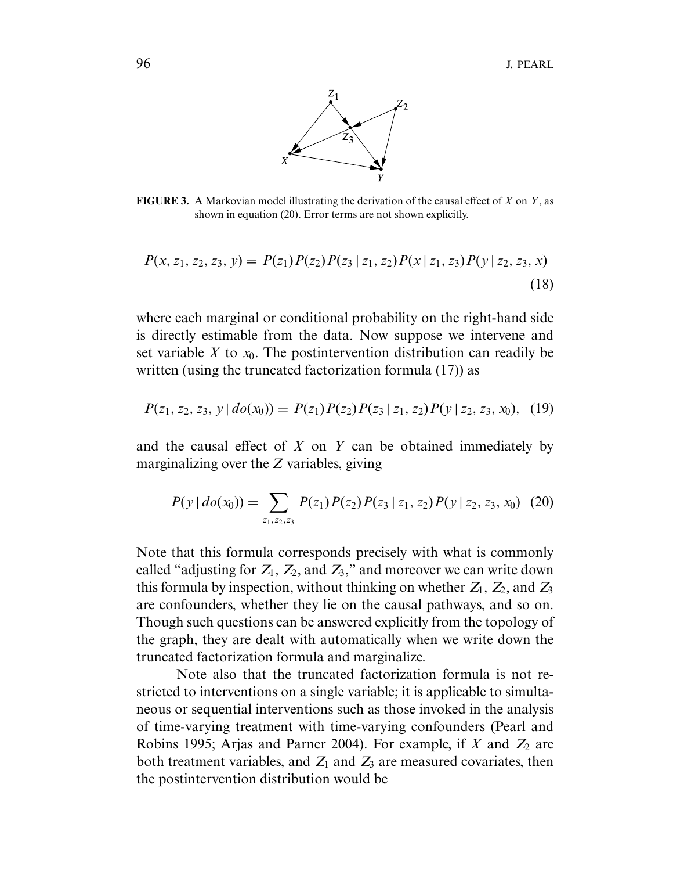

**FIGURE 3.** A Markovian model illustrating the derivation of the causal effect of *X* on *Y*, as shown in equation (20). Error terms are not shown explicitly.

$$
P(x, z_1, z_2, z_3, y) = P(z_1)P(z_2)P(z_3 | z_1, z_2)P(x | z_1, z_3)P(y | z_2, z_3, x)
$$
\n(18)

where each marginal or conditional probability on the right-hand side is directly estimable from the data. Now suppose we intervene and set variable  $X$  to  $x_0$ . The postintervention distribution can readily be written (using the truncated factorization formula (17)) as

$$
P(z_1, z_2, z_3, y \mid do(x_0)) = P(z_1)P(z_2)P(z_3 \mid z_1, z_2)P(y \mid z_2, z_3, x_0), \quad (19)
$$

and the causal effect of *X* on *Y* can be obtained immediately by marginalizing over the *Z* variables, giving

$$
P(y | do(x_0)) = \sum_{z_1, z_2, z_3} P(z_1) P(z_2) P(z_3 | z_1, z_2) P(y | z_2, z_3, x_0) \tag{20}
$$

Note that this formula corresponds precisely with what is commonly called "adjusting for  $Z_1$ ,  $Z_2$ , and  $Z_3$ ," and moreover we can write down this formula by inspection, without thinking on whether  $Z_1$ ,  $Z_2$ , and  $Z_3$ are confounders, whether they lie on the causal pathways, and so on. Though such questions can be answered explicitly from the topology of the graph, they are dealt with automatically when we write down the truncated factorization formula and marginalize.

Note also that the truncated factorization formula is not restricted to interventions on a single variable; it is applicable to simultaneous or sequential interventions such as those invoked in the analysis of time-varying treatment with time-varying confounders (Pearl and Robins 1995; Arjas and Parner 2004). For example, if  $X$  and  $Z_2$  are both treatment variables, and  $Z_1$  and  $Z_3$  are measured covariates, then the postintervention distribution would be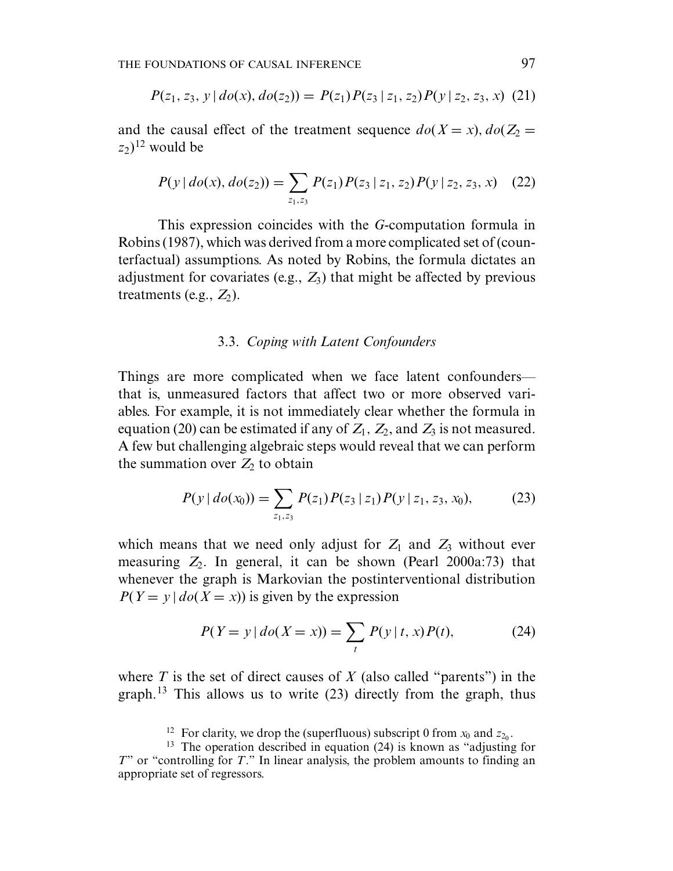$$
P(z_1, z_3, y \mid do(x), do(z_2)) = P(z_1)P(z_3 \mid z_1, z_2)P(y \mid z_2, z_3, x) \tag{21}
$$

and the causal effect of the treatment sequence  $d\rho(X = x)$ ,  $d\rho(Z_2 = x)$  $(z_2)^{12}$  would be

$$
P(y | do(x), do(z_2)) = \sum_{z_1, z_3} P(z_1) P(z_3 | z_1, z_2) P(y | z_2, z_3, x)
$$
 (22)

This expression coincides with the *G*-computation formula in Robins (1987), which was derived from a more complicated set of (counterfactual) assumptions. As noted by Robins, the formula dictates an adjustment for covariates (e.g.,  $Z_3$ ) that might be affected by previous treatments (e.g.,  $Z_2$ ).

#### 3.3. *Coping with Latent Confounders*

Things are more complicated when we face latent confounders that is, unmeasured factors that affect two or more observed variables. For example, it is not immediately clear whether the formula in equation (20) can be estimated if any of  $Z_1$ ,  $Z_2$ , and  $Z_3$  is not measured. A few but challenging algebraic steps would reveal that we can perform the summation over  $Z_2$  to obtain

$$
P(y | do(x_0)) = \sum_{z_1, z_3} P(z_1) P(z_3 | z_1) P(y | z_1, z_3, x_0),
$$
 (23)

which means that we need only adjust for  $Z_1$  and  $Z_3$  without ever measuring  $Z_2$ . In general, it can be shown (Pearl 2000a:73) that whenever the graph is Markovian the postinterventional distribution  $P(Y = y \mid do(X = x))$  is given by the expression

$$
P(Y = y | do(X = x)) = \sum_{t} P(y | t, x) P(t),
$$
 (24)

where *T* is the set of direct causes of *X* (also called "parents") in the graph.<sup>13</sup> This allows us to write  $(23)$  directly from the graph, thus

<sup>&</sup>lt;sup>12</sup> For clarity, we drop the (superfluous) subscript 0 from  $x_0$  and  $z_{20}$ .<br><sup>13</sup> The operation described in equation (24) is known as "adjusting for *T*" or "controlling for *T*." In linear analysis, the problem amounts to finding an appropriate set of regressors.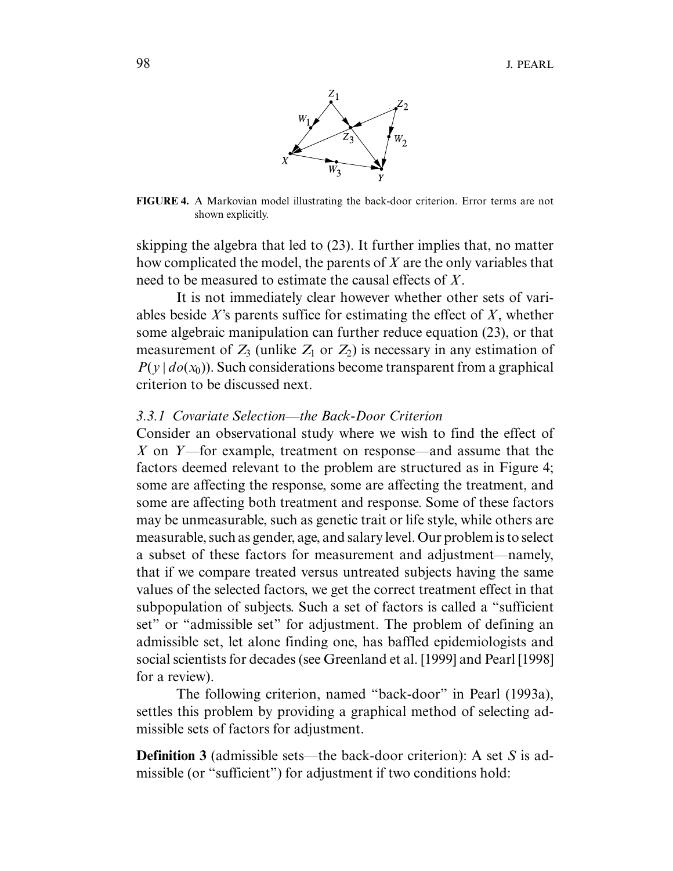

**FIGURE 4.** A Markovian model illustrating the back-door criterion. Error terms are not shown explicitly.

skipping the algebra that led to (23). It further implies that, no matter how complicated the model, the parents of *X* are the only variables that need to be measured to estimate the causal effects of *X*.

It is not immediately clear however whether other sets of variables beside *X*'s parents suffice for estimating the effect of *X*, whether some algebraic manipulation can further reduce equation (23), or that measurement of  $Z_3$  (unlike  $Z_1$  or  $Z_2$ ) is necessary in any estimation of  $P(y \mid do(x_0))$ . Such considerations become transparent from a graphical criterion to be discussed next.

## *3.3.1 Covariate Selection—the Back-Door Criterion*

Consider an observational study where we wish to find the effect of *X* on *Y*—for example, treatment on response—and assume that the factors deemed relevant to the problem are structured as in Figure 4; some are affecting the response, some are affecting the treatment, and some are affecting both treatment and response. Some of these factors may be unmeasurable, such as genetic trait or life style, while others are measurable, such as gender, age, and salary level. Our problem is to select a subset of these factors for measurement and adjustment—namely, that if we compare treated versus untreated subjects having the same values of the selected factors, we get the correct treatment effect in that subpopulation of subjects. Such a set of factors is called a "sufficient set" or "admissible set" for adjustment. The problem of defining an admissible set, let alone finding one, has baffled epidemiologists and social scientists for decades (see Greenland et al. [1999] and Pearl [1998] for a review).

The following criterion, named "back-door" in Pearl (1993a), settles this problem by providing a graphical method of selecting admissible sets of factors for adjustment.

**Definition 3** (admissible sets—the back-door criterion): A set *S* is admissible (or "sufficient") for adjustment if two conditions hold: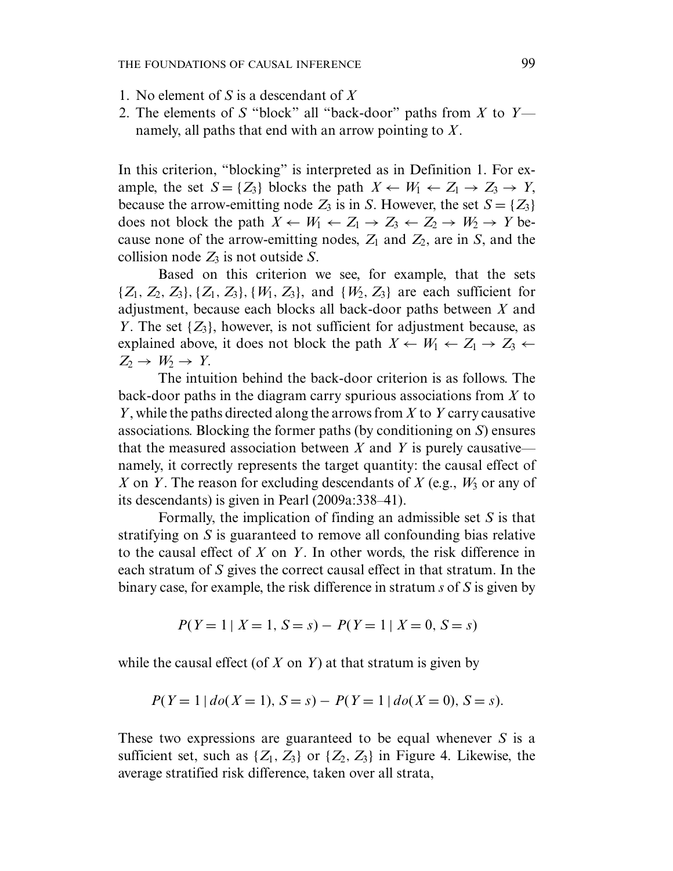- 1. No element of *S* is a descendant of *X*
- 2. The elements of *S* "block" all "back-door" paths from *X* to *Y* namely, all paths that end with an arrow pointing to *X*.

In this criterion, "blocking" is interpreted as in Definition 1. For example, the set  $S = \{Z_3\}$  blocks the path  $X \leftarrow W_1 \leftarrow Z_1 \rightarrow Z_3 \rightarrow Y$ , because the arrow-emitting node  $Z_3$  is in *S*. However, the set  $S = \{Z_3\}$ does not block the path  $X \leftarrow W_1 \leftarrow Z_1 \rightarrow Z_3 \leftarrow Z_2 \rightarrow W_2 \rightarrow Y$  because none of the arrow-emitting nodes,  $Z_1$  and  $Z_2$ , are in *S*, and the collision node  $Z_3$  is not outside *S*.

Based on this criterion we see, for example, that the sets  $\{Z_1, Z_2, Z_3\}, \{Z_1, Z_3\}, \{W_1, Z_3\}, \text{ and } \{W_2, Z_3\}$  are each sufficient for adjustment, because each blocks all back-door paths between *X* and *Y*. The set {*Z*3}, however, is not sufficient for adjustment because, as explained above, it does not block the path  $X \leftarrow W_1 \leftarrow Z_1 \rightarrow Z_3 \leftarrow$  $Z_2 \rightarrow W_2 \rightarrow Y$ .

The intuition behind the back-door criterion is as follows. The back-door paths in the diagram carry spurious associations from *X* to *Y*, while the paths directed along the arrows from *X* to *Y* carry causative associations. Blocking the former paths (by conditioning on *S*) ensures that the measured association between *X* and *Y* is purely causative namely, it correctly represents the target quantity: the causal effect of *X* on *Y*. The reason for excluding descendants of *X* (e.g., *W*<sub>3</sub> or any of its descendants) is given in Pearl (2009a:338–41).

Formally, the implication of finding an admissible set *S* is that stratifying on *S* is guaranteed to remove all confounding bias relative to the causal effect of *X* on *Y*. In other words, the risk difference in each stratum of *S* gives the correct causal effect in that stratum. In the binary case, for example, the risk difference in stratum *s* of *S* is given by

$$
P(Y = 1 | X = 1, S = s) - P(Y = 1 | X = 0, S = s)
$$

while the causal effect (of *X* on *Y*) at that stratum is given by

$$
P(Y = 1 | do(X = 1), S = s) - P(Y = 1 | do(X = 0), S = s).
$$

These two expressions are guaranteed to be equal whenever *S* is a sufficient set, such as  $\{Z_1, Z_3\}$  or  $\{Z_2, Z_3\}$  in Figure 4. Likewise, the average stratified risk difference, taken over all strata,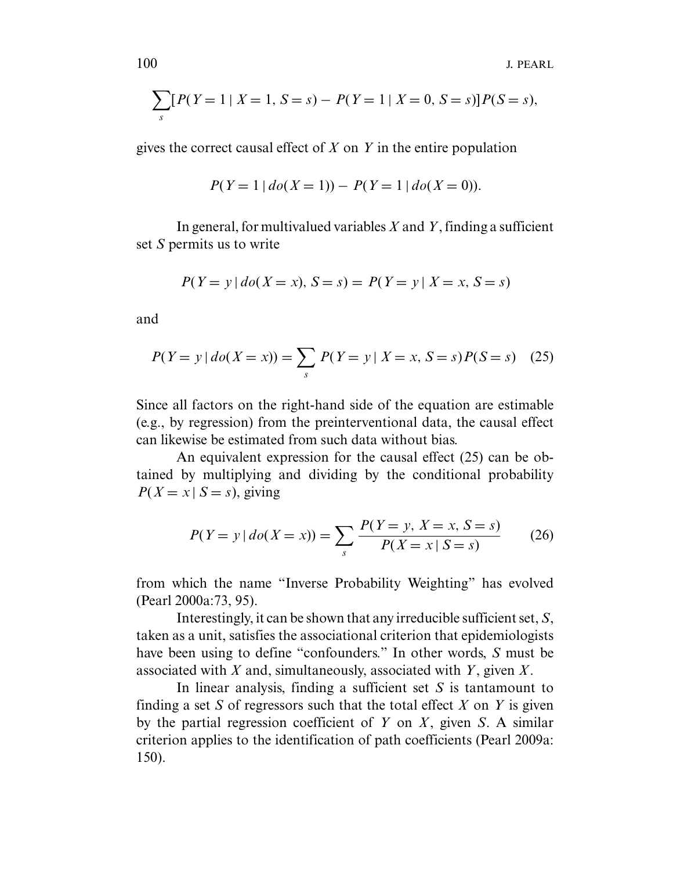$$
\sum_{s} [P(Y=1 \mid X=1, S=s) - P(Y=1 \mid X=0, S=s)] P(S=s),
$$

gives the correct causal effect of *X* on *Y* in the entire population

$$
P(Y = 1 | do(X = 1)) - P(Y = 1 | do(X = 0)).
$$

In general, for multivalued variables *X* and *Y*, finding a sufficient set *S* permits us to write

$$
P(Y = y \mid do(X = x), S = s) = P(Y = y \mid X = x, S = s)
$$

and

$$
P(Y = y | do(X = x)) = \sum_{s} P(Y = y | X = x, S = s) P(S = s) \quad (25)
$$

Since all factors on the right-hand side of the equation are estimable (e.g., by regression) from the preinterventional data, the causal effect can likewise be estimated from such data without bias.

An equivalent expression for the causal effect (25) can be obtained by multiplying and dividing by the conditional probability  $P(X = x | S = s)$ , giving

$$
P(Y = y | do(X = x)) = \sum_{s} \frac{P(Y = y, X = x, S = s)}{P(X = x | S = s)}
$$
(26)

from which the name "Inverse Probability Weighting" has evolved (Pearl 2000a:73, 95).

Interestingly, it can be shown that any irreducible sufficient set, *S*, taken as a unit, satisfies the associational criterion that epidemiologists have been using to define "confounders." In other words, *S* must be associated with *X* and, simultaneously, associated with *Y*, given *X*.

In linear analysis, finding a sufficient set *S* is tantamount to finding a set *S* of regressors such that the total effect *X* on *Y* is given by the partial regression coefficient of *Y* on *X*, given *S*. A similar criterion applies to the identification of path coefficients (Pearl 2009a: 150).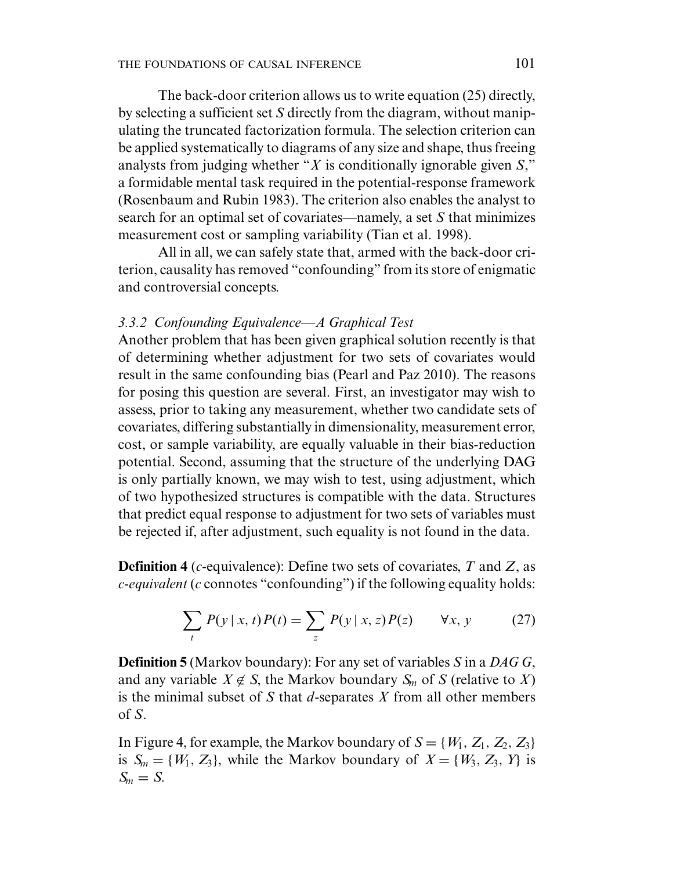The back-door criterion allows us to write equation (25) directly, by selecting a sufficient set *S* directly from the diagram, without manipulating the truncated factorization formula. The selection criterion can be applied systematically to diagrams of any size and shape, thus freeing analysts from judging whether "*X* is conditionally ignorable given *S*," a formidable mental task required in the potential-response framework (Rosenbaum and Rubin 1983). The criterion also enables the analyst to search for an optimal set of covariates—namely, a set *S* that minimizes measurement cost or sampling variability (Tian et al. 1998).

All in all, we can safely state that, armed with the back-door criterion, causality has removed "confounding" from its store of enigmatic and controversial concepts.

### *3.3.2 Confounding Equivalence—A Graphical Test*

Another problem that has been given graphical solution recently is that of determining whether adjustment for two sets of covariates would result in the same confounding bias (Pearl and Paz 2010). The reasons for posing this question are several. First, an investigator may wish to assess, prior to taking any measurement, whether two candidate sets of covariates, differing substantially in dimensionality, measurement error, cost, or sample variability, are equally valuable in their bias-reduction potential. Second, assuming that the structure of the underlying DAG is only partially known, we may wish to test, using adjustment, which of two hypothesized structures is compatible with the data. Structures that predict equal response to adjustment for two sets of variables must be rejected if, after adjustment, such equality is not found in the data.

**Definition 4** (*c*-equivalence): Define two sets of covariates, *T* and *Z*, as *c-equivalent* (*c* connotes "confounding") if the following equality holds:

$$
\sum_{t} P(y | x, t) P(t) = \sum_{z} P(y | x, z) P(z) \qquad \forall x, y \qquad (27)
$$

**Definition 5** (Markov boundary): For any set of variables *S* in a *DAG G*, and any variable  $X \notin S$ , the Markov boundary  $S_m$  of *S* (relative to *X*) is the minimal subset of *S* that *d*-separates *X* from all other members of *S*.

In Figure 4, for example, the Markov boundary of  $S = \{W_1, Z_1, Z_2, Z_3\}$ is  $S_m = \{W_1, Z_3\}$ , while the Markov boundary of  $X = \{W_3, Z_3, Y\}$  is  $S_m = S$ .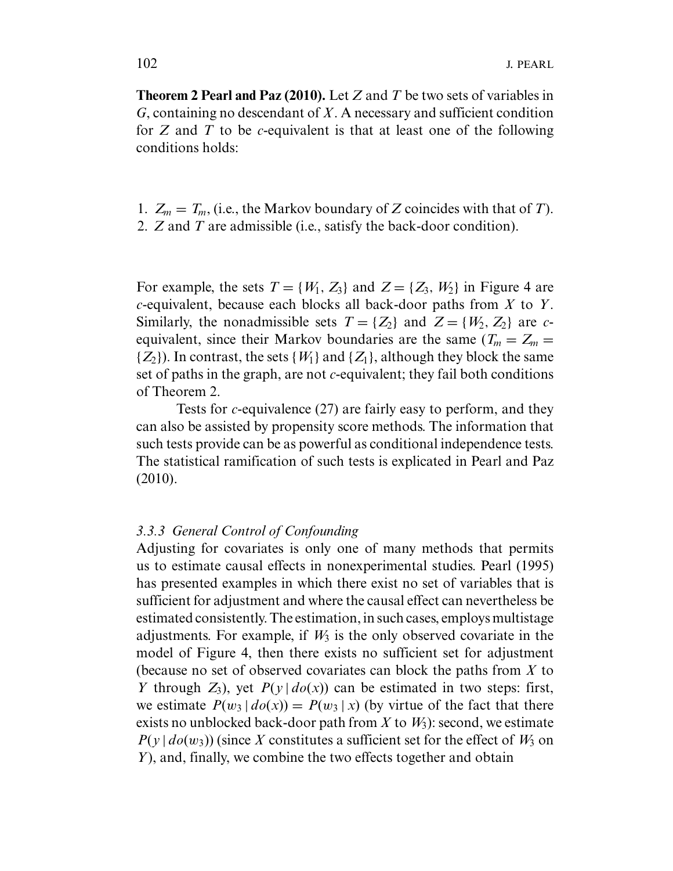**Theorem 2 Pearl and Paz (2010).** Let *Z* and *T* be two sets of variables in *G*, containing no descendant of *X*. A necessary and sufficient condition for *Z* and *T* to be *c*-equivalent is that at least one of the following conditions holds:

- 1.  $Z_m = T_m$ , (i.e., the Markov boundary of *Z* coincides with that of *T*).
- 2. *Z* and *T* are admissible (i.e., satisfy the back-door condition).

For example, the sets  $T = \{W_1, Z_3\}$  and  $Z = \{Z_3, W_2\}$  in Figure 4 are *c*-equivalent, because each blocks all back-door paths from *X* to *Y*. Similarly, the nonadmissible sets  $T = \{Z_2\}$  and  $Z = \{W_2, Z_2\}$  are *c*equivalent, since their Markov boundaries are the same  $(T_m = Z_m =$  $\{Z_2\}$ ). In contrast, the sets  $\{W_1\}$  and  $\{Z_1\}$ , although they block the same set of paths in the graph, are not *c*-equivalent; they fail both conditions of Theorem 2.

Tests for *c*-equivalence (27) are fairly easy to perform, and they can also be assisted by propensity score methods. The information that such tests provide can be as powerful as conditional independence tests. The statistical ramification of such tests is explicated in Pearl and Paz (2010).

### *3.3.3 General Control of Confounding*

Adjusting for covariates is only one of many methods that permits us to estimate causal effects in nonexperimental studies. Pearl (1995) has presented examples in which there exist no set of variables that is sufficient for adjustment and where the causal effect can nevertheless be estimated consistently. The estimation, in such cases, employs multistage adjustments. For example, if  $W_3$  is the only observed covariate in the model of Figure 4, then there exists no sufficient set for adjustment (because no set of observed covariates can block the paths from *X* to *Y* through *Z*<sub>3</sub>), yet  $P(y | do(x))$  can be estimated in two steps: first, we estimate  $P(w_3 | do(x)) = P(w_3 | x)$  (by virtue of the fact that there exists no unblocked back-door path from *X* to  $W_3$ ): second, we estimate  $P(y \mid do(w_3))$  (since *X* constitutes a sufficient set for the effect of *W*<sub>3</sub> on *Y*), and, finally, we combine the two effects together and obtain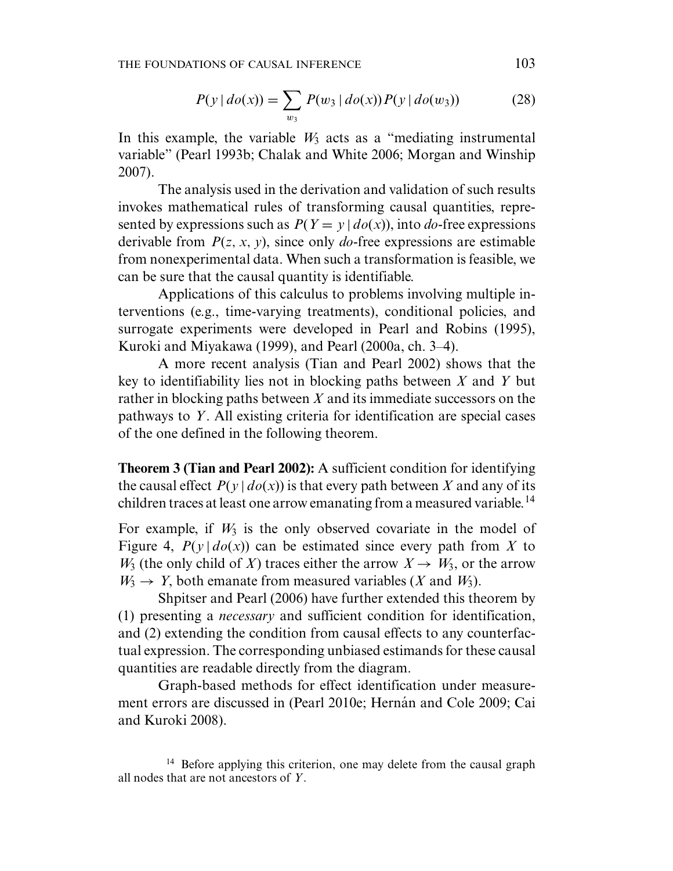$$
P(y | do(x)) = \sum_{w_3} P(w_3 | do(x)) P(y | do(w_3))
$$
 (28)

In this example, the variable  $W_3$  acts as a "mediating instrumental" variable" (Pearl 1993b; Chalak and White 2006; Morgan and Winship 2007).

The analysis used in the derivation and validation of such results invokes mathematical rules of transforming causal quantities, represented by expressions such as  $P(Y = y | do(x))$ , into *do*-free expressions derivable from  $P(z, x, y)$ , since only *do*-free expressions are estimable from nonexperimental data. When such a transformation is feasible, we can be sure that the causal quantity is identifiable.

Applications of this calculus to problems involving multiple interventions (e.g., time-varying treatments), conditional policies, and surrogate experiments were developed in Pearl and Robins (1995), Kuroki and Miyakawa (1999), and Pearl (2000a, ch. 3–4).

A more recent analysis (Tian and Pearl 2002) shows that the key to identifiability lies not in blocking paths between *X* and *Y* but rather in blocking paths between *X* and its immediate successors on the pathways to *Y*. All existing criteria for identification are special cases of the one defined in the following theorem.

**Theorem 3 (Tian and Pearl 2002):** A sufficient condition for identifying the causal effect  $P(y | do(x))$  is that every path between X and any of its children traces at least one arrow emanating from a measured variable.<sup>14</sup>

For example, if  $W_3$  is the only observed covariate in the model of Figure 4,  $P(y | do(x))$  can be estimated since every path from X to *W*<sub>3</sub> (the only child of *X*) traces either the arrow  $X \rightarrow W_3$ , or the arrow  $W_3 \rightarrow Y$ , both emanate from measured variables (*X* and *W*<sub>3</sub>).

Shpitser and Pearl (2006) have further extended this theorem by (1) presenting a *necessary* and sufficient condition for identification, and (2) extending the condition from causal effects to any counterfactual expression. The corresponding unbiased estimands for these causal quantities are readable directly from the diagram.

Graph-based methods for effect identification under measurement errors are discussed in (Pearl 2010e; Hernán and Cole 2009; Cai and Kuroki 2008).

<sup>&</sup>lt;sup>14</sup> Before applying this criterion, one may delete from the causal graph all nodes that are not ancestors of *Y*.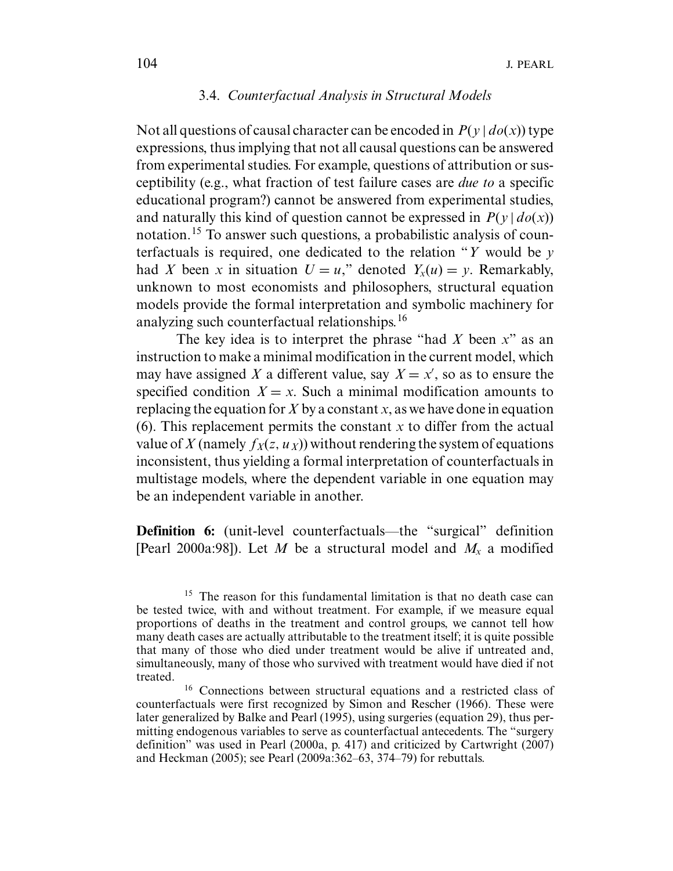#### 3.4. *Counterfactual Analysis in Structural Models*

Not all questions of causal character can be encoded in  $P(y | do(x))$  type expressions, thus implying that not all causal questions can be answered from experimental studies. For example, questions of attribution or susceptibility (e.g., what fraction of test failure cases are *due to* a specific educational program?) cannot be answered from experimental studies, and naturally this kind of question cannot be expressed in  $P(y | do(x))$ notation.<sup>15</sup> To answer such questions, a probabilistic analysis of counterfactuals is required, one dedicated to the relation "*Y* would be *y* had *X* been *x* in situation  $U = u$ ," denoted  $Y_x(u) = y$ . Remarkably, unknown to most economists and philosophers, structural equation models provide the formal interpretation and symbolic machinery for analyzing such counterfactual relationships.<sup>16</sup>

The key idea is to interpret the phrase "had *X* been *x*" as an instruction to make a minimal modification in the current model, which may have assigned *X* a different value, say  $X = x'$ , so as to ensure the specified condition  $X = x$ . Such a minimal modification amounts to replacing the equation for *X* by a constant *x*, as we have done in equation (6). This replacement permits the constant *x* to differ from the actual value of *X* (namely  $f_X(z, u_X)$ ) without rendering the system of equations inconsistent, thus yielding a formal interpretation of counterfactuals in multistage models, where the dependent variable in one equation may be an independent variable in another.

**Definition 6:** (unit-level counterfactuals—the "surgical" definition [Pearl 2000a:98]). Let *M* be a structural model and  $M_x$  a modified

<sup>15</sup> The reason for this fundamental limitation is that no death case can be tested twice, with and without treatment. For example, if we measure equal proportions of deaths in the treatment and control groups, we cannot tell how many death cases are actually attributable to the treatment itself; it is quite possible that many of those who died under treatment would be alive if untreated and, simultaneously, many of those who survived with treatment would have died if not treated.

<sup>16</sup> Connections between structural equations and a restricted class of counterfactuals were first recognized by Simon and Rescher (1966). These were later generalized by Balke and Pearl (1995), using surgeries (equation 29), thus permitting endogenous variables to serve as counterfactual antecedents. The "surgery definition" was used in Pearl (2000a, p. 417) and criticized by Cartwright (2007) and Heckman (2005); see Pearl (2009a:362–63, 374–79) for rebuttals.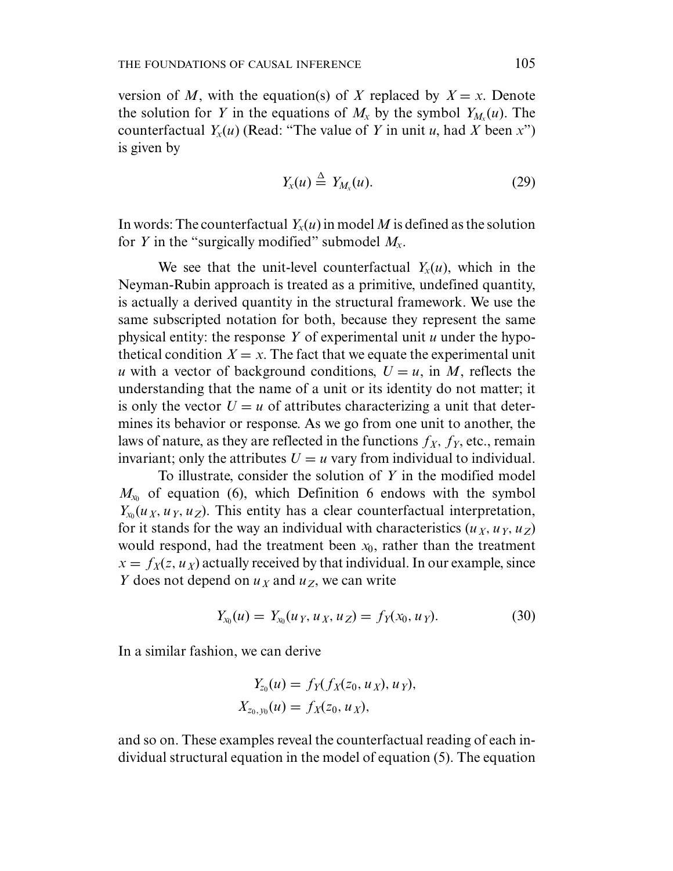version of *M*, with the equation(s) of *X* replaced by  $X = x$ . Denote the solution for *Y* in the equations of  $M_x$  by the symbol  $Y_{M_x}(u)$ . The counterfactual  $Y_x(u)$  (Read: "The value of *Y* in unit *u*, had *X* been *x*") is given by

$$
Y_x(u) \stackrel{\Delta}{=} Y_{M_x}(u). \tag{29}
$$

In words: The counterfactual  $Y_x(u)$  in model M is defined as the solution for *Y* in the "surgically modified" submodel  $M_x$ .

We see that the unit-level counterfactual  $Y_x(u)$ , which in the Neyman-Rubin approach is treated as a primitive, undefined quantity, is actually a derived quantity in the structural framework. We use the same subscripted notation for both, because they represent the same physical entity: the response *Y* of experimental unit *u* under the hypothetical condition  $X = x$ . The fact that we equate the experimental unit *u* with a vector of background conditions,  $U = u$ , in *M*, reflects the understanding that the name of a unit or its identity do not matter; it is only the vector  $U = u$  of attributes characterizing a unit that determines its behavior or response. As we go from one unit to another, the laws of nature, as they are reflected in the functions  $f_X$ ,  $f_Y$ , etc., remain invariant; only the attributes  $U = u$  vary from individual to individual.

To illustrate, consider the solution of *Y* in the modified model  $M_{x_0}$  of equation (6), which Definition 6 endows with the symbol  $Y_{x_0}(u_X, u_Y, u_Z)$ . This entity has a clear counterfactual interpretation, for it stands for the way an individual with characteristics  $(u_X, u_Y, u_Z)$ would respond, had the treatment been  $x_0$ , rather than the treatment  $x = f_X(z, u_X)$  actually received by that individual. In our example, since *Y* does not depend on  $u_X$  and  $u_Z$ , we can write

$$
Y_{x_0}(u) = Y_{x_0}(u_Y, u_X, u_Z) = f_Y(x_0, u_Y). \tag{30}
$$

In a similar fashion, we can derive

$$
Y_{z_0}(u) = f_Y(f_X(z_0, u_X), u_Y),
$$
  

$$
X_{z_0, y_0}(u) = f_X(z_0, u_X),
$$

and so on. These examples reveal the counterfactual reading of each individual structural equation in the model of equation (5). The equation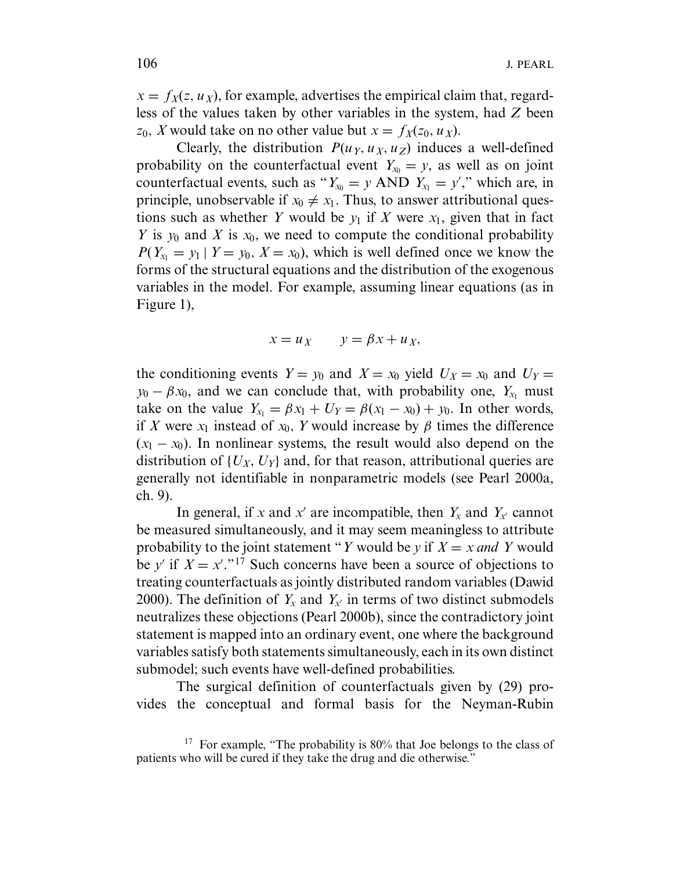$x = f_X(z, u_X)$ , for example, advertises the empirical claim that, regardless of the values taken by other variables in the system, had *Z* been  $z_0$ , *X* would take on no other value but  $x = f_X(z_0, u_X)$ .

Clearly, the distribution  $P(u_Y, u_X, u_Z)$  induces a well-defined probability on the counterfactual event  $Y_{x_0} = y$ , as well as on joint counterfactual events, such as " $Y_{x_0} = y$  AND  $Y_{x_1} = y'$ ," which are, in principle, unobservable if  $x_0 \neq x_1$ . Thus, to answer attributional questions such as whether *Y* would be  $y_1$  if *X* were  $x_1$ , given that in fact *Y* is  $y_0$  and *X* is  $x_0$ , we need to compute the conditional probability  $P(Y_{x_1} = y_1 | Y = y_0, X = x_0)$ , which is well defined once we know the forms of the structural equations and the distribution of the exogenous variables in the model. For example, assuming linear equations (as in Figure 1),

$$
x = u_X \qquad y = \beta x + u_X,
$$

the conditioning events  $Y = y_0$  and  $X = x_0$  yield  $U_X = x_0$  and  $U_Y = x_0$  $y_0 - \beta x_0$ , and we can conclude that, with probability one,  $Y_{x_1}$  must take on the value  $Y_{x_1} = \beta x_1 + U_Y = \beta(x_1 - x_0) + y_0$ . In other words, if *X* were  $x_1$  instead of  $x_0$ , *Y* would increase by  $\beta$  times the difference  $(x_1 - x_0)$ . In nonlinear systems, the result would also depend on the distribution of {*UX*,*UY*} and, for that reason, attributional queries are generally not identifiable in nonparametric models (see Pearl 2000a, ch. 9).

In general, if *x* and *x'* are incompatible, then  $Y_x$  and  $Y_{x'}$  cannot be measured simultaneously, and it may seem meaningless to attribute probability to the joint statement "*Y* would be *y* if  $X = x$  *and Y* would be *y'* if  $X = x'$ ."<sup>17</sup> Such concerns have been a source of objections to treating counterfactuals as jointly distributed random variables (Dawid 2000). The definition of  $Y_x$  and  $Y_{x'}$  in terms of two distinct submodels neutralizes these objections (Pearl 2000b), since the contradictory joint statement is mapped into an ordinary event, one where the background variables satisfy both statements simultaneously, each in its own distinct submodel; such events have well-defined probabilities.

The surgical definition of counterfactuals given by (29) provides the conceptual and formal basis for the Neyman-Rubin

<sup>&</sup>lt;sup>17</sup> For example, "The probability is 80% that Joe belongs to the class of patients who will be cured if they take the drug and die otherwise."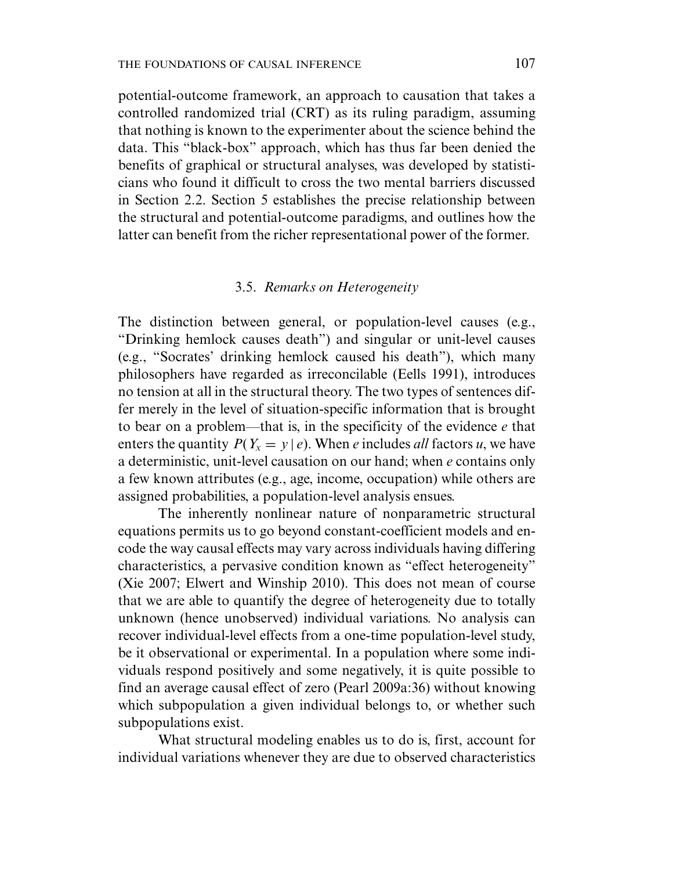potential-outcome framework, an approach to causation that takes a controlled randomized trial (CRT) as its ruling paradigm, assuming that nothing is known to the experimenter about the science behind the data. This "black-box" approach, which has thus far been denied the benefits of graphical or structural analyses, was developed by statisticians who found it difficult to cross the two mental barriers discussed in Section 2.2. Section 5 establishes the precise relationship between the structural and potential-outcome paradigms, and outlines how the latter can benefit from the richer representational power of the former.

#### 3.5. *Remarks on Heterogeneity*

The distinction between general, or population-level causes (e.g., "Drinking hemlock causes death") and singular or unit-level causes (e.g., "Socrates' drinking hemlock caused his death"), which many philosophers have regarded as irreconcilable (Eells 1991), introduces no tension at all in the structural theory. The two types of sentences differ merely in the level of situation-specific information that is brought to bear on a problem—that is, in the specificity of the evidence *e* that enters the quantity  $P(Y_x = y | e)$ . When *e* includes *all* factors *u*, we have a deterministic, unit-level causation on our hand; when *e* contains only a few known attributes (e.g., age, income, occupation) while others are assigned probabilities, a population-level analysis ensues.

The inherently nonlinear nature of nonparametric structural equations permits us to go beyond constant-coefficient models and encode the way causal effects may vary across individuals having differing characteristics, a pervasive condition known as "effect heterogeneity" (Xie 2007; Elwert and Winship 2010). This does not mean of course that we are able to quantify the degree of heterogeneity due to totally unknown (hence unobserved) individual variations. No analysis can recover individual-level effects from a one-time population-level study, be it observational or experimental. In a population where some individuals respond positively and some negatively, it is quite possible to find an average causal effect of zero (Pearl 2009a:36) without knowing which subpopulation a given individual belongs to, or whether such subpopulations exist.

What structural modeling enables us to do is, first, account for individual variations whenever they are due to observed characteristics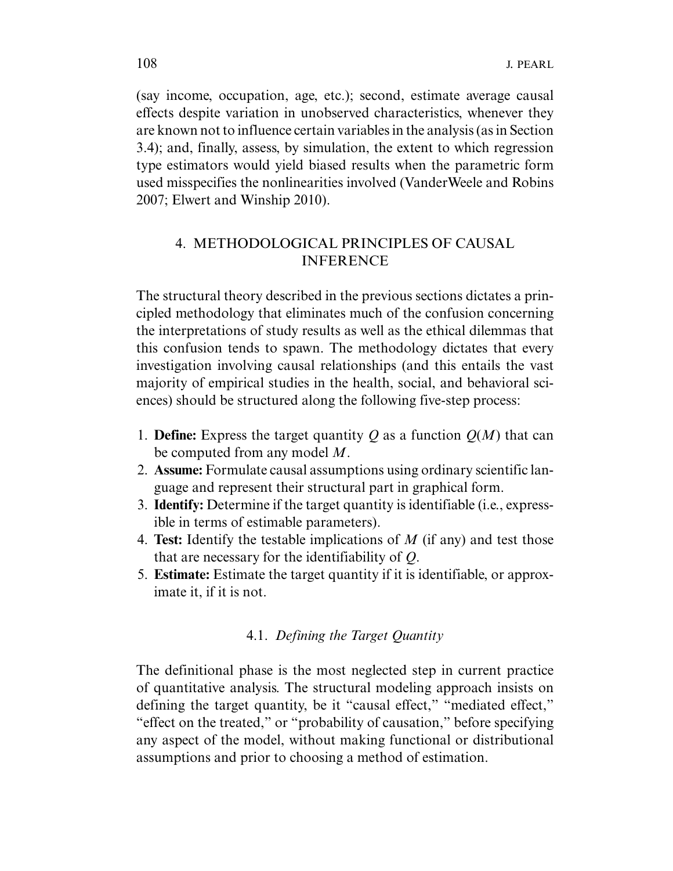(say income, occupation, age, etc.); second, estimate average causal effects despite variation in unobserved characteristics, whenever they are known not to influence certain variables in the analysis (as in Section 3.4); and, finally, assess, by simulation, the extent to which regression type estimators would yield biased results when the parametric form used misspecifies the nonlinearities involved (VanderWeele and Robins 2007; Elwert and Winship 2010).

## 4. METHODOLOGICAL PRINCIPLES OF CAUSAL INFERENCE

The structural theory described in the previous sections dictates a principled methodology that eliminates much of the confusion concerning the interpretations of study results as well as the ethical dilemmas that this confusion tends to spawn. The methodology dictates that every investigation involving causal relationships (and this entails the vast majority of empirical studies in the health, social, and behavioral sciences) should be structured along the following five-step process:

- 1. **Define:** Express the target quantity  $Q$  as a function  $Q(M)$  that can be computed from any model *M*.
- 2. **Assume:** Formulate causal assumptions using ordinary scientific language and represent their structural part in graphical form.
- 3. **Identify:** Determine if the target quantity is identifiable (i.e., expressible in terms of estimable parameters).
- 4. **Test:** Identify the testable implications of *M* (if any) and test those that are necessary for the identifiability of *Q*.
- 5. **Estimate:** Estimate the target quantity if it is identifiable, or approximate it, if it is not.

## 4.1. *Defining the Target Quantity*

The definitional phase is the most neglected step in current practice of quantitative analysis. The structural modeling approach insists on defining the target quantity, be it "causal effect," "mediated effect," "effect on the treated," or "probability of causation," before specifying any aspect of the model, without making functional or distributional assumptions and prior to choosing a method of estimation.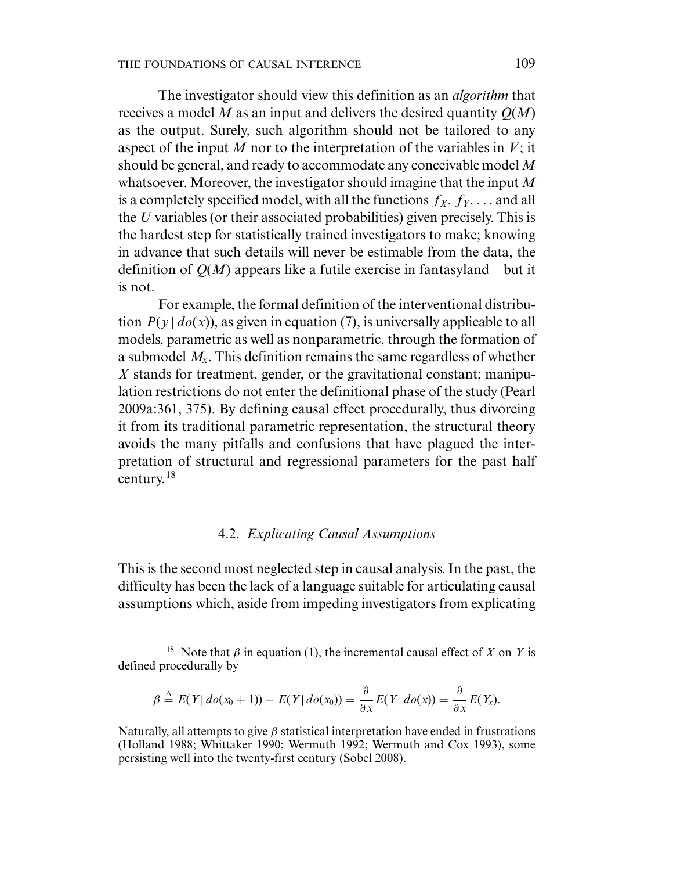The investigator should view this definition as an *algorithm* that receives a model *M* as an input and delivers the desired quantity  $Q(M)$ as the output. Surely, such algorithm should not be tailored to any aspect of the input *M* nor to the interpretation of the variables in *V*; it should be general, and ready to accommodate any conceivable model *M* whatsoever. Moreover, the investigator should imagine that the input *M* is a completely specified model, with all the functions  $f_X, f_Y, \ldots$  and all the *U* variables (or their associated probabilities) given precisely. This is the hardest step for statistically trained investigators to make; knowing in advance that such details will never be estimable from the data, the definition of *Q*(*M*) appears like a futile exercise in fantasyland—but it is not.

For example, the formal definition of the interventional distribution  $P(y | do(x))$ , as given in equation (7), is universally applicable to all models, parametric as well as nonparametric, through the formation of a submodel *Mx*. This definition remains the same regardless of whether *X* stands for treatment, gender, or the gravitational constant; manipulation restrictions do not enter the definitional phase of the study (Pearl 2009a:361, 375). By defining causal effect procedurally, thus divorcing it from its traditional parametric representation, the structural theory avoids the many pitfalls and confusions that have plagued the interpretation of structural and regressional parameters for the past half century.<sup>18</sup>

## 4.2. *Explicating Causal Assumptions*

This is the second most neglected step in causal analysis. In the past, the difficulty has been the lack of a language suitable for articulating causal assumptions which, aside from impeding investigators from explicating

<sup>18</sup> Note that  $\beta$  in equation (1), the incremental causal effect of *X* on *Y* is defined procedurally by

$$
\beta \stackrel{\Delta}{=} E(Y \mid do(x_0 + 1)) - E(Y \mid do(x_0)) = \frac{\partial}{\partial x} E(Y \mid do(x)) = \frac{\partial}{\partial x} E(Y_x).
$$

Naturally, all attempts to give  $\beta$  statistical interpretation have ended in frustrations (Holland 1988; Whittaker 1990; Wermuth 1992; Wermuth and Cox 1993), some persisting well into the twenty-first century (Sobel 2008).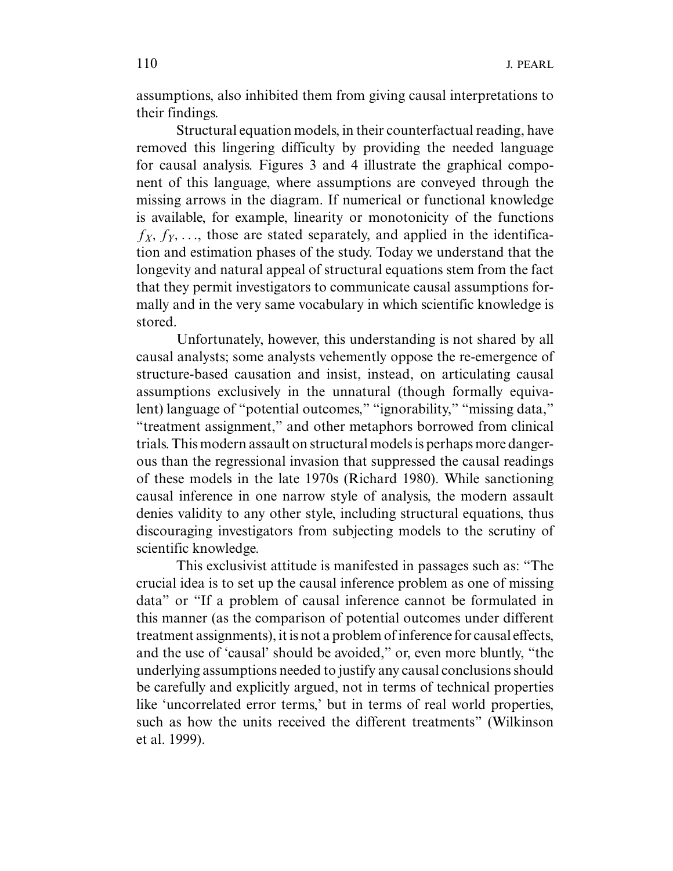assumptions, also inhibited them from giving causal interpretations to their findings.

Structural equation models, in their counterfactual reading, have removed this lingering difficulty by providing the needed language for causal analysis. Figures 3 and 4 illustrate the graphical component of this language, where assumptions are conveyed through the missing arrows in the diagram. If numerical or functional knowledge is available, for example, linearity or monotonicity of the functions  $f_X, f_Y, \ldots$ , those are stated separately, and applied in the identification and estimation phases of the study. Today we understand that the longevity and natural appeal of structural equations stem from the fact that they permit investigators to communicate causal assumptions formally and in the very same vocabulary in which scientific knowledge is stored.

Unfortunately, however, this understanding is not shared by all causal analysts; some analysts vehemently oppose the re-emergence of structure-based causation and insist, instead, on articulating causal assumptions exclusively in the unnatural (though formally equivalent) language of "potential outcomes," "ignorability," "missing data," "treatment assignment," and other metaphors borrowed from clinical trials. This modern assault on structural models is perhaps more dangerous than the regressional invasion that suppressed the causal readings of these models in the late 1970s (Richard 1980). While sanctioning causal inference in one narrow style of analysis, the modern assault denies validity to any other style, including structural equations, thus discouraging investigators from subjecting models to the scrutiny of scientific knowledge.

This exclusivist attitude is manifested in passages such as: "The crucial idea is to set up the causal inference problem as one of missing data" or "If a problem of causal inference cannot be formulated in this manner (as the comparison of potential outcomes under different treatment assignments), it is not a problem of inference for causal effects, and the use of 'causal' should be avoided," or, even more bluntly, "the underlying assumptions needed to justify any causal conclusions should be carefully and explicitly argued, not in terms of technical properties like 'uncorrelated error terms,' but in terms of real world properties, such as how the units received the different treatments" (Wilkinson et al. 1999).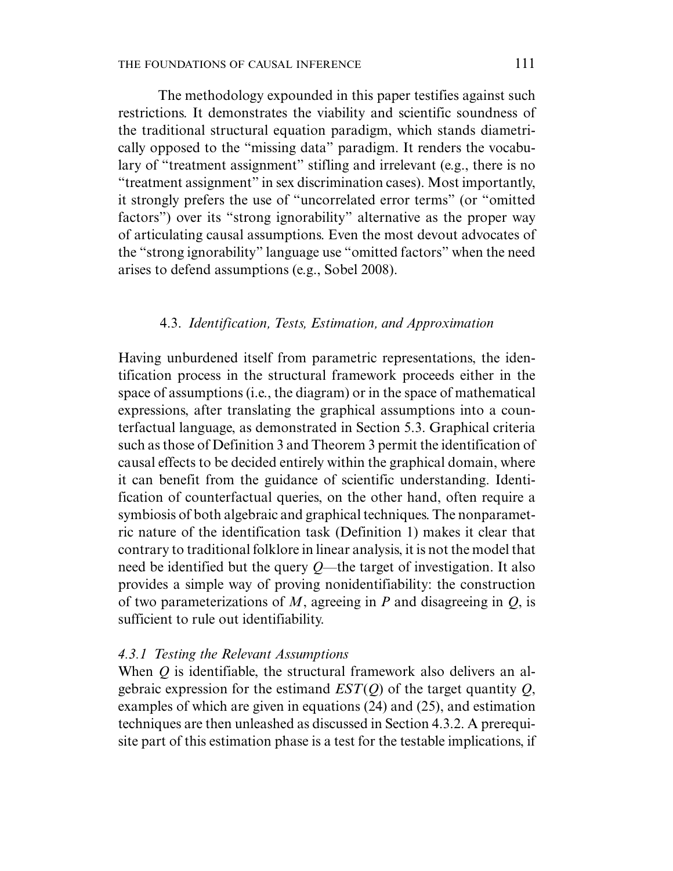The methodology expounded in this paper testifies against such restrictions. It demonstrates the viability and scientific soundness of the traditional structural equation paradigm, which stands diametrically opposed to the "missing data" paradigm. It renders the vocabulary of "treatment assignment" stifling and irrelevant (e.g., there is no "treatment assignment" in sex discrimination cases). Most importantly, it strongly prefers the use of "uncorrelated error terms" (or "omitted factors") over its "strong ignorability" alternative as the proper way of articulating causal assumptions. Even the most devout advocates of the "strong ignorability" language use "omitted factors" when the need arises to defend assumptions (e.g., Sobel 2008).

# 4.3. *Identification, Tests, Estimation, and Approximation*

Having unburdened itself from parametric representations, the identification process in the structural framework proceeds either in the space of assumptions (i.e., the diagram) or in the space of mathematical expressions, after translating the graphical assumptions into a counterfactual language, as demonstrated in Section 5.3. Graphical criteria such as those of Definition 3 and Theorem 3 permit the identification of causal effects to be decided entirely within the graphical domain, where it can benefit from the guidance of scientific understanding. Identification of counterfactual queries, on the other hand, often require a symbiosis of both algebraic and graphical techniques. The nonparametric nature of the identification task (Definition 1) makes it clear that contrary to traditional folklore in linear analysis, it is not the model that need be identified but the query *Q*—the target of investigation. It also provides a simple way of proving nonidentifiability: the construction of two parameterizations of *M*, agreeing in *P* and disagreeing in *Q*, is sufficient to rule out identifiability.

# *4.3.1 Testing the Relevant Assumptions*

When *Q* is identifiable, the structural framework also delivers an algebraic expression for the estimand *EST*(*Q*) of the target quantity *Q*, examples of which are given in equations (24) and (25), and estimation techniques are then unleashed as discussed in Section 4.3.2. A prerequisite part of this estimation phase is a test for the testable implications, if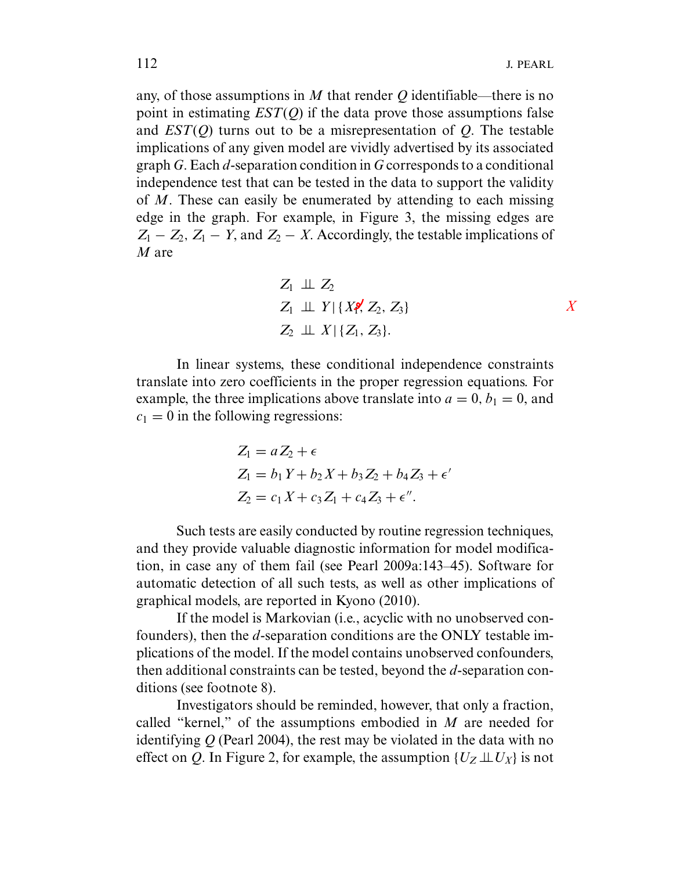any, of those assumptions in *M* that render *Q* identifiable—there is no point in estimating *EST*(*Q*) if the data prove those assumptions false and *EST*(*Q*) turns out to be a misrepresentation of *Q*. The testable implications of any given model are vividly advertised by its associated graph *G*. Each *d*-separation condition in *G* corresponds to a conditional independence test that can be tested in the data to support the validity of *M*. These can easily be enumerated by attending to each missing edge in the graph. For example, in Figure 3, the missing edges are  $Z_1 - Z_2$ ,  $Z_1 - Y$ , and  $Z_2 - X$ . Accordingly, the testable implications of *M* are

$$
Z_1 \perp \!\!\!\perp Z_2
$$
  
\n
$$
Z_1 \perp \!\!\!\perp Y | \{X_1^{\prime\!\!\prime}, Z_2, Z_3\}
$$
  
\n
$$
Z_2 \perp \!\!\!\perp X | \{Z_1, Z_3\}.
$$

In linear systems, these conditional independence constraints translate into zero coefficients in the proper regression equations. For example, the three implications above translate into  $a = 0, b_1 = 0$ , and  $c_1 = 0$  in the following regressions:

$$
Z_1 = a Z_2 + \epsilon
$$
  
\n
$$
Z_1 = b_1 Y + b_2 X + b_3 Z_2 + b_4 Z_3 + \epsilon'
$$
  
\n
$$
Z_2 = c_1 X + c_3 Z_1 + c_4 Z_3 + \epsilon''.
$$

Such tests are easily conducted by routine regression techniques, and they provide valuable diagnostic information for model modification, in case any of them fail (see Pearl 2009a:143–45). Software for automatic detection of all such tests, as well as other implications of graphical models, are reported in Kyono (2010).

If the model is Markovian (i.e., acyclic with no unobserved confounders), then the *d*-separation conditions are the ONLY testable implications of the model. If the model contains unobserved confounders, then additional constraints can be tested, beyond the *d*-separation conditions (see footnote 8).

Investigators should be reminded, however, that only a fraction, called "kernel," of the assumptions embodied in *M* are needed for identifying *Q* (Pearl 2004), the rest may be violated in the data with no effect on *Q*. In Figure 2, for example, the assumption  $\{U_Z \perp U_X\}$  is not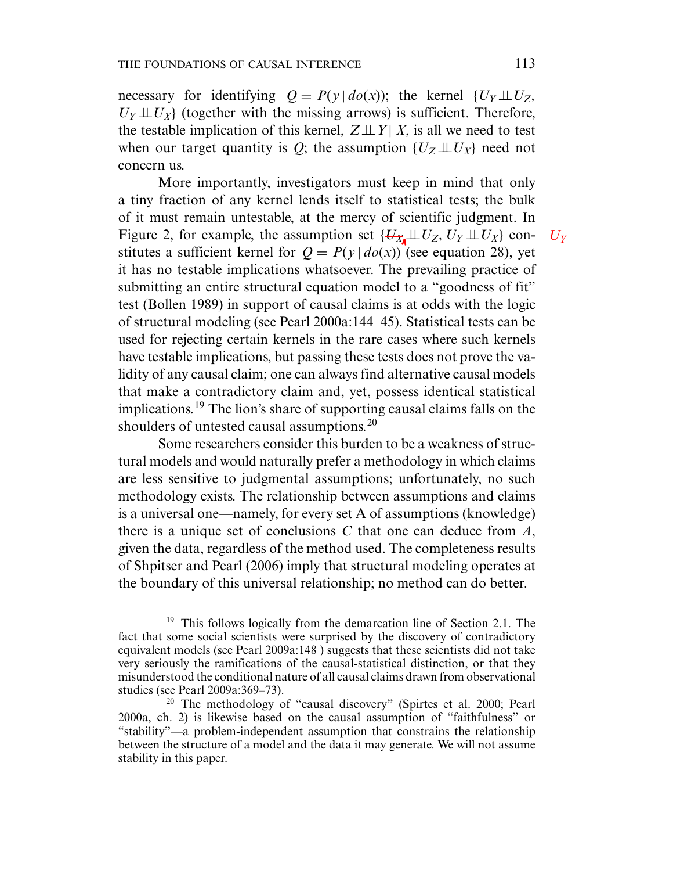necessary for identifying  $Q = P(y | do(x))$ ; the kernel  $\{U_Y \perp U_Z,$  $U_Y \perp\!\!\!\perp U_X$ } (together with the missing arrows) is sufficient. Therefore, the testable implication of this kernel,  $Z \perp Y | X$ , is all we need to test when our target quantity is *Q*; the assumption  $\{U_Z \perp U_X\}$  need not concern us.

More importantly, investigators must keep in mind that only a tiny fraction of any kernel lends itself to statistical tests; the bulk of it must remain untestable, at the mercy of scientific judgment. In Figure 2, for example, the assumption set  $\{U_{\mathcal{X}_A} \perp \!\!\! \perp U_Z, U_Y \perp \!\!\! \perp U_X\}$  constitutes a sufficient kernel for  $Q = P(y | do(x))$  (see equation 28), yet it has no testable implications whatsoever. The prevailing practice of submitting an entire structural equation model to a "goodness of fit" test (Bollen 1989) in support of causal claims is at odds with the logic of structural modeling (see Pearl 2000a:144–45). Statistical tests can be used for rejecting certain kernels in the rare cases where such kernels have testable implications, but passing these tests does not prove the validity of any causal claim; one can always find alternative causal models that make a contradictory claim and, yet, possess identical statistical implications.<sup>19</sup> The lion's share of supporting causal claims falls on the shoulders of untested causal assumptions.<sup>20</sup>

Some researchers consider this burden to be a weakness of structural models and would naturally prefer a methodology in which claims are less sensitive to judgmental assumptions; unfortunately, no such methodology exists. The relationship between assumptions and claims is a universal one—namely, for every set A of assumptions (knowledge) there is a unique set of conclusions *C* that one can deduce from *A*, given the data, regardless of the method used. The completeness results of Shpitser and Pearl (2006) imply that structural modeling operates at the boundary of this universal relationship; no method can do better.

*UY*

<sup>&</sup>lt;sup>19</sup> This follows logically from the demarcation line of Section 2.1. The fact that some social scientists were surprised by the discovery of contradictory equivalent models (see Pearl 2009a:148 ) suggests that these scientists did not take very seriously the ramifications of the causal-statistical distinction, or that they misunderstood the conditional nature of all causal claims drawn from observational studies (see Pearl 2009a:369–73).

<sup>&</sup>lt;sup>20</sup> The methodology of "causal discovery" (Spirtes et al. 2000; Pearl 2000a, ch. 2) is likewise based on the causal assumption of "faithfulness" or "stability"—a problem-independent assumption that constrains the relationship between the structure of a model and the data it may generate. We will not assume stability in this paper.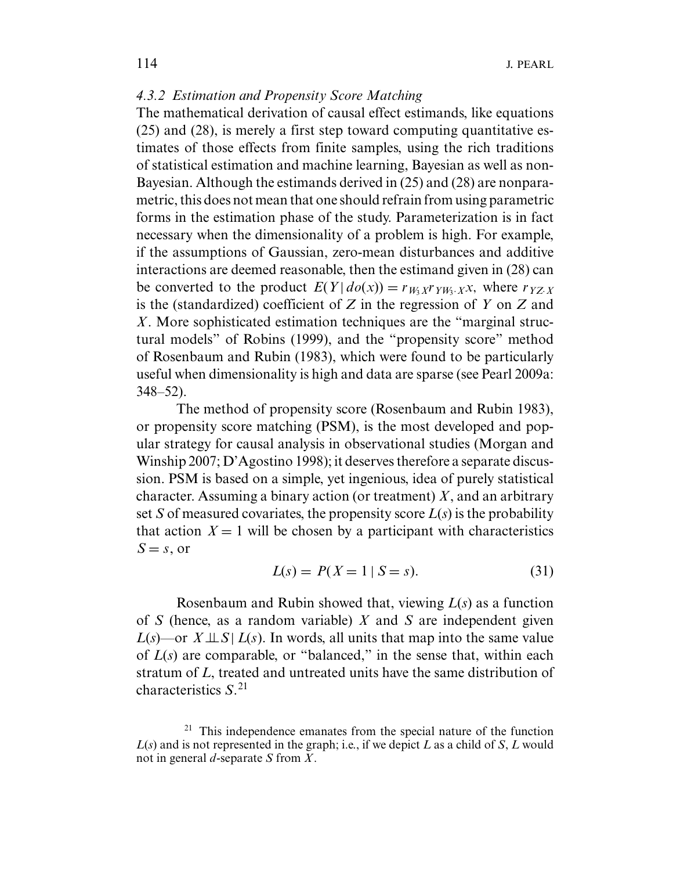#### *4.3.2 Estimation and Propensity Score Matching*

The mathematical derivation of causal effect estimands, like equations (25) and (28), is merely a first step toward computing quantitative estimates of those effects from finite samples, using the rich traditions of statistical estimation and machine learning, Bayesian as well as non-Bayesian. Although the estimands derived in (25) and (28) are nonparametric, this does not mean that one should refrain from using parametric forms in the estimation phase of the study. Parameterization is in fact necessary when the dimensionality of a problem is high. For example, if the assumptions of Gaussian, zero-mean disturbances and additive interactions are deemed reasonable, then the estimand given in (28) can be converted to the product  $E(Y|do(x)) = r_{W_3} x^r y_{W_3} x^r$ , where  $r_{YZ} x$ is the (standardized) coefficient of *Z* in the regression of *Y* on *Z* and *X*. More sophisticated estimation techniques are the "marginal structural models" of Robins (1999), and the "propensity score" method of Rosenbaum and Rubin (1983), which were found to be particularly useful when dimensionality is high and data are sparse (see Pearl 2009a: 348–52).

The method of propensity score (Rosenbaum and Rubin 1983), or propensity score matching (PSM), is the most developed and popular strategy for causal analysis in observational studies (Morgan and Winship 2007; D'Agostino 1998); it deserves therefore a separate discussion. PSM is based on a simple, yet ingenious, idea of purely statistical character. Assuming a binary action (or treatment) *X*, and an arbitrary set *S* of measured covariates, the propensity score  $L(s)$  is the probability that action  $X = 1$  will be chosen by a participant with characteristics  $S = s$ , or

$$
L(s) = P(X = 1 | S = s).
$$
\n(31)

Rosenbaum and Rubin showed that, viewing *L*(*s*) as a function of *S* (hence, as a random variable) *X* and *S* are independent given *L*(*s*)—or *X* ⊥ *S*| *L*(*s*). In words, all units that map into the same value of *L*(*s*) are comparable, or "balanced," in the sense that, within each stratum of *L*, treated and untreated units have the same distribution of characteristics *S*. 21

 $21$  This independence emanates from the special nature of the function *L*(*s*) and is not represented in the graph; i.e., if we depict *L* as a child of *S*, *L* would not in general *d*-separate *S* from *X*.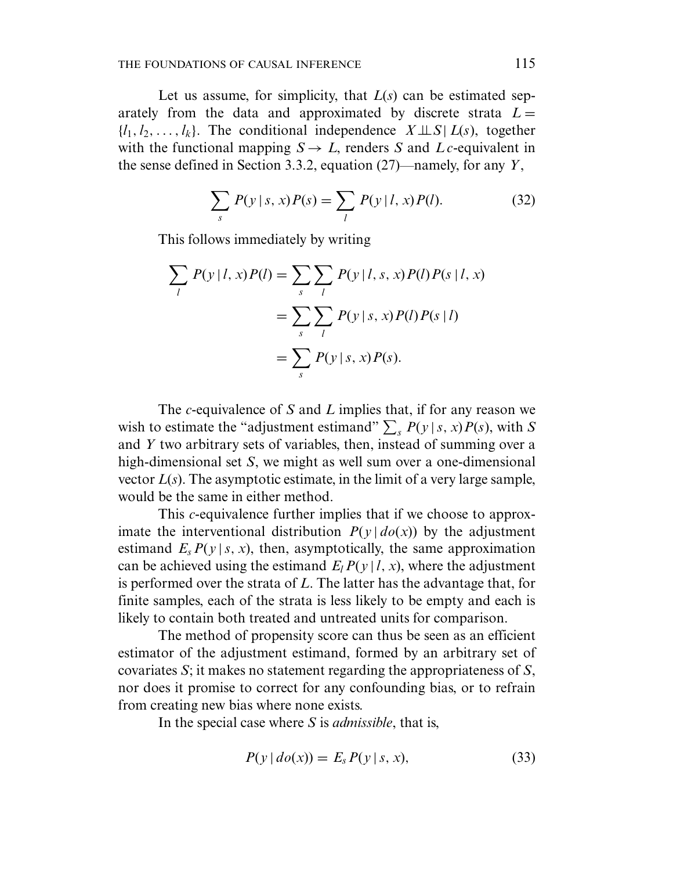Let us assume, for simplicity, that *L*(*s*) can be estimated separately from the data and approximated by discrete strata  $L =$  ${l_1, l_2, \ldots, l_k}$ . The conditional independence  $X \perp \!\!\!\perp S \mid L(s)$ , together with the functional mapping  $S \rightarrow L$ , renders *S* and *Lc*-equivalent in the sense defined in Section 3.3.2, equation (27)—namely, for any *Y*,

$$
\sum_{s} P(y \mid s, x) P(s) = \sum_{l} P(y \mid l, x) P(l). \tag{32}
$$

This follows immediately by writing

$$
\sum_{l} P(y | l, x) P(l) = \sum_{s} \sum_{l} P(y | l, s, x) P(l) P(s | l, x)
$$
  
= 
$$
\sum_{s} \sum_{l} P(y | s, x) P(l) P(s | l)
$$
  
= 
$$
\sum_{s} P(y | s, x) P(s).
$$

The *c*-equivalence of *S* and *L* implies that, if for any reason we wish to estimate the "adjustment estimand"  $\sum_{s} P(y \mid s, x) P(s)$ , with *S* and *Y* two arbitrary sets of variables, then, instead of summing over a high-dimensional set *S*, we might as well sum over a one-dimensional vector *L*(*s*). The asymptotic estimate, in the limit of a very large sample, would be the same in either method.

This *c*-equivalence further implies that if we choose to approximate the interventional distribution  $P(y | do(x))$  by the adjustment estimand  $E_s P(y | s, x)$ , then, asymptotically, the same approximation can be achieved using the estimand  $E_l P(y | l, x)$ , where the adjustment is performed over the strata of *L*. The latter has the advantage that, for finite samples, each of the strata is less likely to be empty and each is likely to contain both treated and untreated units for comparison.

The method of propensity score can thus be seen as an efficient estimator of the adjustment estimand, formed by an arbitrary set of covariates *S*; it makes no statement regarding the appropriateness of *S*, nor does it promise to correct for any confounding bias, or to refrain from creating new bias where none exists.

In the special case where *S* is *admissible*, that is,

$$
P(y | do(x)) = E_s P(y | s, x), \tag{33}
$$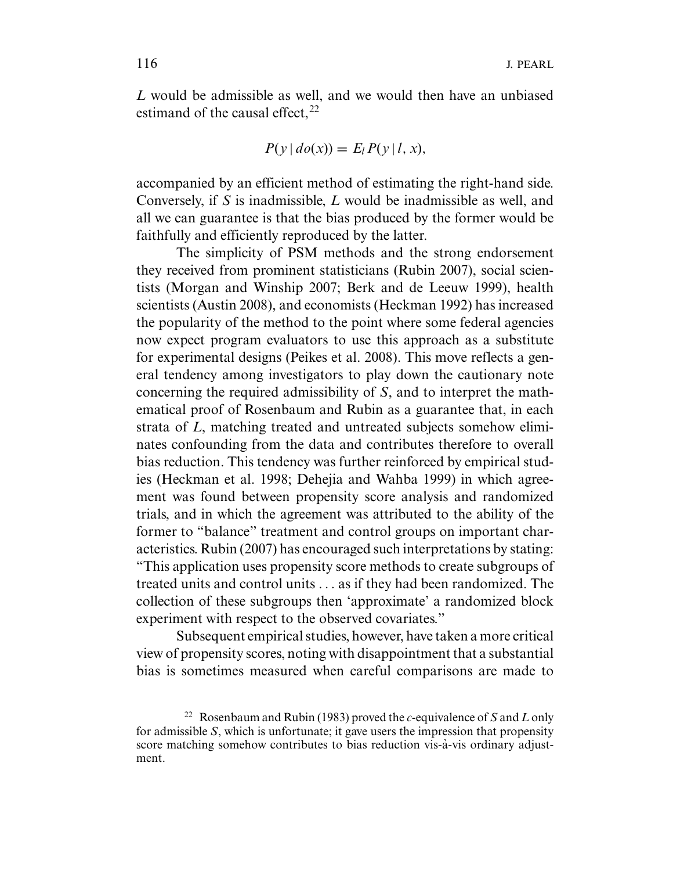*L* would be admissible as well, and we would then have an unbiased estimand of the causal effect, $^{22}$ 

$$
P(y | do(x)) = E_l P(y | l, x),
$$

accompanied by an efficient method of estimating the right-hand side. Conversely, if *S* is inadmissible, *L* would be inadmissible as well, and all we can guarantee is that the bias produced by the former would be faithfully and efficiently reproduced by the latter.

The simplicity of PSM methods and the strong endorsement they received from prominent statisticians (Rubin 2007), social scientists (Morgan and Winship 2007; Berk and de Leeuw 1999), health scientists (Austin 2008), and economists (Heckman 1992) has increased the popularity of the method to the point where some federal agencies now expect program evaluators to use this approach as a substitute for experimental designs (Peikes et al. 2008). This move reflects a general tendency among investigators to play down the cautionary note concerning the required admissibility of *S*, and to interpret the mathematical proof of Rosenbaum and Rubin as a guarantee that, in each strata of *L*, matching treated and untreated subjects somehow eliminates confounding from the data and contributes therefore to overall bias reduction. This tendency was further reinforced by empirical studies (Heckman et al. 1998; Dehejia and Wahba 1999) in which agreement was found between propensity score analysis and randomized trials, and in which the agreement was attributed to the ability of the former to "balance" treatment and control groups on important characteristics. Rubin (2007) has encouraged such interpretations by stating: "This application uses propensity score methods to create subgroups of treated units and control units ... as if they had been randomized. The collection of these subgroups then 'approximate' a randomized block experiment with respect to the observed covariates."

Subsequent empirical studies, however, have taken a more critical view of propensity scores, noting with disappointment that a substantial bias is sometimes measured when careful comparisons are made to

<sup>&</sup>lt;sup>22</sup> Rosenbaum and Rubin (1983) proved the *c*-equivalence of *S* and *L* only for admissible *S*, which is unfortunate; it gave users the impression that propensity score matching somehow contributes to bias reduction vis-à-vis ordinary adjustment.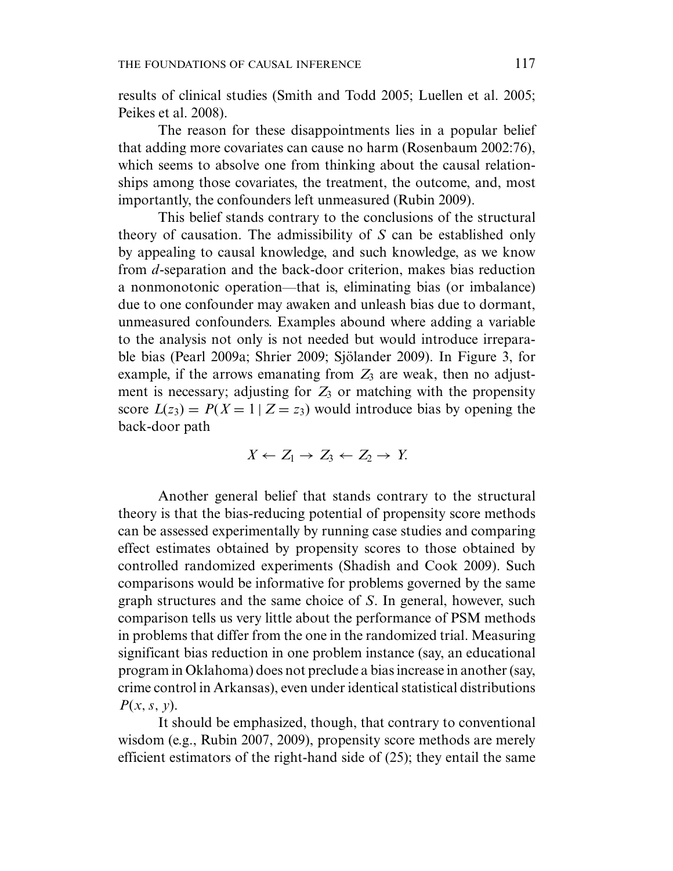results of clinical studies (Smith and Todd 2005; Luellen et al. 2005; Peikes et al. 2008).

The reason for these disappointments lies in a popular belief that adding more covariates can cause no harm (Rosenbaum 2002:76), which seems to absolve one from thinking about the causal relationships among those covariates, the treatment, the outcome, and, most importantly, the confounders left unmeasured (Rubin 2009).

This belief stands contrary to the conclusions of the structural theory of causation. The admissibility of *S* can be established only by appealing to causal knowledge, and such knowledge, as we know from *d*-separation and the back-door criterion, makes bias reduction a nonmonotonic operation—that is, eliminating bias (or imbalance) due to one confounder may awaken and unleash bias due to dormant, unmeasured confounders. Examples abound where adding a variable to the analysis not only is not needed but would introduce irreparable bias (Pearl 2009a; Shrier 2009; Sjolander 2009). In Figure 3, for ¨ example, if the arrows emanating from  $Z_3$  are weak, then no adjustment is necessary; adjusting for  $Z_3$  or matching with the propensity score  $L(z_3) = P(X = 1 | Z = z_3)$  would introduce bias by opening the back-door path

 $X \leftarrow Z_1 \rightarrow Z_3 \leftarrow Z_2 \rightarrow Y$ .

Another general belief that stands contrary to the structural theory is that the bias-reducing potential of propensity score methods can be assessed experimentally by running case studies and comparing effect estimates obtained by propensity scores to those obtained by controlled randomized experiments (Shadish and Cook 2009). Such comparisons would be informative for problems governed by the same graph structures and the same choice of *S*. In general, however, such comparison tells us very little about the performance of PSM methods in problems that differ from the one in the randomized trial. Measuring significant bias reduction in one problem instance (say, an educational program in Oklahoma) does not preclude a bias increase in another (say, crime control in Arkansas), even under identical statistical distributions *P*(*x*,*s*, *y*).

It should be emphasized, though, that contrary to conventional wisdom (e.g., Rubin 2007, 2009), propensity score methods are merely efficient estimators of the right-hand side of (25); they entail the same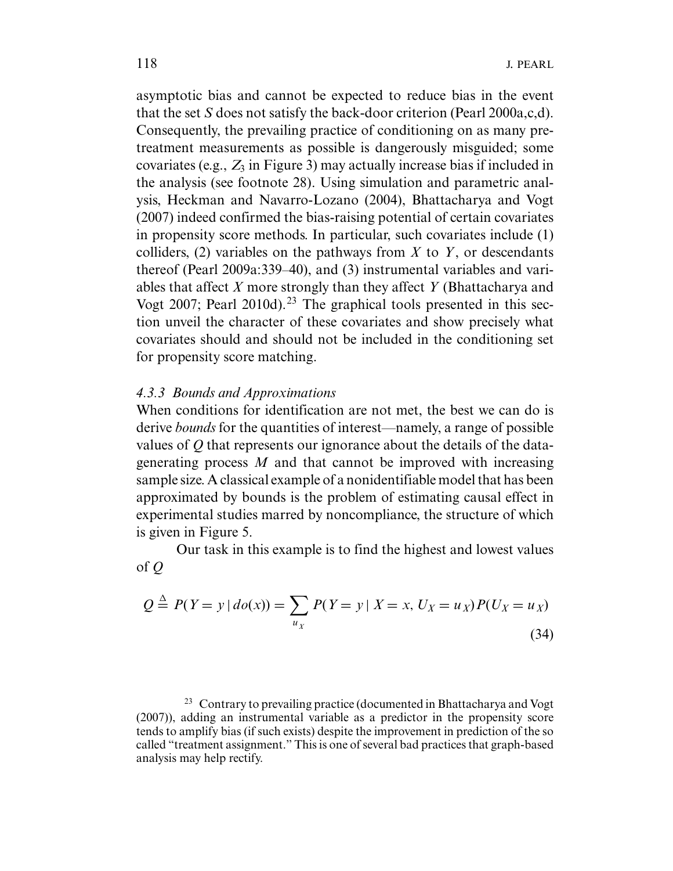asymptotic bias and cannot be expected to reduce bias in the event that the set *S* does not satisfy the back-door criterion (Pearl 2000a,c,d). Consequently, the prevailing practice of conditioning on as many pretreatment measurements as possible is dangerously misguided; some covariates (e.g., *Z*<sup>3</sup> in Figure 3) may actually increase bias if included in the analysis (see footnote 28). Using simulation and parametric analysis, Heckman and Navarro-Lozano (2004), Bhattacharya and Vogt (2007) indeed confirmed the bias-raising potential of certain covariates in propensity score methods. In particular, such covariates include (1) colliders, (2) variables on the pathways from *X* to *Y*, or descendants thereof (Pearl 2009a:339–40), and (3) instrumental variables and variables that affect *X* more strongly than they affect *Y* (Bhattacharya and Vogt  $2007$ ; Pearl  $2010d$ ).<sup>23</sup> The graphical tools presented in this section unveil the character of these covariates and show precisely what covariates should and should not be included in the conditioning set for propensity score matching.

### *4.3.3 Bounds and Approximations*

When conditions for identification are not met, the best we can do is derive *bounds* for the quantities of interest—namely, a range of possible values of *Q* that represents our ignorance about the details of the datagenerating process *M* and that cannot be improved with increasing sample size. A classical example of a nonidentifiable model that has been approximated by bounds is the problem of estimating causal effect in experimental studies marred by noncompliance, the structure of which is given in Figure 5.

Our task in this example is to find the highest and lowest values of *Q*

$$
Q \stackrel{\Delta}{=} P(Y = y | do(x)) = \sum_{u_X} P(Y = y | X = x, U_X = u_X) P(U_X = u_X)
$$
\n(34)

<sup>23</sup> Contrary to prevailing practice (documented in Bhattacharya and Vogt (2007)), adding an instrumental variable as a predictor in the propensity score tends to amplify bias (if such exists) despite the improvement in prediction of the so called "treatment assignment." This is one of several bad practices that graph-based analysis may help rectify.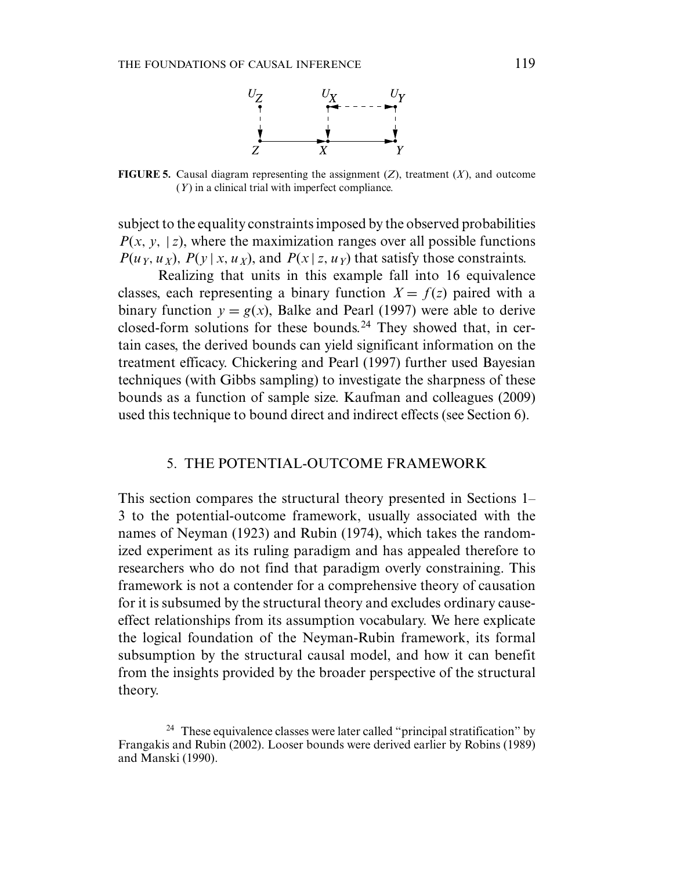

**FIGURE 5.** Causal diagram representing the assignment  $(Z)$ , treatment  $(X)$ , and outcome (*Y*) in a clinical trial with imperfect compliance.

subject to the equality constraints imposed by the observed probabilities  $P(x, y, |z)$ , where the maximization ranges over all possible functions *P*( $u<sub>Y</sub>, u<sub>X</sub>$ ), *P*( $y \mid x, u<sub>X</sub>$ ), and *P*( $x \mid z, u<sub>Y</sub>$ ) that satisfy those constraints.

Realizing that units in this example fall into 16 equivalence classes, each representing a binary function  $X = f(z)$  paired with a binary function  $y = g(x)$ , Balke and Pearl (1997) were able to derive closed-form solutions for these bounds.<sup>24</sup> They showed that, in certain cases, the derived bounds can yield significant information on the treatment efficacy. Chickering and Pearl (1997) further used Bayesian techniques (with Gibbs sampling) to investigate the sharpness of these bounds as a function of sample size. Kaufman and colleagues (2009) used this technique to bound direct and indirect effects (see Section 6).

### 5. THE POTENTIAL-OUTCOME FRAMEWORK

This section compares the structural theory presented in Sections 1– 3 to the potential-outcome framework, usually associated with the names of Neyman (1923) and Rubin (1974), which takes the randomized experiment as its ruling paradigm and has appealed therefore to researchers who do not find that paradigm overly constraining. This framework is not a contender for a comprehensive theory of causation for it is subsumed by the structural theory and excludes ordinary causeeffect relationships from its assumption vocabulary. We here explicate the logical foundation of the Neyman-Rubin framework, its formal subsumption by the structural causal model, and how it can benefit from the insights provided by the broader perspective of the structural theory.

<sup>&</sup>lt;sup>24</sup> These equivalence classes were later called "principal stratification" by Frangakis and Rubin (2002). Looser bounds were derived earlier by Robins (1989) and Manski (1990).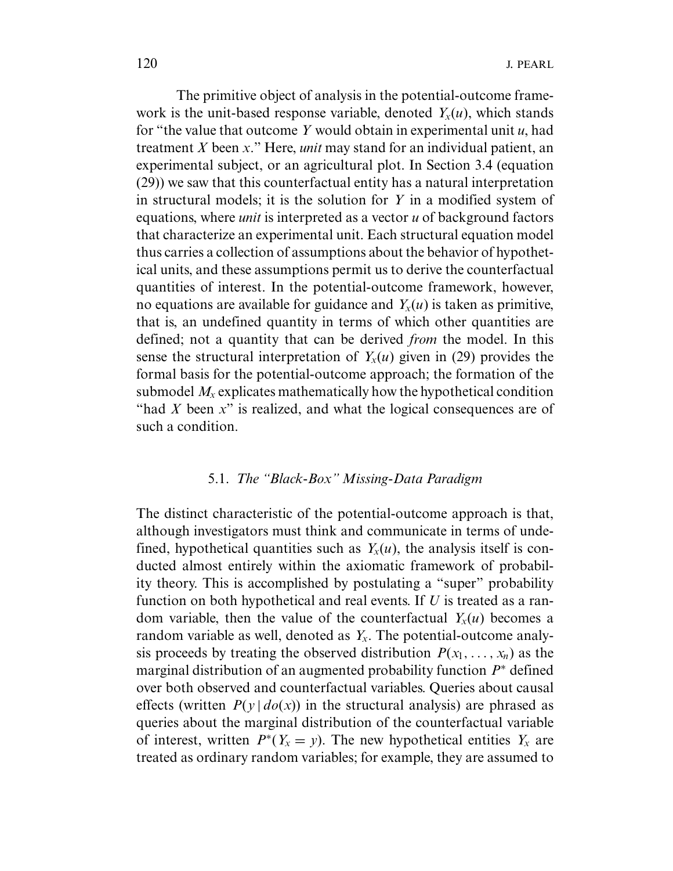The primitive object of analysis in the potential-outcome framework is the unit-based response variable, denoted  $Y_x(u)$ , which stands for "the value that outcome *Y* would obtain in experimental unit *u*, had treatment *X* been *x*." Here, *unit* may stand for an individual patient, an experimental subject, or an agricultural plot. In Section 3.4 (equation (29)) we saw that this counterfactual entity has a natural interpretation in structural models; it is the solution for *Y* in a modified system of equations, where *unit* is interpreted as a vector *u* of background factors that characterize an experimental unit. Each structural equation model thus carries a collection of assumptions about the behavior of hypothetical units, and these assumptions permit us to derive the counterfactual quantities of interest. In the potential-outcome framework, however, no equations are available for guidance and  $Y_x(u)$  is taken as primitive, that is, an undefined quantity in terms of which other quantities are defined; not a quantity that can be derived *from* the model. In this sense the structural interpretation of  $Y_x(u)$  given in (29) provides the formal basis for the potential-outcome approach; the formation of the submodel  $M_x$  explicates mathematically how the hypothetical condition "had *X* been *x*" is realized, and what the logical consequences are of such a condition.

## 5.1. *The "Black-Box" Missing-Data Paradigm*

The distinct characteristic of the potential-outcome approach is that, although investigators must think and communicate in terms of undefined, hypothetical quantities such as  $Y_x(u)$ , the analysis itself is conducted almost entirely within the axiomatic framework of probability theory. This is accomplished by postulating a "super" probability function on both hypothetical and real events. If *U* is treated as a random variable, then the value of the counterfactual  $Y_x(u)$  becomes a random variable as well, denoted as *Yx*. The potential-outcome analysis proceeds by treating the observed distribution  $P(x_1, \ldots, x_n)$  as the marginal distribution of an augmented probability function *P*<sup>∗</sup> defined over both observed and counterfactual variables. Queries about causal effects (written  $P(y | do(x))$  in the structural analysis) are phrased as queries about the marginal distribution of the counterfactual variable of interest, written  $P^*(Y_x = y)$ . The new hypothetical entities  $Y_x$  are treated as ordinary random variables; for example, they are assumed to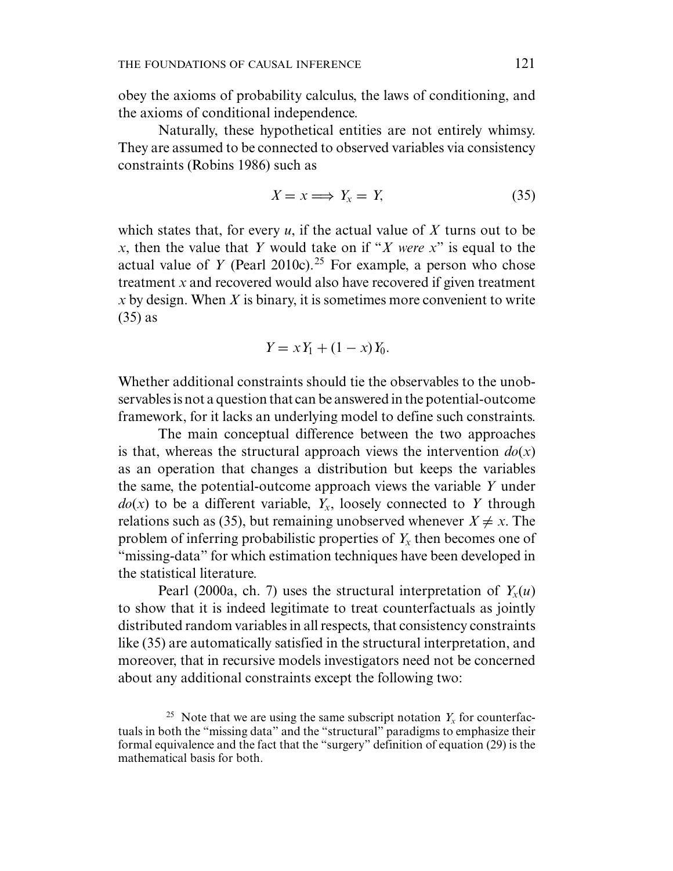obey the axioms of probability calculus, the laws of conditioning, and the axioms of conditional independence.

Naturally, these hypothetical entities are not entirely whimsy. They are assumed to be connected to observed variables via consistency constraints (Robins 1986) such as

$$
X = x \Longrightarrow Y_x = Y,\tag{35}
$$

which states that, for every *u*, if the actual value of *X* turns out to be *x*, then the value that *Y* would take on if "*X were x*" is equal to the actual value of *Y* (Pearl 2010c).<sup>25</sup> For example, a person who chose treatment *x* and recovered would also have recovered if given treatment *x* by design. When *X* is binary, it is sometimes more convenient to write (35) as

$$
Y = x Y_1 + (1 - x) Y_0.
$$

Whether additional constraints should tie the observables to the unobservables is not a question that can be answered in the potential-outcome framework, for it lacks an underlying model to define such constraints.

The main conceptual difference between the two approaches is that, whereas the structural approach views the intervention  $do(x)$ as an operation that changes a distribution but keeps the variables the same, the potential-outcome approach views the variable *Y* under  $do(x)$  to be a different variable,  $Y_x$ , loosely connected to *Y* through relations such as (35), but remaining unobserved whenever  $X \neq x$ . The problem of inferring probabilistic properties of  $Y<sub>x</sub>$  then becomes one of "missing-data" for which estimation techniques have been developed in the statistical literature.

Pearl (2000a, ch. 7) uses the structural interpretation of  $Y_x(u)$ to show that it is indeed legitimate to treat counterfactuals as jointly distributed random variables in all respects, that consistency constraints like (35) are automatically satisfied in the structural interpretation, and moreover, that in recursive models investigators need not be concerned about any additional constraints except the following two:

<sup>25</sup> Note that we are using the same subscript notation  $Y_x$  for counterfactuals in both the "missing data" and the "structural" paradigms to emphasize their formal equivalence and the fact that the "surgery" definition of equation (29) is the mathematical basis for both.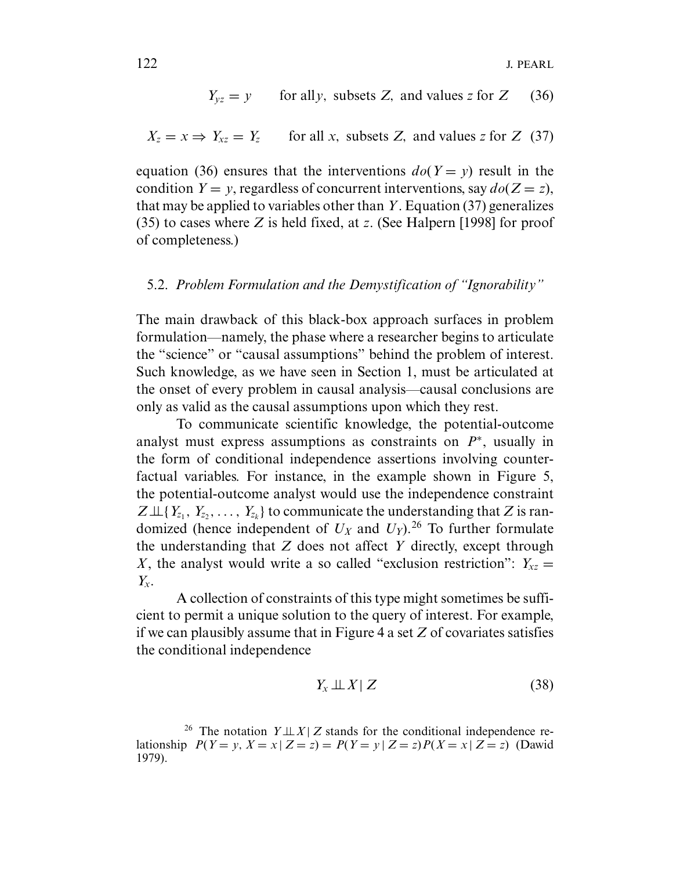$$
Y_{yz} = y
$$
 for all y, subsets Z, and values z for Z (36)

$$
X_z = x \Rightarrow Y_{xz} = Y_z
$$
 for all x, subsets Z, and values z for Z (37)

equation (36) ensures that the interventions  $d\rho(Y = y)$  result in the condition  $Y = y$ , regardless of concurrent interventions, say  $d\rho(Z = z)$ , that may be applied to variables other than *Y*. Equation (37) generalizes (35) to cases where *Z* is held fixed, at *z*. (See Halpern [1998] for proof of completeness.)

### 5.2. *Problem Formulation and the Demystification of "Ignorability"*

The main drawback of this black-box approach surfaces in problem formulation—namely, the phase where a researcher begins to articulate the "science" or "causal assumptions" behind the problem of interest. Such knowledge, as we have seen in Section 1, must be articulated at the onset of every problem in causal analysis—causal conclusions are only as valid as the causal assumptions upon which they rest.

To communicate scientific knowledge, the potential-outcome analyst must express assumptions as constraints on *P*<sup>∗</sup>, usually in the form of conditional independence assertions involving counterfactual variables. For instance, in the example shown in Figure 5, the potential-outcome analyst would use the independence constraint  $Z \perp\!\!\!\perp \{Y_{z_1}, Y_{z_2}, \ldots, Y_{z_k}\}\$ to communicate the understanding that  $Z$  is randomized (hence independent of  $U_X$  and  $U_Y$ ).<sup>26</sup> To further formulate the understanding that *Z* does not affect *Y* directly, except through *X*, the analyst would write a so called "exclusion restriction":  $Y_{xz}$  = *Yx*.

A collection of constraints of this type might sometimes be sufficient to permit a unique solution to the query of interest. For example, if we can plausibly assume that in Figure 4 a set *Z* of covariates satisfies the conditional independence

$$
Y_x \perp \!\!\!\perp X \mid Z \tag{38}
$$

<sup>26</sup> The notation *Y* $\perp \!\!\! \perp X$  *Z* stands for the conditional independence relationship  $P(Y = y, X = x | Z = z) = P(Y = y | Z = z)P(X = x | Z = z)$  (Dawid 1979).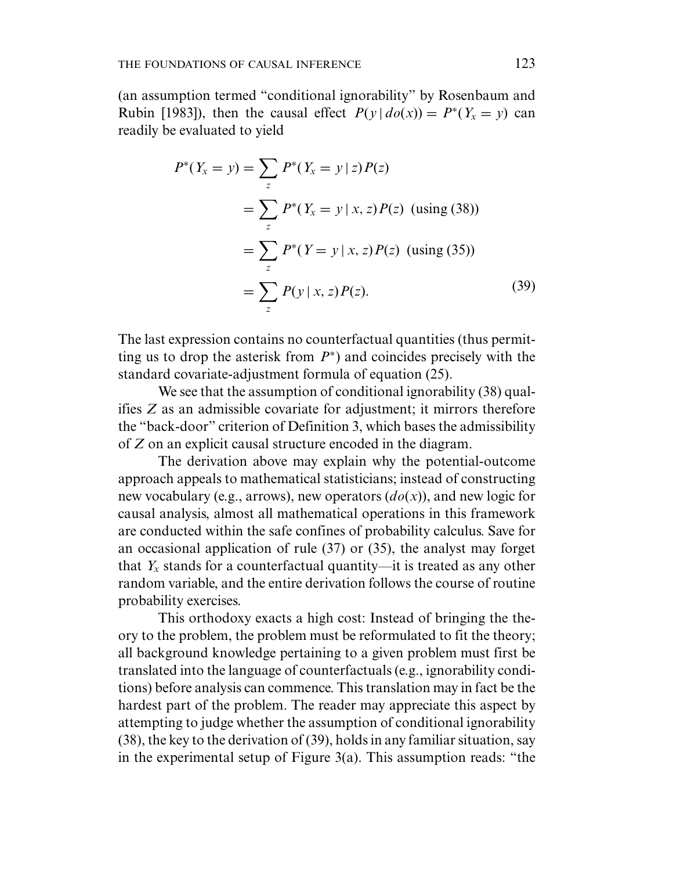(an assumption termed "conditional ignorability" by Rosenbaum and Rubin [1983]), then the causal effect  $P(y | do(x)) = P^*(Y_x = y)$  can readily be evaluated to yield

$$
P^*(Y_x = y) = \sum_z P^*(Y_x = y \mid z) P(z)
$$
  
= 
$$
\sum_z P^*(Y_x = y \mid x, z) P(z) \text{ (using (38))}
$$
  
= 
$$
\sum_z P^*(Y = y \mid x, z) P(z) \text{ (using (35))}
$$
  
= 
$$
\sum_z P(y \mid x, z) P(z).
$$
 (39)

The last expression contains no counterfactual quantities (thus permitting us to drop the asterisk from *P*<sup>∗</sup>) and coincides precisely with the standard covariate-adjustment formula of equation (25).

We see that the assumption of conditional ignorability (38) qualifies *Z* as an admissible covariate for adjustment; it mirrors therefore the "back-door" criterion of Definition 3, which bases the admissibility of *Z* on an explicit causal structure encoded in the diagram.

The derivation above may explain why the potential-outcome approach appeals to mathematical statisticians; instead of constructing new vocabulary (e.g., arrows), new operators (*do*(*x*)), and new logic for causal analysis, almost all mathematical operations in this framework are conducted within the safe confines of probability calculus. Save for an occasional application of rule (37) or (35), the analyst may forget that  $Y_x$  stands for a counterfactual quantity—it is treated as any other random variable, and the entire derivation follows the course of routine probability exercises.

This orthodoxy exacts a high cost: Instead of bringing the theory to the problem, the problem must be reformulated to fit the theory; all background knowledge pertaining to a given problem must first be translated into the language of counterfactuals (e.g., ignorability conditions) before analysis can commence. This translation may in fact be the hardest part of the problem. The reader may appreciate this aspect by attempting to judge whether the assumption of conditional ignorability (38), the key to the derivation of (39), holds in any familiar situation, say in the experimental setup of Figure 3(a). This assumption reads: "the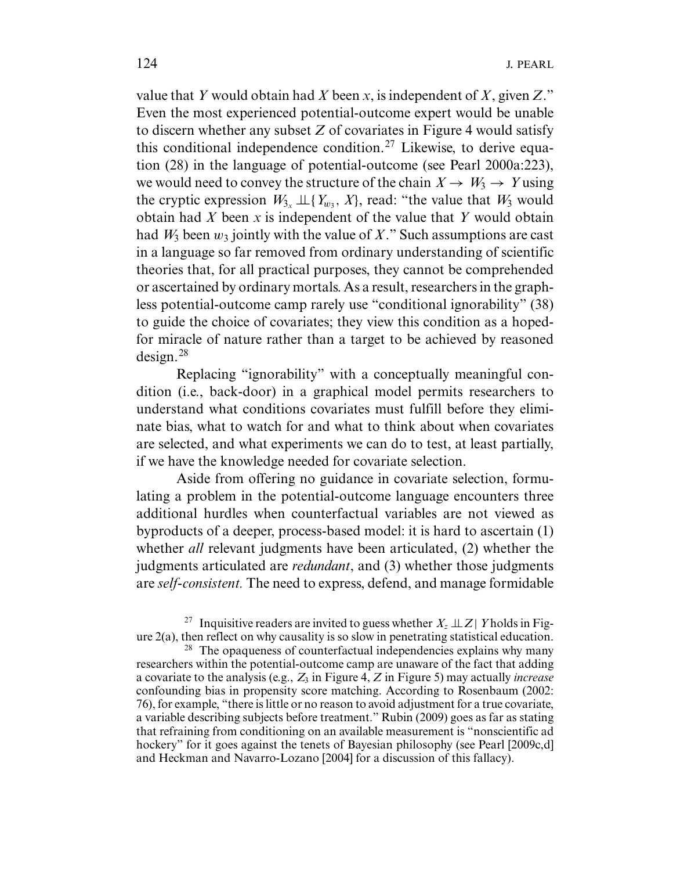value that *Y* would obtain had *X* been *x*, is independent of *X*, given *Z*." Even the most experienced potential-outcome expert would be unable to discern whether any subset *Z* of covariates in Figure 4 would satisfy this conditional independence condition.<sup>27</sup> Likewise, to derive equation (28) in the language of potential-outcome (see Pearl 2000a:223), we would need to convey the structure of the chain  $X \to W_3 \to Y$  using the cryptic expression  $W_3$ <sub>x</sub>  $\perp \!\!\! \perp \{Y_{w_3}, X\}$ , read: "the value that  $W_3$  would obtain had *X* been *x* is independent of the value that *Y* would obtain had  $W_3$  been  $w_3$  jointly with the value of X." Such assumptions are cast in a language so far removed from ordinary understanding of scientific theories that, for all practical purposes, they cannot be comprehended or ascertained by ordinary mortals. As a result, researchers in the graphless potential-outcome camp rarely use "conditional ignorability" (38) to guide the choice of covariates; they view this condition as a hopedfor miracle of nature rather than a target to be achieved by reasoned design. $^{28}$ 

Replacing "ignorability" with a conceptually meaningful condition (i.e., back-door) in a graphical model permits researchers to understand what conditions covariates must fulfill before they eliminate bias, what to watch for and what to think about when covariates are selected, and what experiments we can do to test, at least partially, if we have the knowledge needed for covariate selection.

Aside from offering no guidance in covariate selection, formulating a problem in the potential-outcome language encounters three additional hurdles when counterfactual variables are not viewed as byproducts of a deeper, process-based model: it is hard to ascertain (1) whether *all* relevant judgments have been articulated, (2) whether the judgments articulated are *redundant*, and (3) whether those judgments are *self-consistent.* The need to express, defend, and manage formidable

<sup>28</sup> The opaqueness of counterfactual independencies explains why many researchers within the potential-outcome camp are unaware of the fact that adding a covariate to the analysis (e.g., *Z*<sup>3</sup> in Figure 4, *Z* in Figure 5) may actually *increase* confounding bias in propensity score matching. According to Rosenbaum (2002: 76), for example, "there is little or no reason to avoid adjustment for a true covariate, a variable describing subjects before treatment." Rubin (2009) goes as far as stating that refraining from conditioning on an available measurement is "nonscientific ad hockery" for it goes against the tenets of Bayesian philosophy (see Pearl [2009c,d] and Heckman and Navarro-Lozano [2004] for a discussion of this fallacy).

<sup>&</sup>lt;sup>27</sup> Inquisitive readers are invited to guess whether  $X_z \perp Z$ | *Y* holds in Figure 2(a), then reflect on why causality is so slow in penetrating statistical education.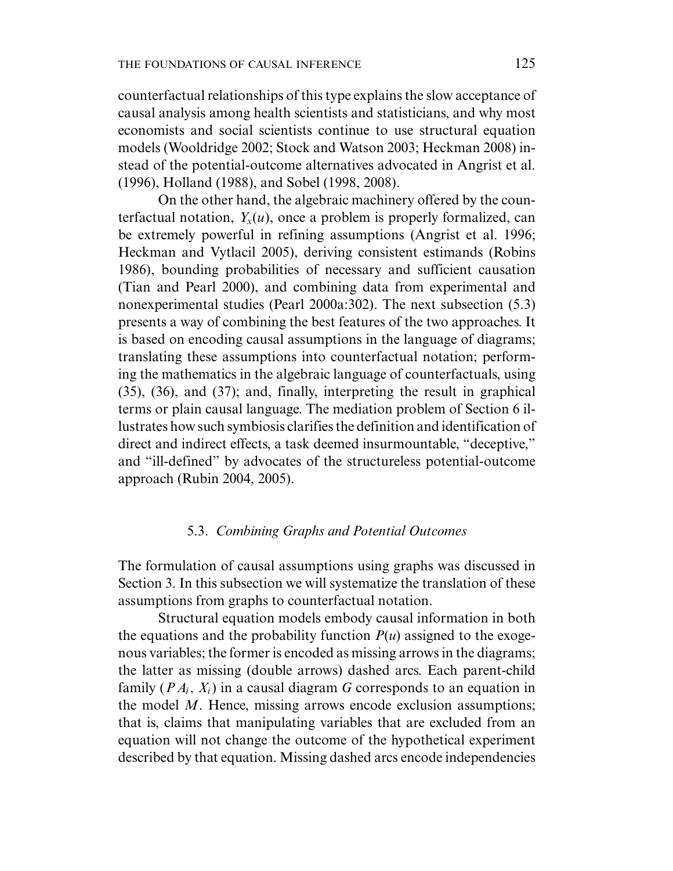counterfactual relationships of this type explains the slow acceptance of causal analysis among health scientists and statisticians, and why most economists and social scientists continue to use structural equation models (Wooldridge 2002; Stock and Watson 2003; Heckman 2008) instead of the potential-outcome alternatives advocated in Angrist et al. (1996), Holland (1988), and Sobel (1998, 2008).

On the other hand, the algebraic machinery offered by the counterfactual notation,  $Y_x(u)$ , once a problem is properly formalized, can be extremely powerful in refining assumptions (Angrist et al. 1996; Heckman and Vytlacil 2005), deriving consistent estimands (Robins 1986), bounding probabilities of necessary and sufficient causation (Tian and Pearl 2000), and combining data from experimental and nonexperimental studies (Pearl 2000a:302). The next subsection (5.3) presents a way of combining the best features of the two approaches. It is based on encoding causal assumptions in the language of diagrams; translating these assumptions into counterfactual notation; performing the mathematics in the algebraic language of counterfactuals, using (35), (36), and (37); and, finally, interpreting the result in graphical terms or plain causal language. The mediation problem of Section 6 illustrates how such symbiosis clarifies the definition and identification of direct and indirect effects, a task deemed insurmountable, "deceptive," and "ill-defined" by advocates of the structureless potential-outcome approach (Rubin 2004, 2005).

# 5.3. *Combining Graphs and Potential Outcomes*

The formulation of causal assumptions using graphs was discussed in Section 3. In this subsection we will systematize the translation of these assumptions from graphs to counterfactual notation.

Structural equation models embody causal information in both the equations and the probability function  $P(u)$  assigned to the exogenous variables; the former is encoded as missing arrows in the diagrams; the latter as missing (double arrows) dashed arcs. Each parent-child family  $(P A_i, X_i)$  in a causal diagram G corresponds to an equation in the model *M*. Hence, missing arrows encode exclusion assumptions; that is, claims that manipulating variables that are excluded from an equation will not change the outcome of the hypothetical experiment described by that equation. Missing dashed arcs encode independencies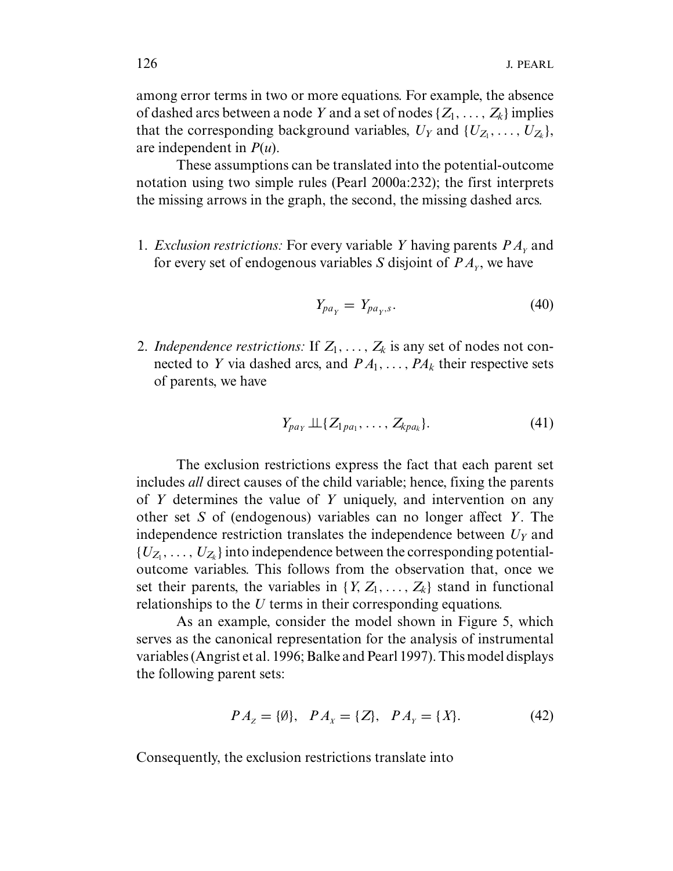among error terms in two or more equations. For example, the absence of dashed arcs between a node Y and a set of nodes  $\{Z_1, \ldots, Z_k\}$  implies that the corresponding background variables,  $U_Y$  and  $\{U_{Z_1}, \ldots, U_{Z_k}\},$ are independent in *P*(*u*).

These assumptions can be translated into the potential-outcome notation using two simple rules (Pearl 2000a:232); the first interprets the missing arrows in the graph, the second, the missing dashed arcs.

1. *Exclusion restrictions:* For every variable *Y* having parents  $PA<sub>y</sub>$  and for every set of endogenous variables *S* disjoint of  $PA<sub>r</sub>$ , we have

$$
Y_{pa_Y} = Y_{pa_Y,s}.\tag{40}
$$

2. *Independence restrictions:* If  $Z_1, \ldots, Z_k$  is any set of nodes not connected to *Y* via dashed arcs, and  $PA_1, \ldots, PA_k$  their respective sets of parents, we have

$$
Y_{p a_Y} \perp \!\!\!\perp \{Z_{1p a_1}, \ldots, Z_{k p a_k}\}.
$$
 (41)

The exclusion restrictions express the fact that each parent set includes *all* direct causes of the child variable; hence, fixing the parents of *Y* determines the value of *Y* uniquely, and intervention on any other set *S* of (endogenous) variables can no longer affect *Y*. The independence restriction translates the independence between *UY* and  ${U_{Z_1}, \ldots, U_{Z_k}}$  into independence between the corresponding potentialoutcome variables. This follows from the observation that, once we set their parents, the variables in  $\{Y, Z_1, \ldots, Z_k\}$  stand in functional relationships to the *U* terms in their corresponding equations.

As an example, consider the model shown in Figure 5, which serves as the canonical representation for the analysis of instrumental variables (Angrist et al. 1996; Balke and Pearl 1997). This model displays the following parent sets:

$$
PA_z = \{\emptyset\}, \quad PA_x = \{Z\}, \quad PA_y = \{X\}.
$$
 (42)

Consequently, the exclusion restrictions translate into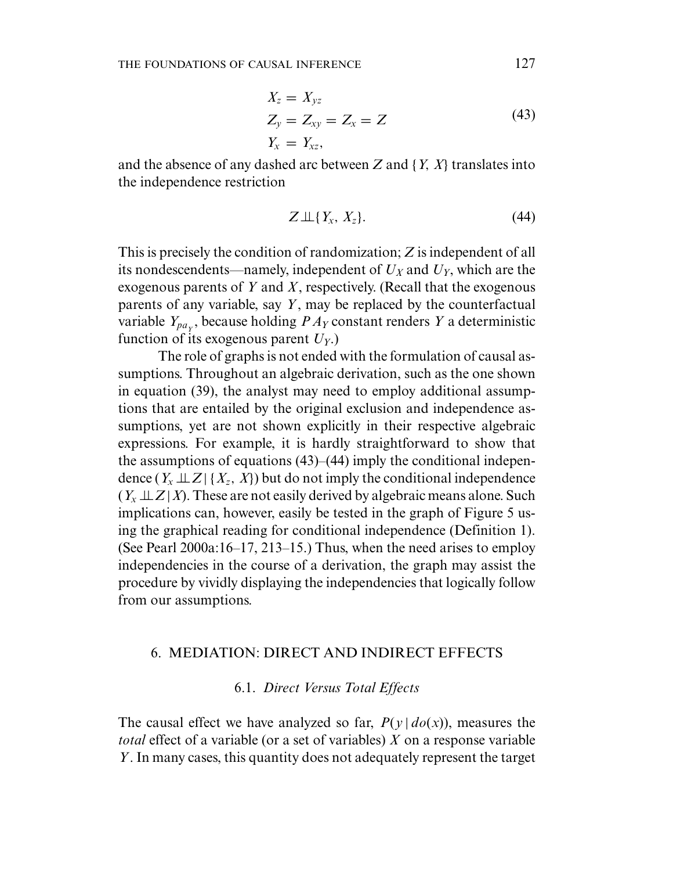$$
X_z = X_{yz}
$$
  
\n
$$
Z_y = Z_{xy} = Z_x = Z
$$
  
\n
$$
Y_x = Y_{xz},
$$
\n(43)

and the absence of any dashed arc between *Z* and {*Y*, *X*} translates into the independence restriction

$$
Z \perp \!\!\!\perp \{Y_x, X_z\}.
$$
\n<sup>(44)</sup>

This is precisely the condition of randomization; *Z* is independent of all its nondescendents—namely, independent of  $U_X$  and  $U_Y$ , which are the exogenous parents of *Y* and *X*, respectively. (Recall that the exogenous parents of any variable, say *Y*, may be replaced by the counterfactual variable  $Y_{pa_v}$ , because holding  $PA_v$  constant renders *Y* a deterministic function of its exogenous parent *UY*.)

The role of graphs is not ended with the formulation of causal assumptions. Throughout an algebraic derivation, such as the one shown in equation (39), the analyst may need to employ additional assumptions that are entailed by the original exclusion and independence assumptions, yet are not shown explicitly in their respective algebraic expressions. For example, it is hardly straightforward to show that the assumptions of equations (43)–(44) imply the conditional independence  $(Y_x \perp Z | \{X_z, X\})$  but do not imply the conditional independence  $(Y<sub>x</sub> \perp Z|X)$ . These are not easily derived by algebraic means alone. Such implications can, however, easily be tested in the graph of Figure 5 using the graphical reading for conditional independence (Definition 1). (See Pearl 2000a:16–17, 213–15.) Thus, when the need arises to employ independencies in the course of a derivation, the graph may assist the procedure by vividly displaying the independencies that logically follow from our assumptions.

### 6. MEDIATION: DIRECT AND INDIRECT EFFECTS

#### 6.1. *Direct Versus Total Effects*

The causal effect we have analyzed so far,  $P(y | do(x))$ , measures the *total* effect of a variable (or a set of variables) *X* on a response variable *Y*. In many cases, this quantity does not adequately represent the target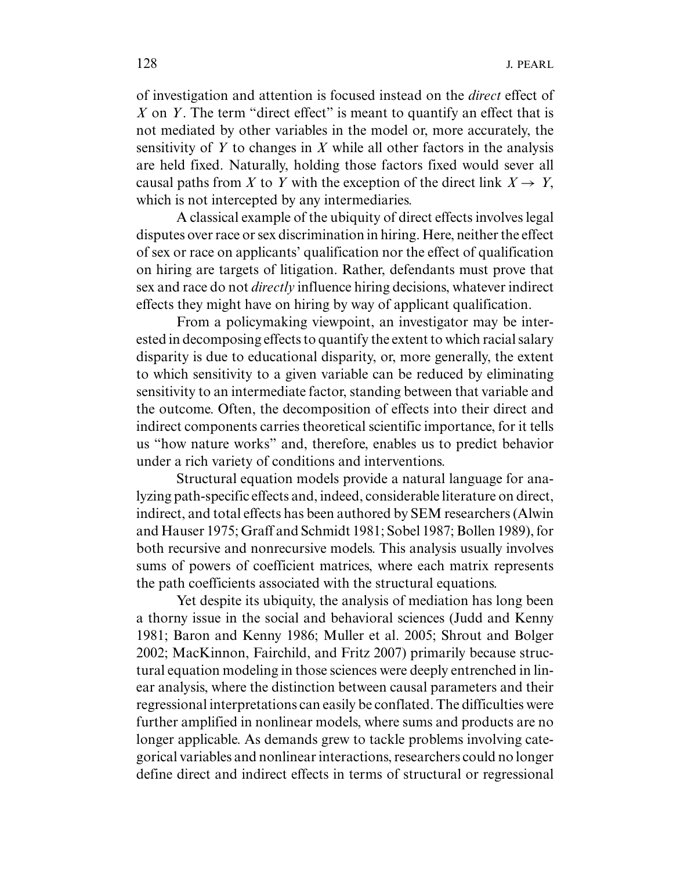of investigation and attention is focused instead on the *direct* effect of *X* on *Y*. The term "direct effect" is meant to quantify an effect that is not mediated by other variables in the model or, more accurately, the sensitivity of *Y* to changes in *X* while all other factors in the analysis are held fixed. Naturally, holding those factors fixed would sever all causal paths from *X* to *Y* with the exception of the direct link  $X \rightarrow Y$ , which is not intercepted by any intermediaries.

A classical example of the ubiquity of direct effects involves legal disputes over race or sex discrimination in hiring. Here, neither the effect of sex or race on applicants' qualification nor the effect of qualification on hiring are targets of litigation. Rather, defendants must prove that sex and race do not *directly* influence hiring decisions, whatever indirect effects they might have on hiring by way of applicant qualification.

From a policymaking viewpoint, an investigator may be interested in decomposing effects to quantify the extent to which racial salary disparity is due to educational disparity, or, more generally, the extent to which sensitivity to a given variable can be reduced by eliminating sensitivity to an intermediate factor, standing between that variable and the outcome. Often, the decomposition of effects into their direct and indirect components carries theoretical scientific importance, for it tells us "how nature works" and, therefore, enables us to predict behavior under a rich variety of conditions and interventions.

Structural equation models provide a natural language for analyzing path-specific effects and, indeed, considerable literature on direct, indirect, and total effects has been authored by SEM researchers (Alwin and Hauser 1975; Graff and Schmidt 1981; Sobel 1987; Bollen 1989), for both recursive and nonrecursive models. This analysis usually involves sums of powers of coefficient matrices, where each matrix represents the path coefficients associated with the structural equations.

Yet despite its ubiquity, the analysis of mediation has long been a thorny issue in the social and behavioral sciences (Judd and Kenny 1981; Baron and Kenny 1986; Muller et al. 2005; Shrout and Bolger 2002; MacKinnon, Fairchild, and Fritz 2007) primarily because structural equation modeling in those sciences were deeply entrenched in linear analysis, where the distinction between causal parameters and their regressional interpretations can easily be conflated. The difficulties were further amplified in nonlinear models, where sums and products are no longer applicable. As demands grew to tackle problems involving categorical variables and nonlinear interactions, researchers could no longer define direct and indirect effects in terms of structural or regressional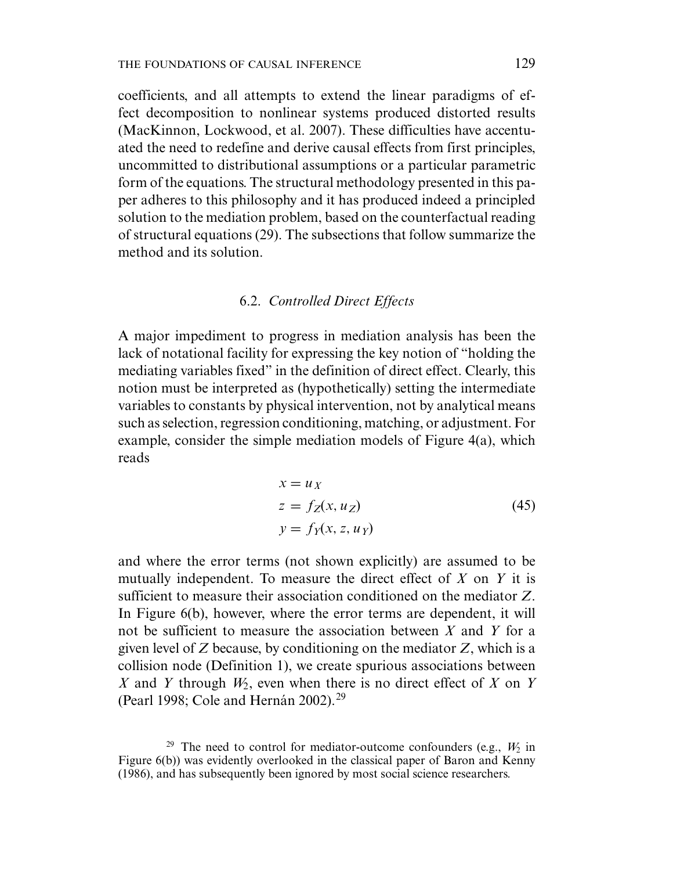coefficients, and all attempts to extend the linear paradigms of effect decomposition to nonlinear systems produced distorted results (MacKinnon, Lockwood, et al. 2007). These difficulties have accentuated the need to redefine and derive causal effects from first principles, uncommitted to distributional assumptions or a particular parametric form of the equations. The structural methodology presented in this paper adheres to this philosophy and it has produced indeed a principled solution to the mediation problem, based on the counterfactual reading of structural equations (29). The subsections that follow summarize the method and its solution.

#### 6.2. *Controlled Direct Effects*

A major impediment to progress in mediation analysis has been the lack of notational facility for expressing the key notion of "holding the mediating variables fixed" in the definition of direct effect. Clearly, this notion must be interpreted as (hypothetically) setting the intermediate variables to constants by physical intervention, not by analytical means such as selection, regression conditioning, matching, or adjustment. For example, consider the simple mediation models of Figure 4(a), which reads

$$
x = uX
$$
  
\n
$$
z = fZ(x, uZ)
$$
  
\n
$$
y = fY(x, z, uY)
$$
\n(45)

and where the error terms (not shown explicitly) are assumed to be mutually independent. To measure the direct effect of *X* on *Y* it is sufficient to measure their association conditioned on the mediator *Z*. In Figure 6(b), however, where the error terms are dependent, it will not be sufficient to measure the association between *X* and *Y* for a given level of *Z* because, by conditioning on the mediator *Z*, which is a collision node (Definition 1), we create spurious associations between *X* and *Y* through *W*2, even when there is no direct effect of *X* on *Y* (Pearl 1998; Cole and Hernán 2002).<sup>29</sup>

<sup>&</sup>lt;sup>29</sup> The need to control for mediator-outcome confounders (e.g.,  $W_2$  in Figure 6(b)) was evidently overlooked in the classical paper of Baron and Kenny (1986), and has subsequently been ignored by most social science researchers.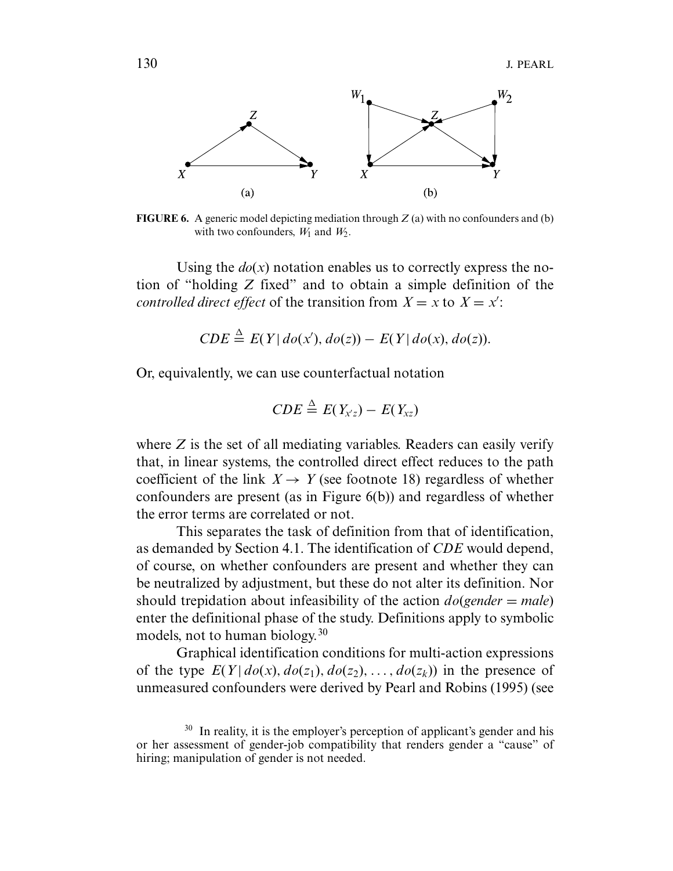

**FIGURE 6.** A generic model depicting mediation through *Z* (a) with no confounders and (b) with two confounders,  $W_1$  and  $W_2$ .

Using the  $do(x)$  notation enables us to correctly express the notion of "holding *Z* fixed" and to obtain a simple definition of the *controlled direct effect* of the transition from  $X = x$  to  $X = x'$ :

$$
CDE \stackrel{\Delta}{=} E(Y \mid do(x'), do(z)) - E(Y \mid do(x), do(z)).
$$

Or, equivalently, we can use counterfactual notation

$$
CDE \stackrel{\Delta}{=} E(Y_{x'z}) - E(Y_{xz})
$$

where  $Z$  is the set of all mediating variables. Readers can easily verify that, in linear systems, the controlled direct effect reduces to the path coefficient of the link  $X \to Y$  (see footnote 18) regardless of whether confounders are present (as in Figure 6(b)) and regardless of whether the error terms are correlated or not.

This separates the task of definition from that of identification, as demanded by Section 4.1. The identification of *CDE* would depend, of course, on whether confounders are present and whether they can be neutralized by adjustment, but these do not alter its definition. Nor should trepidation about infeasibility of the action *do*(*gender* = *male*) enter the definitional phase of the study. Definitions apply to symbolic models, not to human biology.<sup>30</sup>

Graphical identification conditions for multi-action expressions of the type  $E(Y | do(x), do(z_1), do(z_2), \ldots, do(z_k))$  in the presence of unmeasured confounders were derived by Pearl and Robins (1995) (see

 $30$  In reality, it is the employer's perception of applicant's gender and his or her assessment of gender-job compatibility that renders gender a "cause" of hiring; manipulation of gender is not needed.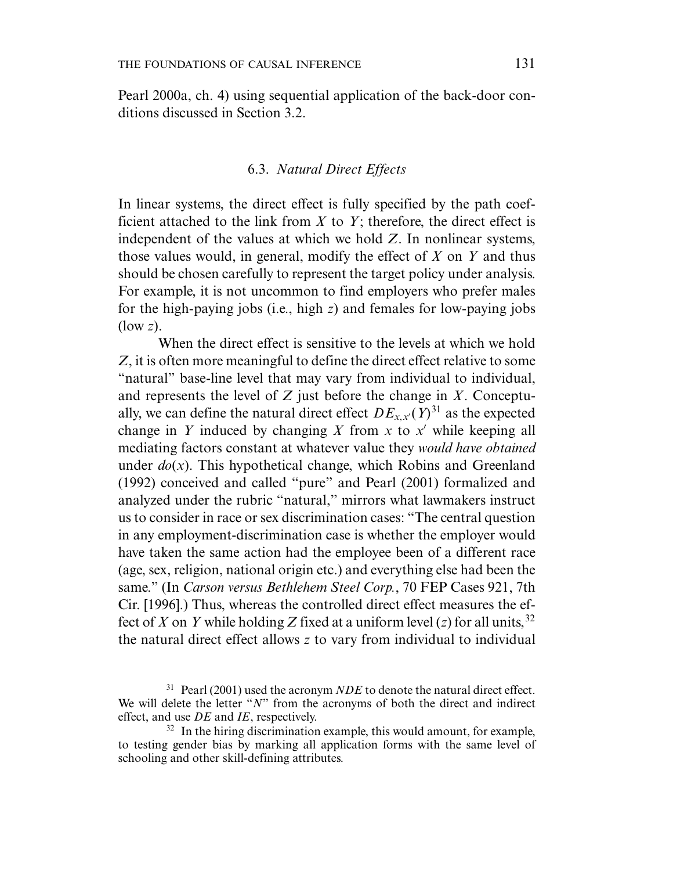Pearl 2000a, ch. 4) using sequential application of the back-door conditions discussed in Section 3.2.

## 6.3. *Natural Direct Effects*

In linear systems, the direct effect is fully specified by the path coefficient attached to the link from *X* to *Y*; therefore, the direct effect is independent of the values at which we hold *Z*. In nonlinear systems, those values would, in general, modify the effect of *X* on *Y* and thus should be chosen carefully to represent the target policy under analysis. For example, it is not uncommon to find employers who prefer males for the high-paying jobs (i.e., high *z*) and females for low-paying jobs (low *z*).

When the direct effect is sensitive to the levels at which we hold *Z*, it is often more meaningful to define the direct effect relative to some "natural" base-line level that may vary from individual to individual, and represents the level of *Z* just before the change in *X*. Conceptually, we can define the natural direct effect  $DE_{x,x'}(Y)^{31}$  as the expected change in *Y* induced by changing *X* from *x* to  $x'$  while keeping all mediating factors constant at whatever value they *would have obtained* under  $do(x)$ . This hypothetical change, which Robins and Greenland (1992) conceived and called "pure" and Pearl (2001) formalized and analyzed under the rubric "natural," mirrors what lawmakers instruct us to consider in race or sex discrimination cases: "The central question in any employment-discrimination case is whether the employer would have taken the same action had the employee been of a different race (age, sex, religion, national origin etc.) and everything else had been the same." (In *Carson versus Bethlehem Steel Corp.*, 70 FEP Cases 921, 7th Cir. [1996].) Thus, whereas the controlled direct effect measures the effect of *X* on *Y* while holding *Z* fixed at a uniform level (*z*) for all units,  $32$ the natural direct effect allows *z* to vary from individual to individual

<sup>&</sup>lt;sup>31</sup> Pearl (2001) used the acronym *NDE* to denote the natural direct effect. We will delete the letter "*N*" from the acronyms of both the direct and indirect effect, and use *DE* and *IE*, respectively.

 $32$  In the hiring discrimination example, this would amount, for example, to testing gender bias by marking all application forms with the same level of schooling and other skill-defining attributes.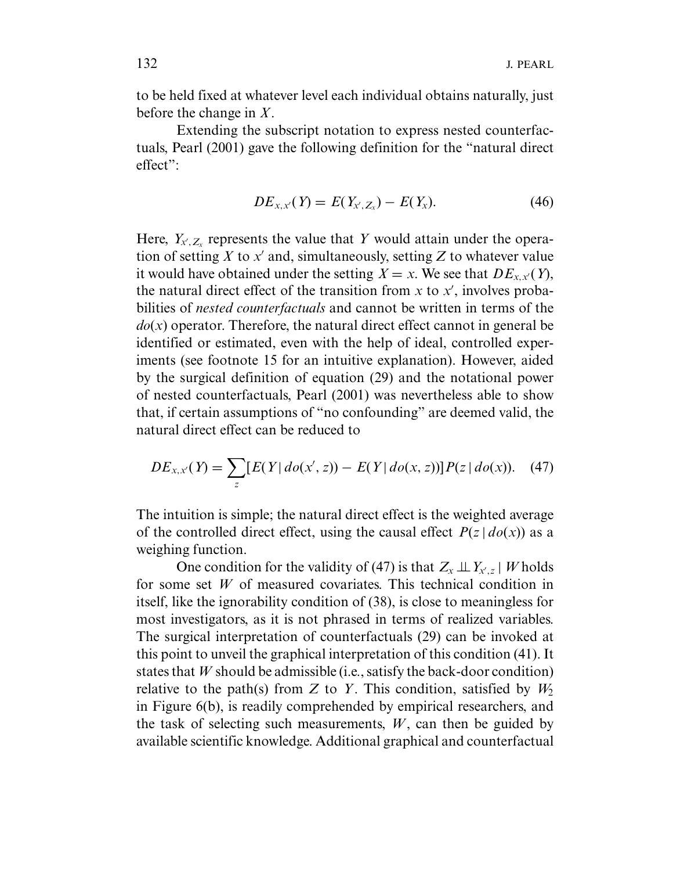to be held fixed at whatever level each individual obtains naturally, just before the change in *X*.

Extending the subscript notation to express nested counterfactuals, Pearl (2001) gave the following definition for the "natural direct effect":

$$
DE_{x,x'}(Y) = E(Y_{x',Z_x}) - E(Y_x). \tag{46}
$$

Here,  $Y_{x',Z_x}$  represents the value that *Y* would attain under the operation of setting X to  $x'$  and, simultaneously, setting Z to whatever value it would have obtained under the setting  $X = x$ . We see that  $DE_{x,x}(Y)$ , the natural direct effect of the transition from  $x$  to  $x'$ , involves probabilities of *nested counterfactuals* and cannot be written in terms of the  $do(x)$  operator. Therefore, the natural direct effect cannot in general be identified or estimated, even with the help of ideal, controlled experiments (see footnote 15 for an intuitive explanation). However, aided by the surgical definition of equation (29) and the notational power of nested counterfactuals, Pearl (2001) was nevertheless able to show that, if certain assumptions of "no confounding" are deemed valid, the natural direct effect can be reduced to

$$
DE_{x,x'}(Y) = \sum_{z} [E(Y | do(x', z)) - E(Y | do(x, z))] P(z | do(x)). \quad (47)
$$

The intuition is simple; the natural direct effect is the weighted average of the controlled direct effect, using the causal effect  $P(z | do(x))$  as a weighing function.

One condition for the validity of (47) is that  $Z_x \perp x_{x',z}$  | *W* holds for some set *W* of measured covariates. This technical condition in itself, like the ignorability condition of (38), is close to meaningless for most investigators, as it is not phrased in terms of realized variables. The surgical interpretation of counterfactuals (29) can be invoked at this point to unveil the graphical interpretation of this condition (41). It states that *W* should be admissible (i.e., satisfy the back-door condition) relative to the path(s) from *Z* to *Y*. This condition, satisfied by  $W_2$ in Figure 6(b), is readily comprehended by empirical researchers, and the task of selecting such measurements, *W*, can then be guided by available scientific knowledge. Additional graphical and counterfactual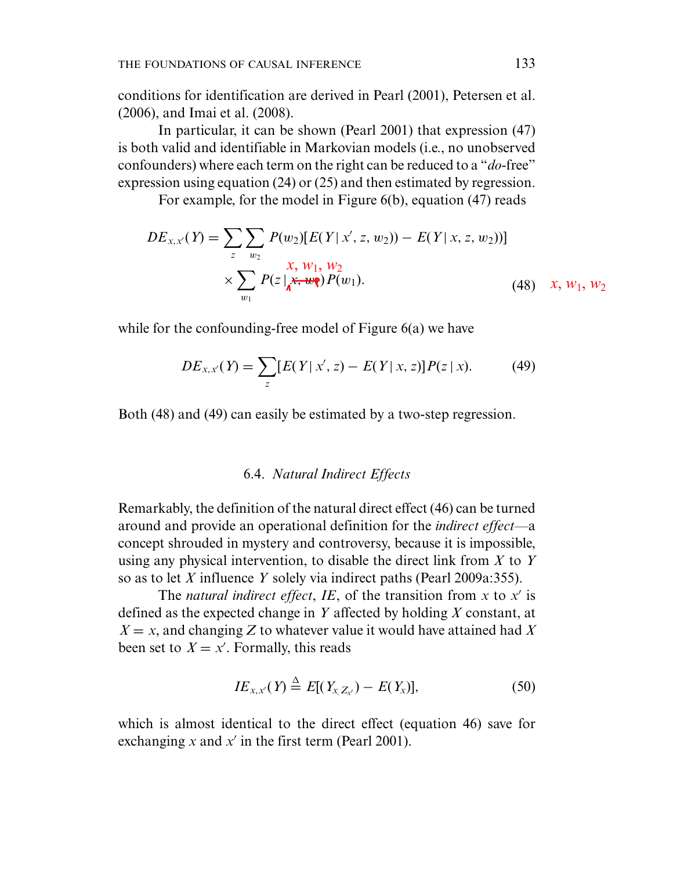conditions for identification are derived in Pearl (2001), Petersen et al. (2006), and Imai et al. (2008).

In particular, it can be shown (Pearl 2001) that expression (47) is both valid and identifiable in Markovian models (i.e., no unobserved confounders) where each term on the right can be reduced to a "*do*-free" expression using equation (24) or (25) and then estimated by regression.

For example, for the model in Figure 6(b), equation (47) reads

$$
DE_{x,x'}(Y) = \sum_{z} \sum_{w_2} P(w_2)[E(Y | x', z, w_2)) - E(Y | x, z, w_2)]
$$
  
 
$$
\times \sum_{w_1} \sum_{y_1} P(z | \mathbf{x}, \mathbf{w}_1, \mathbf{w}_2) P(w_1).
$$
 (48)  $x, w_1, w_2$ 

while for the confounding-free model of Figure 6(a) we have

$$
DE_{x,x'}(Y) = \sum_{z} [E(Y | x', z) - E(Y | x, z)] P(z | x).
$$
 (49)

Both (48) and (49) can easily be estimated by a two-step regression.

# 6.4. *Natural Indirect Effects*

Remarkably, the definition of the natural direct effect (46) can be turned around and provide an operational definition for the *indirect effect*—a concept shrouded in mystery and controversy, because it is impossible, using any physical intervention, to disable the direct link from *X* to *Y* so as to let *X* influence *Y* solely via indirect paths (Pearl 2009a:355).

The *natural indirect effect*, *IE*, of the transition from *x* to  $x'$  is defined as the expected change in *Y* affected by holding *X* constant, at  $X = x$ , and changing *Z* to whatever value it would have attained had *X* been set to  $X = x'$ . Formally, this reads

$$
IE_{x,x'}(Y) \stackrel{\Delta}{=} E[(Y_{x,Z_{x'}}) - E(Y_{x})], \tag{50}
$$

which is almost identical to the direct effect (equation 46) save for exchanging  $x$  and  $x'$  in the first term (Pearl 2001).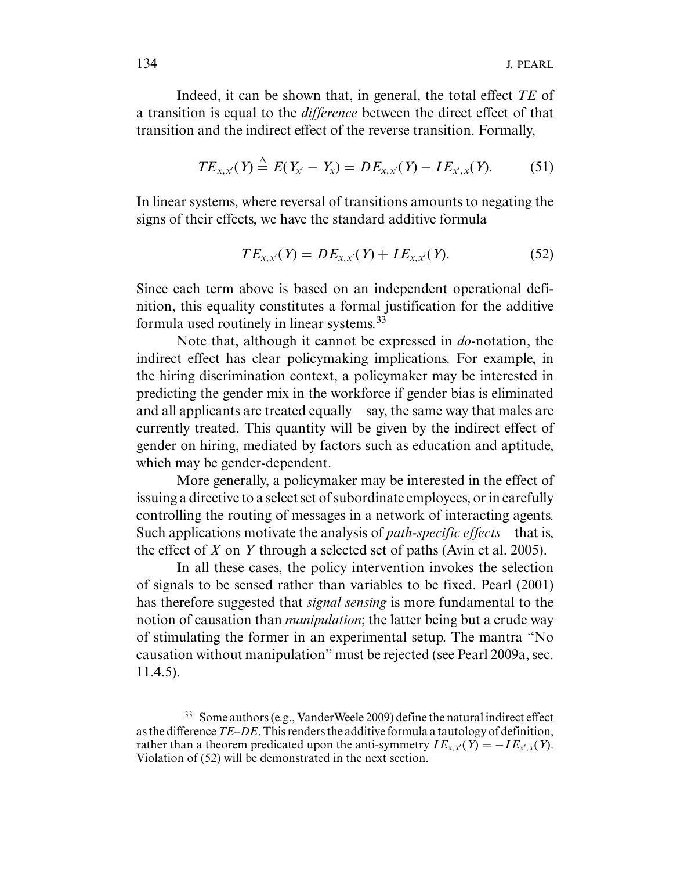Indeed, it can be shown that, in general, the total effect *TE* of a transition is equal to the *difference* between the direct effect of that transition and the indirect effect of the reverse transition. Formally,

$$
TE_{x,x'}(Y) \stackrel{\Delta}{=} E(Y_{x'} - Y_x) = DE_{x,x'}(Y) - IE_{x',x}(Y). \tag{51}
$$

In linear systems, where reversal of transitions amounts to negating the signs of their effects, we have the standard additive formula

$$
TE_{x,x'}(Y) = DE_{x,x'}(Y) + IE_{x,x'}(Y). \tag{52}
$$

Since each term above is based on an independent operational definition, this equality constitutes a formal justification for the additive formula used routinely in linear systems.<sup>33</sup>

Note that, although it cannot be expressed in *do*-notation, the indirect effect has clear policymaking implications. For example, in the hiring discrimination context, a policymaker may be interested in predicting the gender mix in the workforce if gender bias is eliminated and all applicants are treated equally—say, the same way that males are currently treated. This quantity will be given by the indirect effect of gender on hiring, mediated by factors such as education and aptitude, which may be gender-dependent.

More generally, a policymaker may be interested in the effect of issuing a directive to a select set of subordinate employees, or in carefully controlling the routing of messages in a network of interacting agents. Such applications motivate the analysis of *path-specific effects*—that is, the effect of *X* on *Y* through a selected set of paths (Avin et al. 2005).

In all these cases, the policy intervention invokes the selection of signals to be sensed rather than variables to be fixed. Pearl (2001) has therefore suggested that *signal sensing* is more fundamental to the notion of causation than *manipulation*; the latter being but a crude way of stimulating the former in an experimental setup. The mantra "No causation without manipulation" must be rejected (see Pearl 2009a, sec. 11.4.5).

<sup>33</sup> Some authors (e.g., VanderWeele 2009) define the natural indirect effect as the difference*TE–DE*. This renders the additive formula a tautology of definition, rather than a theorem predicated upon the anti-symmetry  $IE_{x,x'}(Y) = -IE_{x',x}(Y)$ . Violation of (52) will be demonstrated in the next section.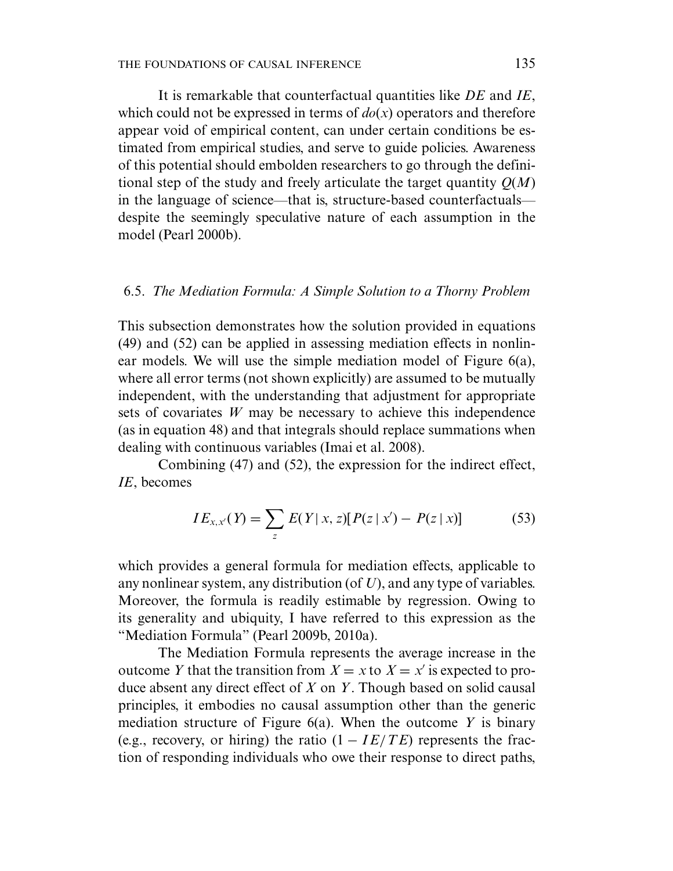It is remarkable that counterfactual quantities like *DE* and *IE*, which could not be expressed in terms of  $do(x)$  operators and therefore appear void of empirical content, can under certain conditions be estimated from empirical studies, and serve to guide policies. Awareness of this potential should embolden researchers to go through the definitional step of the study and freely articulate the target quantity  $O(M)$ in the language of science—that is, structure-based counterfactuals despite the seemingly speculative nature of each assumption in the model (Pearl 2000b).

## 6.5. *The Mediation Formula: A Simple Solution to a Thorny Problem*

This subsection demonstrates how the solution provided in equations (49) and (52) can be applied in assessing mediation effects in nonlinear models. We will use the simple mediation model of Figure 6(a), where all error terms (not shown explicitly) are assumed to be mutually independent, with the understanding that adjustment for appropriate sets of covariates *W* may be necessary to achieve this independence (as in equation 48) and that integrals should replace summations when dealing with continuous variables (Imai et al. 2008).

Combining (47) and (52), the expression for the indirect effect, *IE*, becomes

$$
IE_{x,x'}(Y) = \sum_{z} E(Y \mid x, z)[P(z \mid x') - P(z \mid x)] \tag{53}
$$

which provides a general formula for mediation effects, applicable to any nonlinear system, any distribution (of *U*), and any type of variables. Moreover, the formula is readily estimable by regression. Owing to its generality and ubiquity, I have referred to this expression as the "Mediation Formula" (Pearl 2009b, 2010a).

The Mediation Formula represents the average increase in the outcome *Y* that the transition from  $X = x$  to  $X = x'$  is expected to produce absent any direct effect of *X* on *Y*. Though based on solid causal principles, it embodies no causal assumption other than the generic mediation structure of Figure 6(a). When the outcome *Y* is binary (e.g., recovery, or hiring) the ratio  $(1 - IE/TE)$  represents the fraction of responding individuals who owe their response to direct paths,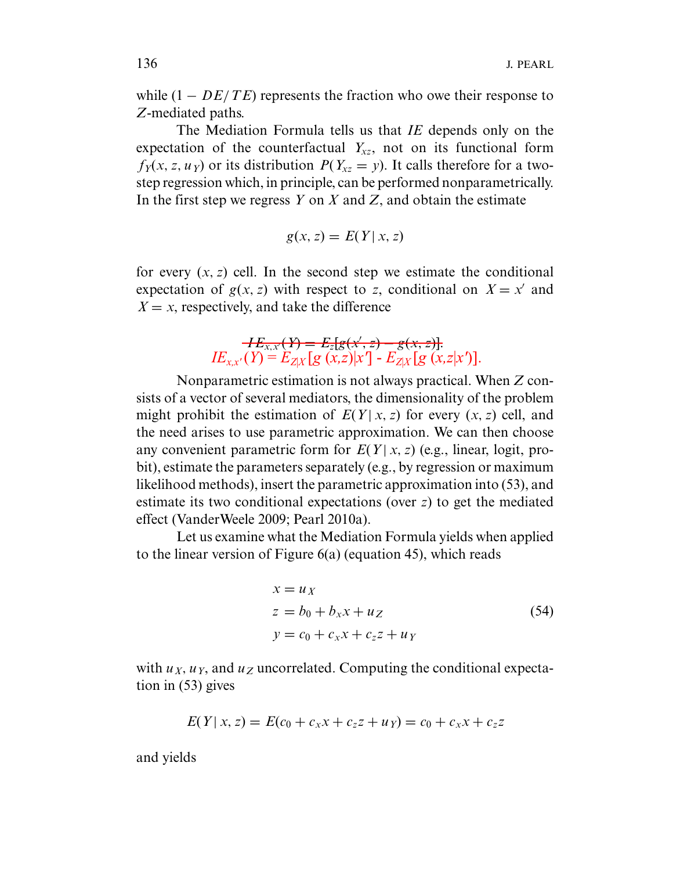while (1 − *DE*/*TE*) represents the fraction who owe their response to *Z*-mediated paths.

The Mediation Formula tells us that *IE* depends only on the expectation of the counterfactual  $Y_{xz}$ , not on its functional form  $f_Y(x, z, u_Y)$  or its distribution  $P(Y_{xz} = y)$ . It calls therefore for a twostep regression which, in principle, can be performed nonparametrically. In the first step we regress *Y* on *X* and *Z*, and obtain the estimate

$$
g(x, z) = E(Y | x, z)
$$

for every  $(x, z)$  cell. In the second step we estimate the conditional expectation of  $g(x, z)$  with respect to *z*, conditional on  $X = x'$  and  $X = x$ , respectively, and take the difference

$$
F_{x,x}(Y) = E_z[g(x', z) - g(x, z)].
$$
  
\n
$$
IE_{x,x'}(Y) = E_{Z|X}[g(x,z)|x'] - E_{Z|X}[g(x,z|x')].
$$

Nonparametric estimation is not always practical. When *Z* consists of a vector of several mediators, the dimensionality of the problem might prohibit the estimation of  $E(Y | x, z)$  for every  $(x, z)$  cell, and the need arises to use parametric approximation. We can then choose any convenient parametric form for  $E(Y | x, z)$  (e.g., linear, logit, probit), estimate the parameters separately (e.g., by regression or maximum likelihood methods), insert the parametric approximation into (53), and estimate its two conditional expectations (over *z*) to get the mediated effect (VanderWeele 2009; Pearl 2010a).

Let us examine what the Mediation Formula yields when applied to the linear version of Figure 6(a) (equation 45), which reads

$$
x = uX
$$
  
\n
$$
z = b0 + bxx + uZ
$$
  
\n
$$
y = c0 + cxx + czz + uY
$$
\n(54)

with  $u_x$ ,  $u_y$ , and  $u_z$  uncorrelated. Computing the conditional expectation in (53) gives

$$
E(Y | x, z) = E(c_0 + c_x x + c_z z + u_Y) = c_0 + c_x x + c_z z
$$

and yields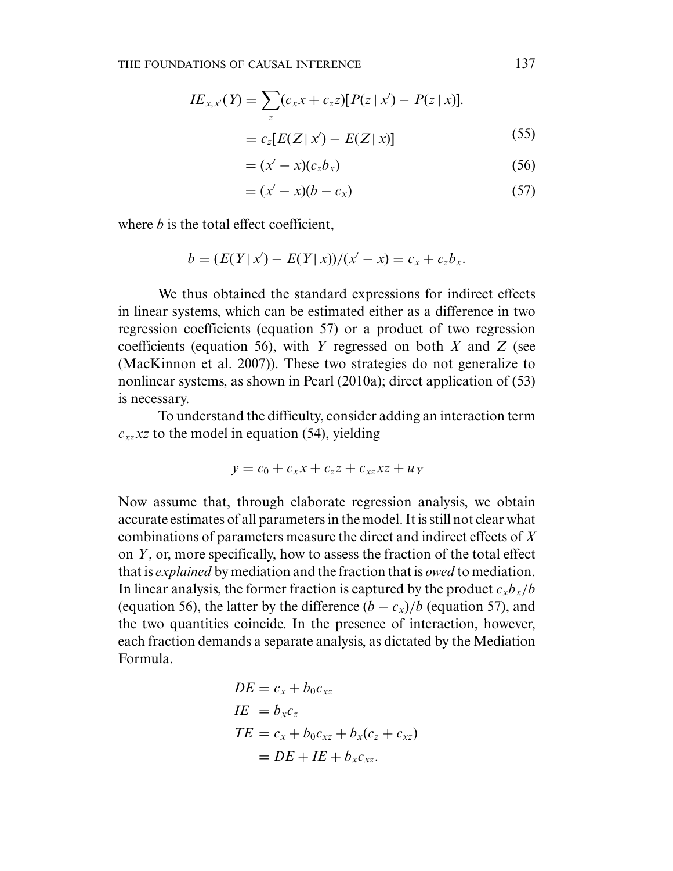$$
IE_{x,x'}(Y) = \sum_{z} (c_x x + c_z z)[P(z | x') - P(z | x)].
$$
  
=  $c_z[E(Z | x') - E(Z | x)]$  (55)

$$
= (x' - x)(c_z b_x) \tag{56}
$$

$$
= (x'-x)(b-c_x) \tag{57}
$$

where *b* is the total effect coefficient,

$$
b = (E(Y | x') – E(Y | x))/(x' – x) = c_x + c_z b_x.
$$

We thus obtained the standard expressions for indirect effects in linear systems, which can be estimated either as a difference in two regression coefficients (equation 57) or a product of two regression coefficients (equation 56), with *Y* regressed on both *X* and *Z* (see (MacKinnon et al. 2007)). These two strategies do not generalize to nonlinear systems, as shown in Pearl (2010a); direct application of (53) is necessary.

To understand the difficulty, consider adding an interaction term  $c_{xz}$ *xz* to the model in equation (54), yielding

$$
y = c_0 + c_x x + c_z z + c_{xz} xz + u_Y
$$

Now assume that, through elaborate regression analysis, we obtain accurate estimates of all parameters in the model. It is still not clear what combinations of parameters measure the direct and indirect effects of *X* on *Y*, or, more specifically, how to assess the fraction of the total effect that is *explained* by mediation and the fraction that is *owed* to mediation. In linear analysis, the former fraction is captured by the product  $c_xb_x/b$ (equation 56), the latter by the difference  $(b - c<sub>x</sub>)/b$  (equation 57), and the two quantities coincide. In the presence of interaction, however, each fraction demands a separate analysis, as dictated by the Mediation Formula.

$$
DE = c_x + b_0 c_{xz}
$$
  
\n
$$
IE = b_x c_z
$$
  
\n
$$
TE = c_x + b_0 c_{xz} + b_x (c_z + c_{xz})
$$
  
\n
$$
= DE + IE + b_x c_{xz}.
$$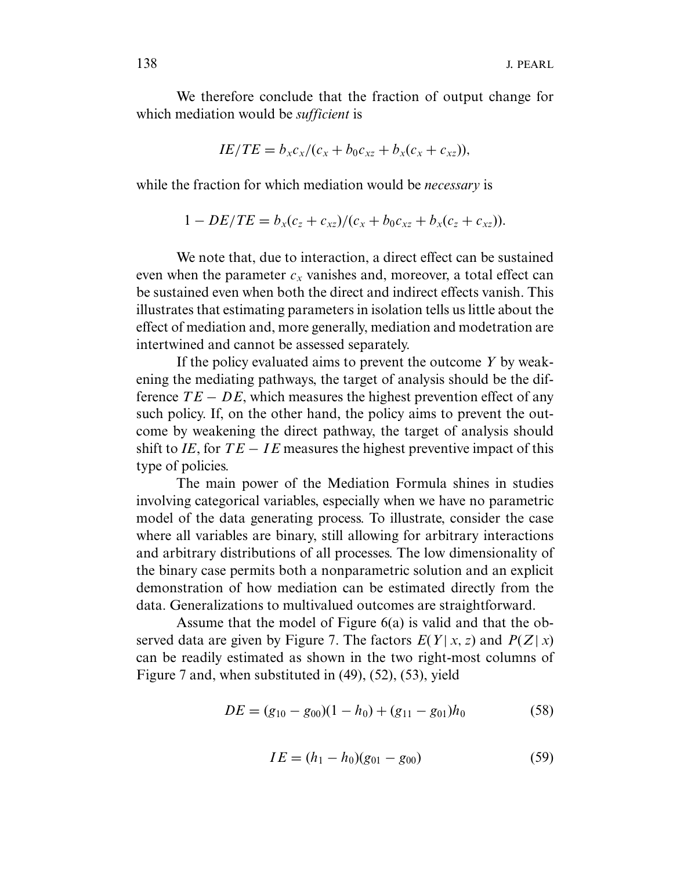We therefore conclude that the fraction of output change for which mediation would be *sufficient* is

$$
IE/TE = b_x c_x / (c_x + b_0 c_{xz} + b_x (c_x + c_{xz})),
$$

while the fraction for which mediation would be *necessary* is

$$
1 - DE/TE = b_x(c_z + c_{xz})/(c_x + b_0c_{xz} + b_x(c_z + c_{xz})).
$$

We note that, due to interaction, a direct effect can be sustained even when the parameter  $c_x$  vanishes and, moreover, a total effect can be sustained even when both the direct and indirect effects vanish. This illustrates that estimating parameters in isolation tells us little about the effect of mediation and, more generally, mediation and modetration are intertwined and cannot be assessed separately.

If the policy evaluated aims to prevent the outcome *Y* by weakening the mediating pathways, the target of analysis should be the difference  $TE - DE$ , which measures the highest prevention effect of any such policy. If, on the other hand, the policy aims to prevent the outcome by weakening the direct pathway, the target of analysis should shift to *IE*, for  $TE - IE$  measures the highest preventive impact of this type of policies.

The main power of the Mediation Formula shines in studies involving categorical variables, especially when we have no parametric model of the data generating process. To illustrate, consider the case where all variables are binary, still allowing for arbitrary interactions and arbitrary distributions of all processes. The low dimensionality of the binary case permits both a nonparametric solution and an explicit demonstration of how mediation can be estimated directly from the data. Generalizations to multivalued outcomes are straightforward.

Assume that the model of Figure 6(a) is valid and that the observed data are given by Figure 7. The factors  $E(Y | x, z)$  and  $P(Z | x)$ can be readily estimated as shown in the two right-most columns of Figure 7 and, when substituted in (49), (52), (53), yield

$$
DE = (g_{10} - g_{00})(1 - h_0) + (g_{11} - g_{01})h_0
$$
\n(58)

$$
IE = (h_1 - h_0)(g_{01} - g_{00})
$$
\n<sup>(59)</sup>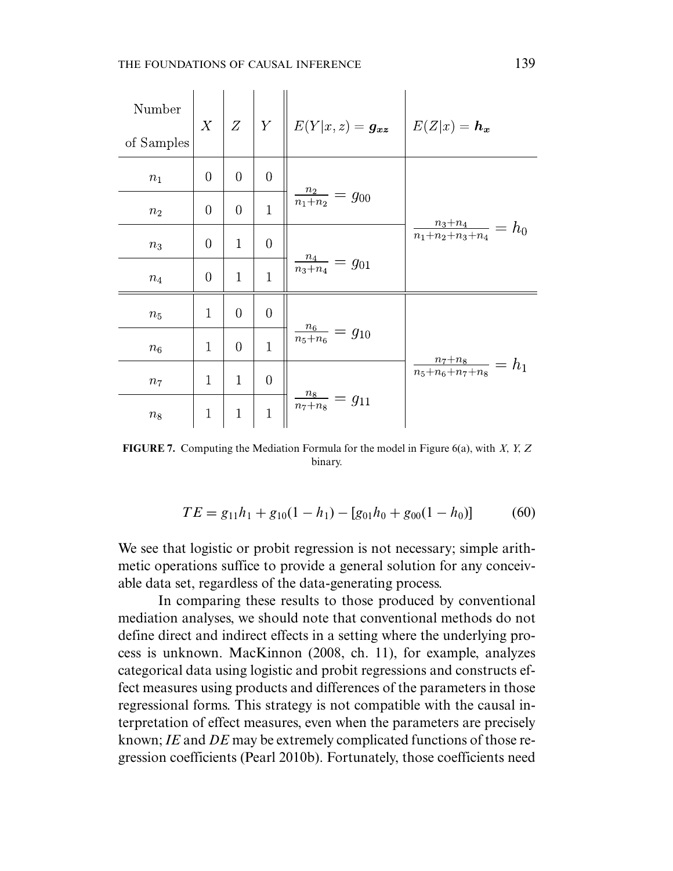| Number<br>of Samples |                |                |                | $X \mid Z \mid Y \mid E(Y x, z) = g_{xz} \mid E(Z x) = h_x$ |                                       |
|----------------------|----------------|----------------|----------------|-------------------------------------------------------------|---------------------------------------|
| $n_1$                | $\overline{0}$ | $\overline{0}$ | $\overline{0}$ | $\frac{n_2}{n_1+n_2}=g_{00}$                                | $\frac{n_3+n_4}{n_1+n_2+n_3+n_4}=h_0$ |
| n <sub>2</sub>       | $\overline{0}$ | $\overline{0}$ | $\mathbf{1}$   |                                                             |                                       |
| $n_3$                | $\overline{0}$ | $\mathbf{1}$   | $\overline{0}$ | $\frac{n_4}{n_3+n_4}=g_{01}$                                |                                       |
| $n_4$                | $\overline{0}$ | $\mathbf{1}$   | $\mathbf{1}$   |                                                             |                                       |
| $n_5$                | $\mathbf 1$    | $\overline{0}$ | $\overline{0}$ | $\frac{n_6}{n_5+n_6}=g_{10}$                                | $\frac{n_7+n_8}{n_5+n_6+n_7+n_8}=h_1$ |
| $n_6$                | $\mathbf{1}$   | $\overline{0}$ | $\mathbf{1}$   |                                                             |                                       |
| n <sub>7</sub>       | $\mathbf{1}$   | $\mathbf{1}$   | $\overline{0}$ | $\frac{n_8}{1}$ $\frac{n_8}{n_7+n_8} = g_{11}$              |                                       |
| $n_8$                | $\mathbf{1}$   |                |                |                                                             |                                       |

**FIGURE 7.** Computing the Mediation Formula for the model in Figure 6(a), with *X*, *Y*, *Z* binary.

$$
TE = g_{11}h_1 + g_{10}(1 - h_1) - [g_{01}h_0 + g_{00}(1 - h_0)] \tag{60}
$$

We see that logistic or probit regression is not necessary; simple arithmetic operations suffice to provide a general solution for any conceivable data set, regardless of the data-generating process.

In comparing these results to those produced by conventional mediation analyses, we should note that conventional methods do not define direct and indirect effects in a setting where the underlying process is unknown. MacKinnon (2008, ch. 11), for example, analyzes categorical data using logistic and probit regressions and constructs effect measures using products and differences of the parameters in those regressional forms. This strategy is not compatible with the causal interpretation of effect measures, even when the parameters are precisely known;*IE* and *DE* may be extremely complicated functions of those regression coefficients (Pearl 2010b). Fortunately, those coefficients need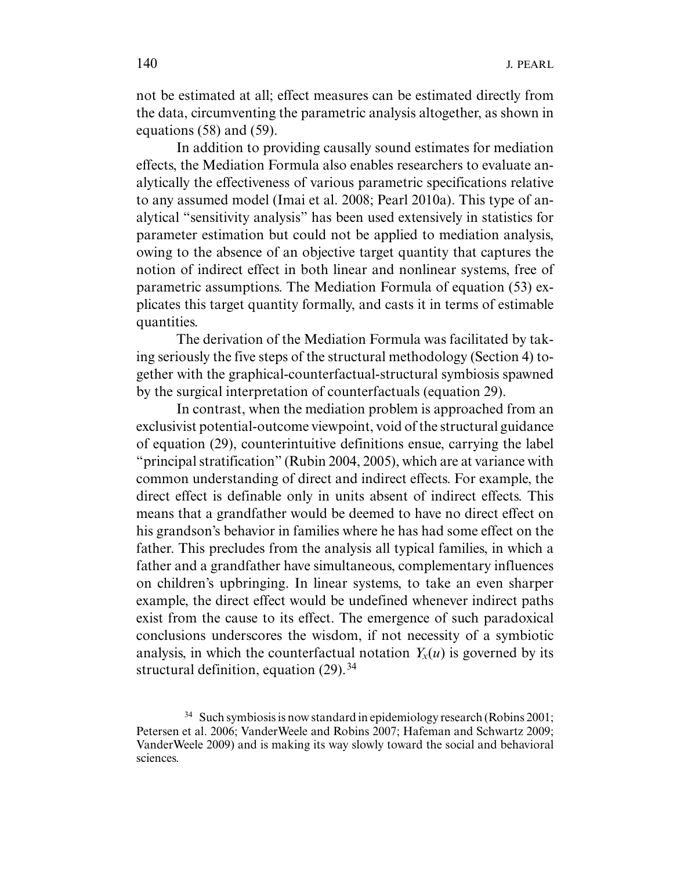not be estimated at all; effect measures can be estimated directly from the data, circumventing the parametric analysis altogether, as shown in equations (58) and (59).

In addition to providing causally sound estimates for mediation effects, the Mediation Formula also enables researchers to evaluate analytically the effectiveness of various parametric specifications relative to any assumed model (Imai et al. 2008; Pearl 2010a). This type of analytical "sensitivity analysis" has been used extensively in statistics for parameter estimation but could not be applied to mediation analysis, owing to the absence of an objective target quantity that captures the notion of indirect effect in both linear and nonlinear systems, free of parametric assumptions. The Mediation Formula of equation (53) explicates this target quantity formally, and casts it in terms of estimable quantities.

The derivation of the Mediation Formula was facilitated by taking seriously the five steps of the structural methodology (Section 4) together with the graphical-counterfactual-structural symbiosis spawned by the surgical interpretation of counterfactuals (equation 29).

In contrast, when the mediation problem is approached from an exclusivist potential-outcome viewpoint, void of the structural guidance of equation (29), counterintuitive definitions ensue, carrying the label "principal stratification" (Rubin 2004, 2005), which are at variance with common understanding of direct and indirect effects. For example, the direct effect is definable only in units absent of indirect effects. This means that a grandfather would be deemed to have no direct effect on his grandson's behavior in families where he has had some effect on the father. This precludes from the analysis all typical families, in which a father and a grandfather have simultaneous, complementary influences on children's upbringing. In linear systems, to take an even sharper example, the direct effect would be undefined whenever indirect paths exist from the cause to its effect. The emergence of such paradoxical conclusions underscores the wisdom, if not necessity of a symbiotic analysis, in which the counterfactual notation  $Y_x(u)$  is governed by its structural definition, equation  $(29)$ .<sup>34</sup>

<sup>&</sup>lt;sup>34</sup> Such symbiosis is now standard in epidemiology research (Robins 2001; Petersen et al. 2006; VanderWeele and Robins 2007; Hafeman and Schwartz 2009; VanderWeele 2009) and is making its way slowly toward the social and behavioral sciences.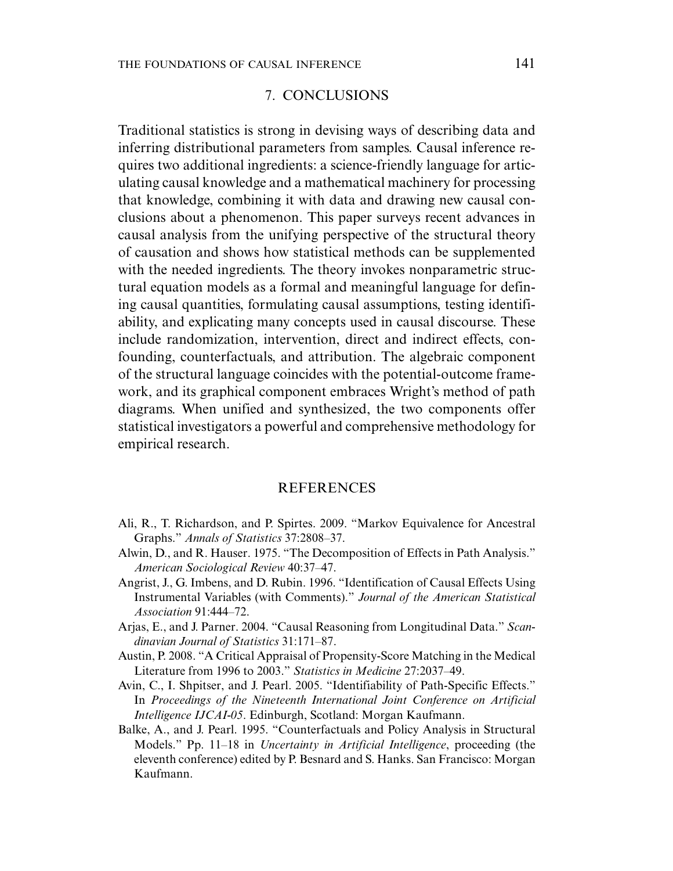#### 7. CONCLUSIONS

Traditional statistics is strong in devising ways of describing data and inferring distributional parameters from samples. Causal inference requires two additional ingredients: a science-friendly language for articulating causal knowledge and a mathematical machinery for processing that knowledge, combining it with data and drawing new causal conclusions about a phenomenon. This paper surveys recent advances in causal analysis from the unifying perspective of the structural theory of causation and shows how statistical methods can be supplemented with the needed ingredients. The theory invokes nonparametric structural equation models as a formal and meaningful language for defining causal quantities, formulating causal assumptions, testing identifiability, and explicating many concepts used in causal discourse. These include randomization, intervention, direct and indirect effects, confounding, counterfactuals, and attribution. The algebraic component of the structural language coincides with the potential-outcome framework, and its graphical component embraces Wright's method of path diagrams. When unified and synthesized, the two components offer statistical investigators a powerful and comprehensive methodology for empirical research.

#### **REFERENCES**

- Ali, R., T. Richardson, and P. Spirtes. 2009. "Markov Equivalence for Ancestral Graphs." *Annals of Statistics* 37:2808–37.
- Alwin, D., and R. Hauser. 1975. "The Decomposition of Effects in Path Analysis." *American Sociological Review* 40:37–47.
- Angrist, J., G. Imbens, and D. Rubin. 1996. "Identification of Causal Effects Using Instrumental Variables (with Comments)." *Journal of the American Statistical Association* 91:444–72.
- Arjas, E., and J. Parner. 2004. "Causal Reasoning from Longitudinal Data." *Scandinavian Journal of Statistics* 31:171–87.
- Austin, P. 2008. "A Critical Appraisal of Propensity-Score Matching in the Medical Literature from 1996 to 2003." *Statistics in Medicine* 27:2037–49.
- Avin, C., I. Shpitser, and J. Pearl. 2005. "Identifiability of Path-Specific Effects." In *Proceedings of the Nineteenth International Joint Conference on Artificial Intelligence IJCAI-05*. Edinburgh, Scotland: Morgan Kaufmann.
- Balke, A., and J. Pearl. 1995. "Counterfactuals and Policy Analysis in Structural Models." Pp. 11–18 in *Uncertainty in Artificial Intelligence*, proceeding (the eleventh conference) edited by P. Besnard and S. Hanks. San Francisco: Morgan Kaufmann.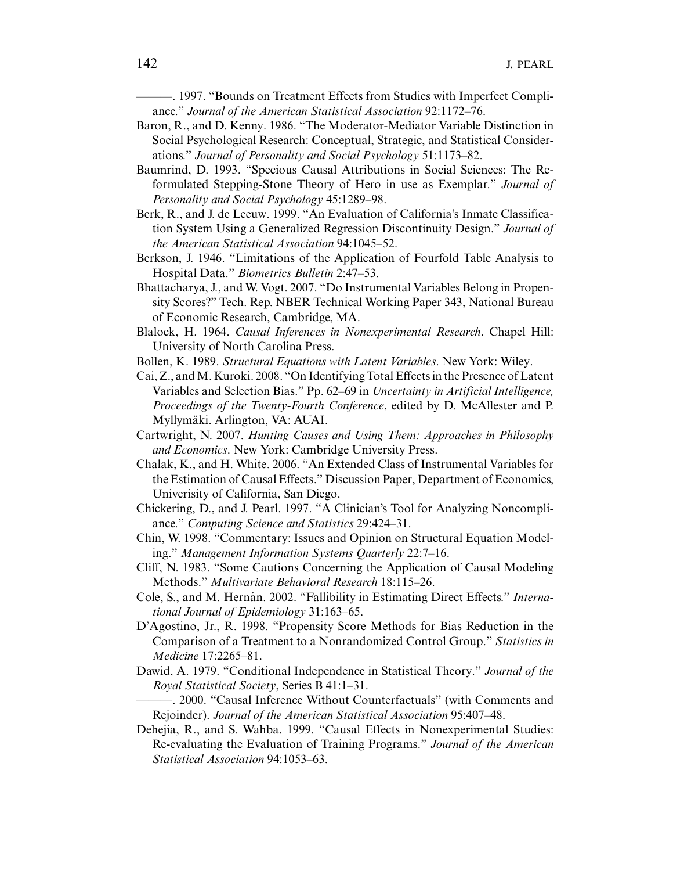———. 1997. "Bounds on Treatment Effects from Studies with Imperfect Compliance." *Journal of the American Statistical Association* 92:1172–76.

- Baron, R., and D. Kenny. 1986. "The Moderator-Mediator Variable Distinction in Social Psychological Research: Conceptual, Strategic, and Statistical Considerations." *Journal of Personality and Social Psychology* 51:1173–82.
- Baumrind, D. 1993. "Specious Causal Attributions in Social Sciences: The Reformulated Stepping-Stone Theory of Hero in use as Exemplar." *Journal of Personality and Social Psychology* 45:1289–98.
- Berk, R., and J. de Leeuw. 1999. "An Evaluation of California's Inmate Classification System Using a Generalized Regression Discontinuity Design." *Journal of the American Statistical Association* 94:1045–52.
- Berkson, J. 1946. "Limitations of the Application of Fourfold Table Analysis to Hospital Data." *Biometrics Bulletin* 2:47–53.
- Bhattacharya, J., and W. Vogt. 2007. "Do Instrumental Variables Belong in Propensity Scores?" Tech. Rep. NBER Technical Working Paper 343, National Bureau of Economic Research, Cambridge, MA.
- Blalock, H. 1964. *Causal Inferences in Nonexperimental Research*. Chapel Hill: University of North Carolina Press.
- Bollen, K. 1989. *Structural Equations with Latent Variables*. New York: Wiley.
- Cai, Z., andM. Kuroki. 2008. "On Identifying Total Effects in the Presence of Latent Variables and Selection Bias." Pp. 62–69 in *Uncertainty in Artificial Intelligence, Proceedings of the Twenty-Fourth Conference*, edited by D. McAllester and P. Myllymaki. Arlington, VA: AUAI. ¨
- Cartwright, N. 2007. *Hunting Causes and Using Them: Approaches in Philosophy and Economics*. New York: Cambridge University Press.
- Chalak, K., and H. White. 2006. "An Extended Class of Instrumental Variables for the Estimation of Causal Effects." Discussion Paper, Department of Economics, Univerisity of California, San Diego.
- Chickering, D., and J. Pearl. 1997. "A Clinician's Tool for Analyzing Noncompliance." *Computing Science and Statistics* 29:424–31.
- Chin, W. 1998. "Commentary: Issues and Opinion on Structural Equation Modeling." *Management Information Systems Quarterly* 22:7–16.
- Cliff, N. 1983. "Some Cautions Concerning the Application of Causal Modeling Methods." *Multivariate Behavioral Research* 18:115–26.
- Cole, S., and M. Hernán. 2002. "Fallibility in Estimating Direct Effects." *International Journal of Epidemiology* 31:163–65.
- D'Agostino, Jr., R. 1998. "Propensity Score Methods for Bias Reduction in the Comparison of a Treatment to a Nonrandomized Control Group." *Statistics in Medicine* 17:2265–81.
- Dawid, A. 1979. "Conditional Independence in Statistical Theory." *Journal of the Royal Statistical Society*, Series B 41:1–31.
- ———. 2000. "Causal Inference Without Counterfactuals" (with Comments and Rejoinder). *Journal of the American Statistical Association* 95:407–48.
- Dehejia, R., and S. Wahba. 1999. "Causal Effects in Nonexperimental Studies: Re-evaluating the Evaluation of Training Programs." *Journal of the American Statistical Association* 94:1053–63.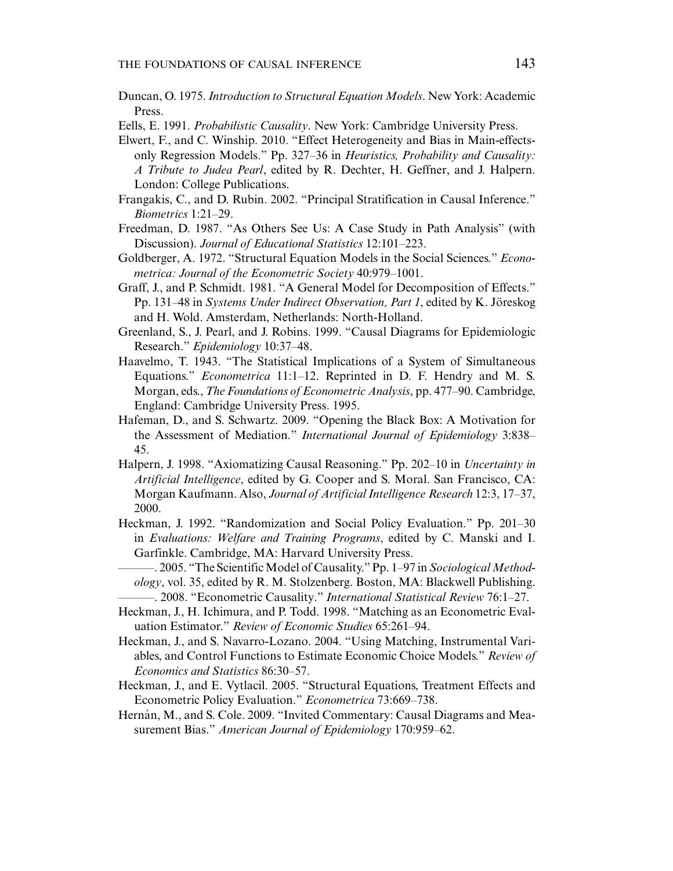- Duncan, O. 1975.*Introduction to Structural Equation Models*. New York: Academic Press.
- Eells, E. 1991. *Probabilistic Causality*. New York: Cambridge University Press.
- Elwert, F., and C. Winship. 2010. "Effect Heterogeneity and Bias in Main-effectsonly Regression Models." Pp. 327–36 in *Heuristics, Probability and Causality: A Tribute to Judea Pearl*, edited by R. Dechter, H. Geffner, and J. Halpern. London: College Publications.
- Frangakis, C., and D. Rubin. 2002. "Principal Stratification in Causal Inference." *Biometrics* 1:21–29.
- Freedman, D. 1987. "As Others See Us: A Case Study in Path Analysis" (with Discussion). *Journal of Educational Statistics* 12:101–223.
- Goldberger, A. 1972. "Structural Equation Models in the Social Sciences." *Econometrica: Journal of the Econometric Society* 40:979–1001.
- Graff, J., and P. Schmidt. 1981. "A General Model for Decomposition of Effects." Pp. 131–48 in *Systems Under Indirect Observation, Part 1*, edited by K. Jöreskog and H. Wold. Amsterdam, Netherlands: North-Holland.
- Greenland, S., J. Pearl, and J. Robins. 1999. "Causal Diagrams for Epidemiologic Research." *Epidemiology* 10:37–48.
- Haavelmo, T. 1943. "The Statistical Implications of a System of Simultaneous Equations." *Econometrica* 11:1–12. Reprinted in D. F. Hendry and M. S. Morgan, eds., *The Foundations of Econometric Analysis*, pp. 477–90. Cambridge, England: Cambridge University Press. 1995.
- Hafeman, D., and S. Schwartz. 2009. "Opening the Black Box: A Motivation for the Assessment of Mediation." *International Journal of Epidemiology* 3:838– 45.
- Halpern, J. 1998. "Axiomatizing Causal Reasoning." Pp. 202–10 in *Uncertainty in Artificial Intelligence*, edited by G. Cooper and S. Moral. San Francisco, CA: Morgan Kaufmann. Also, *Journal of Artificial Intelligence Research* 12:3, 17–37, 2000.
- Heckman, J. 1992. "Randomization and Social Policy Evaluation." Pp. 201–30 in *Evaluations: Welfare and Training Programs*, edited by C. Manski and I. Garfinkle. Cambridge, MA: Harvard University Press.
- -. 2005. "The Scientific Model of Causality." Pp. 1–97 in *Sociological Methodology*, vol. 35, edited by R. M. Stolzenberg. Boston, MA: Blackwell Publishing. ———. 2008. "Econometric Causality." *International Statistical Review* 76:1–27.
- Heckman, J., H. Ichimura, and P. Todd. 1998. "Matching as an Econometric Evaluation Estimator." *Review of Economic Studies* 65:261–94.
- Heckman, J., and S. Navarro-Lozano. 2004. "Using Matching, Instrumental Variables, and Control Functions to Estimate Economic Choice Models." *Review of Economics and Statistics* 86:30–57.
- Heckman, J., and E. Vytlacil. 2005. "Structural Equations, Treatment Effects and Econometric Policy Evaluation." *Econometrica* 73:669–738.
- Hernán, M., and S. Cole. 2009. "Invited Commentary: Causal Diagrams and Measurement Bias." *American Journal of Epidemiology* 170:959–62.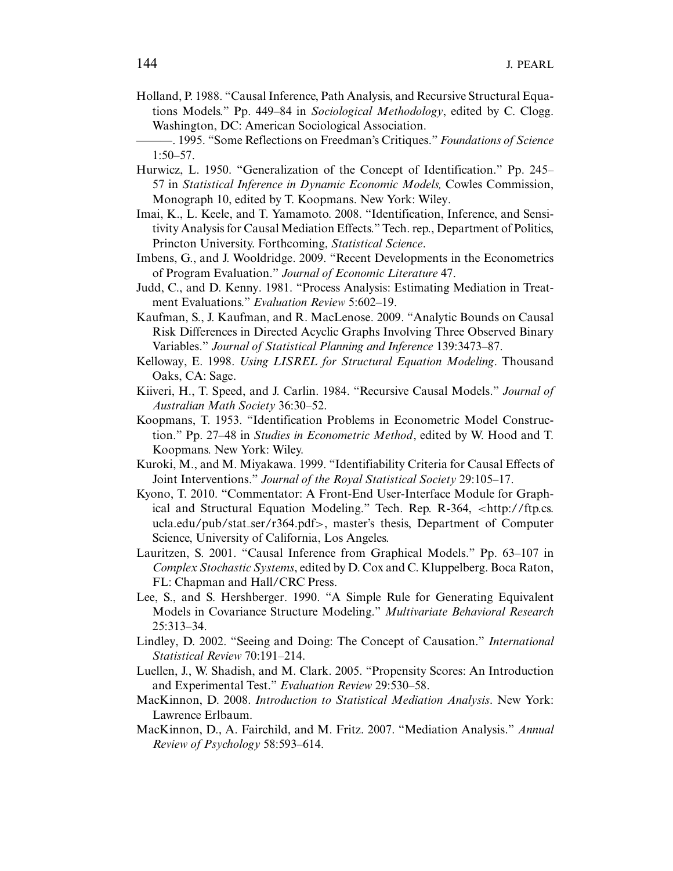- Holland, P. 1988. "Causal Inference, Path Analysis, and Recursive Structural Equations Models." Pp. 449–84 in *Sociological Methodology*, edited by C. Clogg. Washington, DC: American Sociological Association.
- ———. 1995. "Some Reflections on Freedman's Critiques." *Foundations of Science* 1:50–57.
- Hurwicz, L. 1950. "Generalization of the Concept of Identification." Pp. 245– 57 in *Statistical Inference in Dynamic Economic Models,* Cowles Commission, Monograph 10, edited by T. Koopmans. New York: Wiley.
- Imai, K., L. Keele, and T. Yamamoto. 2008. "Identification, Inference, and Sensitivity Analysis for Causal Mediation Effects." Tech. rep., Department of Politics, Princton University. Forthcoming, *Statistical Science*.
- Imbens, G., and J. Wooldridge. 2009. "Recent Developments in the Econometrics of Program Evaluation." *Journal of Economic Literature* 47.
- Judd, C., and D. Kenny. 1981. "Process Analysis: Estimating Mediation in Treatment Evaluations." *Evaluation Review* 5:602–19.
- Kaufman, S., J. Kaufman, and R. MacLenose. 2009. "Analytic Bounds on Causal Risk Differences in Directed Acyclic Graphs Involving Three Observed Binary Variables." *Journal of Statistical Planning and Inference* 139:3473–87.
- Kelloway, E. 1998. *Using LISREL for Structural Equation Modeling*. Thousand Oaks, CA: Sage.
- Kiiveri, H., T. Speed, and J. Carlin. 1984. "Recursive Causal Models." *Journal of Australian Math Society* 36:30–52.
- Koopmans, T. 1953. "Identification Problems in Econometric Model Construction." Pp. 27–48 in *Studies in Econometric Method*, edited by W. Hood and T. Koopmans. New York: Wiley.
- Kuroki, M., and M. Miyakawa. 1999. "Identifiability Criteria for Causal Effects of Joint Interventions." *Journal of the Royal Statistical Society* 29:105–17.
- Kyono, T. 2010. "Commentator: A Front-End User-Interface Module for Graphical and Structural Equation Modeling." Tech. Rep. R-364, <http://ftp.cs. ucla.edu/pub/stat ser/r364.pdf>, master's thesis, Department of Computer Science, University of California, Los Angeles.
- Lauritzen, S. 2001. "Causal Inference from Graphical Models." Pp. 63–107 in *Complex Stochastic Systems*, edited by D. Cox and C. Kluppelberg. Boca Raton, FL: Chapman and Hall/CRC Press.
- Lee, S., and S. Hershberger. 1990. "A Simple Rule for Generating Equivalent Models in Covariance Structure Modeling." *Multivariate Behavioral Research* 25:313–34.
- Lindley, D. 2002. "Seeing and Doing: The Concept of Causation." *International Statistical Review* 70:191–214.
- Luellen, J., W. Shadish, and M. Clark. 2005. "Propensity Scores: An Introduction and Experimental Test." *Evaluation Review* 29:530–58.
- MacKinnon, D. 2008. *Introduction to Statistical Mediation Analysis*. New York: Lawrence Erlbaum.
- MacKinnon, D., A. Fairchild, and M. Fritz. 2007. "Mediation Analysis." *Annual Review of Psychology* 58:593–614.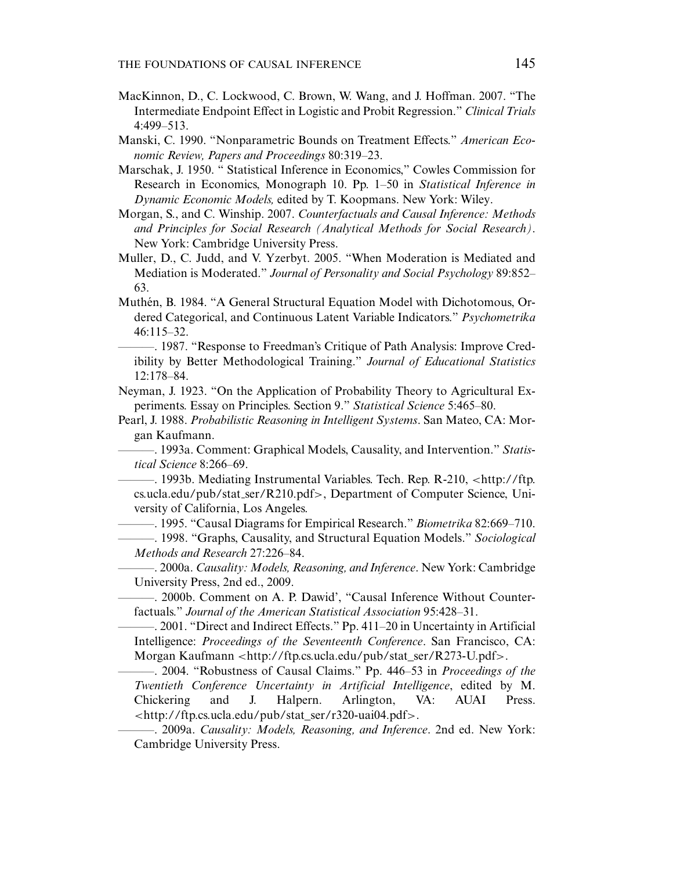- MacKinnon, D., C. Lockwood, C. Brown, W. Wang, and J. Hoffman. 2007. "The Intermediate Endpoint Effect in Logistic and Probit Regression." *Clinical Trials* 4:499–513.
- Manski, C. 1990. "Nonparametric Bounds on Treatment Effects." *American Economic Review, Papers and Proceedings* 80:319–23.
- Marschak, J. 1950. " Statistical Inference in Economics," Cowles Commission for Research in Economics, Monograph 10. Pp. 1–50 in *Statistical Inference in Dynamic Economic Models,* edited by T. Koopmans. New York: Wiley.
- Morgan, S., and C. Winship. 2007. *Counterfactuals and Causal Inference: Methods and Principles for Social Research (Analytical Methods for Social Research)*. New York: Cambridge University Press.
- Muller, D., C. Judd, and V. Yzerbyt. 2005. "When Moderation is Mediated and Mediation is Moderated." *Journal of Personality and Social Psychology* 89:852– 63.
- Muthen, B. 1984. "A General Structural Equation Model with Dichotomous, Or- ´ dered Categorical, and Continuous Latent Variable Indicators." *Psychometrika* 46:115–32.
- –. 1987. "Response to Freedman's Critique of Path Analysis: Improve Credibility by Better Methodological Training." *Journal of Educational Statistics* 12:178–84.
- Neyman, J. 1923. "On the Application of Probability Theory to Agricultural Experiments. Essay on Principles. Section 9." *Statistical Science* 5:465–80.
- Pearl, J. 1988. *Probabilistic Reasoning in Intelligent Systems*. San Mateo, CA: Morgan Kaufmann.
	- ———. 1993a. Comment: Graphical Models, Causality, and Intervention." *Statistical Science* 8:266–69.
	- ———. 1993b. Mediating Instrumental Variables. Tech. Rep. R-210, <http://ftp. cs.ucla.edu/pub/stat ser/R210.pdf>, Department of Computer Science, University of California, Los Angeles.
	- ———. 1995. "Causal Diagrams for Empirical Research." *Biometrika* 82:669–710.
	- ———. 1998. "Graphs, Causality, and Structural Equation Models." *Sociological Methods and Research* 27:226–84.
	- ———. 2000a. *Causality: Models, Reasoning, and Inference*. New York: Cambridge University Press, 2nd ed., 2009.
	- ———. 2000b. Comment on A. P. Dawid', "Causal Inference Without Counterfactuals." *Journal of the American Statistical Association* 95:428–31.
	- ———. 2001. "Direct and Indirect Effects." Pp. 411–20 in Uncertainty in Artificial Intelligence: *Proceedings of the Seventeenth Conference*. San Francisco, CA: Morgan Kaufmann <http://ftp.cs.ucla.edu/pub/stat\_ser/R273-U.pdf>.
	- ———. 2004. "Robustness of Causal Claims." Pp. 446–53 in *Proceedings of the Twentieth Conference Uncertainty in Artificial Intelligence*, edited by M. Chickering and J. Halpern. Arlington, VA: AUAI Press. <http://ftp.cs.ucla.edu/pub/stat\_ser/r320-uai04.pdf>.
	- ———. 2009a. *Causality: Models, Reasoning, and Inference*. 2nd ed. New York: Cambridge University Press.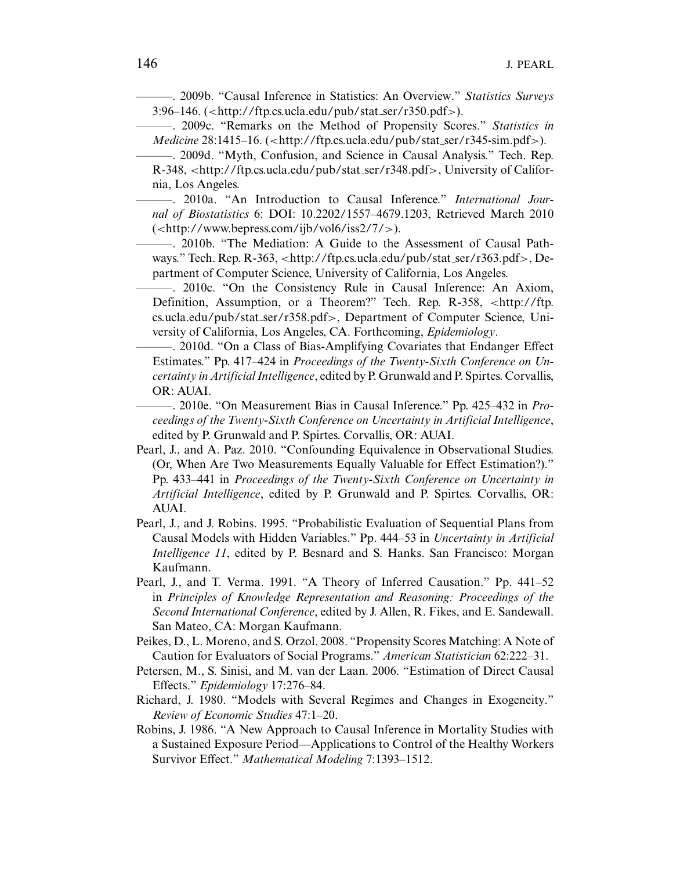———. 2009b. "Causal Inference in Statistics: An Overview." *Statistics Surveys*  $3:96-146.$  (<http://ftp.cs.ucla.edu/pub/stat\_ser/r350.pdf>).

———. 2009c. "Remarks on the Method of Propensity Scores." *Statistics in Medicine* 28:1415–16. (<http://ftp.cs.ucla.edu/pub/stat\_ser/r345-sim.pdf>).

———. 2009d. "Myth, Confusion, and Science in Causal Analysis." Tech. Rep. R-348, <http://ftp.cs.ucla.edu/pub/stat ser/r348.pdf>, University of California, Los Angeles.

———. 2010a. "An Introduction to Causal Inference." *International Journal of Biostatistics* 6: DOI: 10.2202/1557–4679.1203, Retrieved March 2010  $(\langle \text{http://www.bepress.com/ijb/vol6/iss2/7/}\rangle).$ 

———. 2010b. "The Mediation: A Guide to the Assessment of Causal Pathways." Tech. Rep. R-363, <http://ftp.cs.ucla.edu/pub/stat ser/r363.pdf>, Department of Computer Science, University of California, Los Angeles.

———. 2010c. "On the Consistency Rule in Causal Inference: An Axiom, Definition, Assumption, or a Theorem?" Tech. Rep. R-358, <http://ftp. cs.ucla.edu/pub/stat ser/r358.pdf>, Department of Computer Science, University of California, Los Angeles, CA. Forthcoming, *Epidemiology*.

-. 2010d. "On a Class of Bias-Amplifying Covariates that Endanger Effect Estimates." Pp. 417–424 in *Proceedings of the Twenty-Sixth Conference on Uncertainty in Artificial Intelligence*, edited by P. Grunwald and P. Spirtes. Corvallis, OR: AUAI.

———. 2010e. "On Measurement Bias in Causal Inference." Pp. 425–432 in *Proceedings of the Twenty-Sixth Conference on Uncertainty in Artificial Intelligence*, edited by P. Grunwald and P. Spirtes. Corvallis, OR: AUAI.

- Pearl, J., and A. Paz. 2010. "Confounding Equivalence in Observational Studies. (Or, When Are Two Measurements Equally Valuable for Effect Estimation?)." Pp. 433–441 in *Proceedings of the Twenty-Sixth Conference on Uncertainty in Artificial Intelligence*, edited by P. Grunwald and P. Spirtes. Corvallis, OR: AUAI.
- Pearl, J., and J. Robins. 1995. "Probabilistic Evaluation of Sequential Plans from Causal Models with Hidden Variables." Pp. 444–53 in *Uncertainty in Artificial Intelligence 11*, edited by P. Besnard and S. Hanks. San Francisco: Morgan Kaufmann.

Pearl, J., and T. Verma. 1991. "A Theory of Inferred Causation." Pp. 441–52 in *Principles of Knowledge Representation and Reasoning: Proceedings of the Second International Conference*, edited by J. Allen, R. Fikes, and E. Sandewall. San Mateo, CA: Morgan Kaufmann.

- Peikes, D., L. Moreno, and S. Orzol. 2008. "Propensity Scores Matching: A Note of Caution for Evaluators of Social Programs." *American Statistician* 62:222–31.
- Petersen, M., S. Sinisi, and M. van der Laan. 2006. "Estimation of Direct Causal Effects." *Epidemiology* 17:276–84.
- Richard, J. 1980. "Models with Several Regimes and Changes in Exogeneity." *Review of Economic Studies* 47:1–20.
- Robins, J. 1986. "A New Approach to Causal Inference in Mortality Studies with a Sustained Exposure Period—Applications to Control of the Healthy Workers Survivor Effect." *Mathematical Modeling* 7:1393–1512.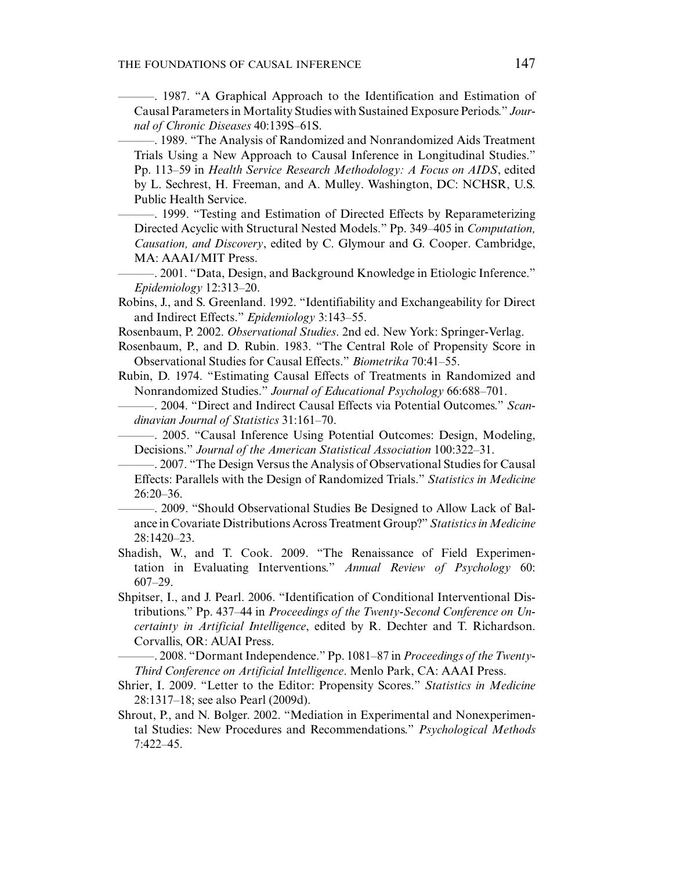———. 1987. "A Graphical Approach to the Identification and Estimation of Causal Parameters in Mortality Studies with Sustained Exposure Periods." *Journal of Chronic Diseases* 40:139S–61S.

———. 1989. "The Analysis of Randomized and Nonrandomized Aids Treatment Trials Using a New Approach to Causal Inference in Longitudinal Studies." Pp. 113–59 in *Health Service Research Methodology: A Focus on AIDS*, edited by L. Sechrest, H. Freeman, and A. Mulley. Washington, DC: NCHSR, U.S. Public Health Service.

-. 1999. "Testing and Estimation of Directed Effects by Reparameterizing Directed Acyclic with Structural Nested Models." Pp. 349–405 in *Computation, Causation, and Discovery*, edited by C. Glymour and G. Cooper. Cambridge, MA: AAAI/MIT Press.

–. 2001. "Data, Design, and Background Knowledge in Etiologic Inference." *Epidemiology* 12:313–20.

Robins, J., and S. Greenland. 1992. "Identifiability and Exchangeability for Direct and Indirect Effects." *Epidemiology* 3:143–55.

Rosenbaum, P. 2002. *Observational Studies*. 2nd ed. New York: Springer-Verlag.

Rosenbaum, P., and D. Rubin. 1983. "The Central Role of Propensity Score in Observational Studies for Causal Effects." *Biometrika* 70:41–55.

Rubin, D. 1974. "Estimating Causal Effects of Treatments in Randomized and Nonrandomized Studies." *Journal of Educational Psychology* 66:688–701.

———. 2004. "Direct and Indirect Causal Effects via Potential Outcomes." *Scandinavian Journal of Statistics* 31:161–70.

-. 2005. "Causal Inference Using Potential Outcomes: Design, Modeling, Decisions." *Journal of the American Statistical Association* 100:322–31.

———. 2007. "The Design Versus the Analysis of Observational Studies for Causal Effects: Parallels with the Design of Randomized Trials." *Statistics in Medicine* 26:20–36.

———. 2009. "Should Observational Studies Be Designed to Allow Lack of Balance in Covariate Distributions Across Treatment Group?" *Statistics inMedicine* 28:1420–23.

- Shadish, W., and T. Cook. 2009. "The Renaissance of Field Experimentation in Evaluating Interventions." *Annual Review of Psychology* 60: 607–29.
- Shpitser, I., and J. Pearl. 2006. "Identification of Conditional Interventional Distributions." Pp. 437–44 in *Proceedings of the Twenty-Second Conference on Uncertainty in Artificial Intelligence*, edited by R. Dechter and T. Richardson. Corvallis, OR: AUAI Press.

-. 2008. "Dormant Independence." Pp. 1081–87 in *Proceedings of the Twenty*-*Third Conference on Artificial Intelligence*. Menlo Park, CA: AAAI Press.

- Shrier, I. 2009. "Letter to the Editor: Propensity Scores." *Statistics in Medicine* 28:1317–18; see also Pearl (2009d).
- Shrout, P., and N. Bolger. 2002. "Mediation in Experimental and Nonexperimental Studies: New Procedures and Recommendations." *Psychological Methods* 7:422–45.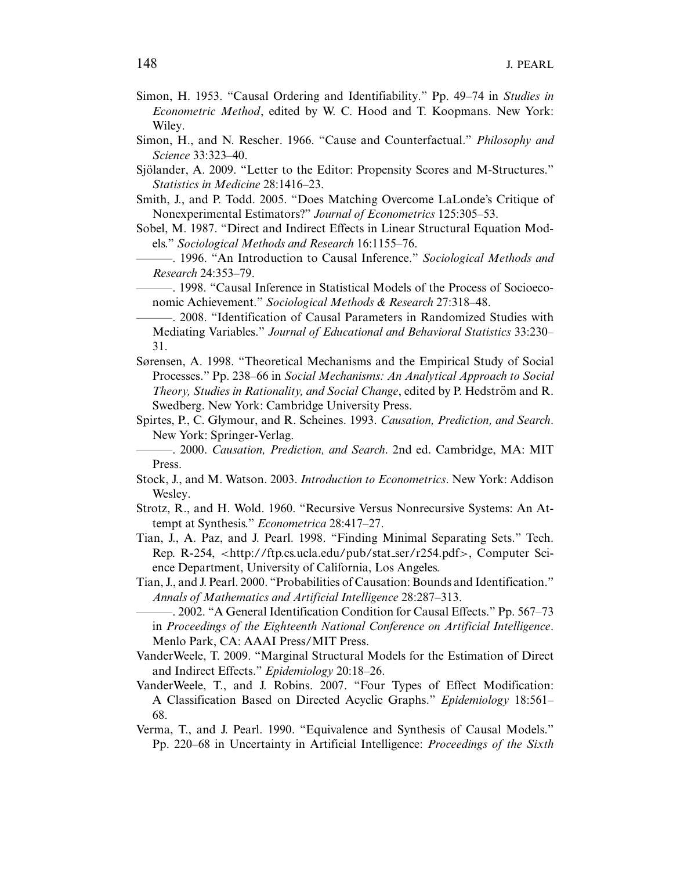- Simon, H. 1953. "Causal Ordering and Identifiability." Pp. 49–74 in *Studies in Econometric Method*, edited by W. C. Hood and T. Koopmans. New York: Wiley.
- Simon, H., and N. Rescher. 1966. "Cause and Counterfactual." *Philosophy and Science* 33:323–40.
- Sjolander, A. 2009. "Letter to the Editor: Propensity Scores and M-Structures." ¨ *Statistics in Medicine* 28:1416–23.
- Smith, J., and P. Todd. 2005. "Does Matching Overcome LaLonde's Critique of Nonexperimental Estimators?" *Journal of Econometrics* 125:305–53.
- Sobel, M. 1987. "Direct and Indirect Effects in Linear Structural Equation Models." *Sociological Methods and Research* 16:1155–76.
- ———. 1996. "An Introduction to Causal Inference." *Sociological Methods and Research* 24:353–79.
- ———. 1998. "Causal Inference in Statistical Models of the Process of Socioeconomic Achievement." *Sociological Methods & Research* 27:318–48.
- ———. 2008. "Identification of Causal Parameters in Randomized Studies with Mediating Variables." *Journal of Educational and Behavioral Statistics* 33:230– 31.
- Sørensen, A. 1998. "Theoretical Mechanisms and the Empirical Study of Social Processes." Pp. 238–66 in *Social Mechanisms: An Analytical Approach to Social Theory, Studies in Rationality, and Social Change*, edited by P. Hedström and R. Swedberg. New York: Cambridge University Press.
- Spirtes, P., C. Glymour, and R. Scheines. 1993. *Causation, Prediction, and Search*. New York: Springer-Verlag.
	- ———. 2000. *Causation, Prediction, and Search*. 2nd ed. Cambridge, MA: MIT Press.
- Stock, J., and M. Watson. 2003. *Introduction to Econometrics*. New York: Addison Wesley.
- Strotz, R., and H. Wold. 1960. "Recursive Versus Nonrecursive Systems: An Attempt at Synthesis." *Econometrica* 28:417–27.
- Tian, J., A. Paz, and J. Pearl. 1998. "Finding Minimal Separating Sets." Tech. Rep. R-254, <http://ftp.cs.ucla.edu/pub/stat ser/r254.pdf>, Computer Science Department, University of California, Los Angeles.
- Tian, J., and J. Pearl. 2000. "Probabilities of Causation: Bounds and Identification." *Annals of Mathematics and Artificial Intelligence* 28:287–313.
	- ———. 2002. "A General Identification Condition for Causal Effects." Pp. 567–73 in *Proceedings of the Eighteenth National Conference on Artificial Intelligence*. Menlo Park, CA: AAAI Press/MIT Press.
- VanderWeele, T. 2009. "Marginal Structural Models for the Estimation of Direct and Indirect Effects." *Epidemiology* 20:18–26.
- VanderWeele, T., and J. Robins. 2007. "Four Types of Effect Modification: A Classification Based on Directed Acyclic Graphs." *Epidemiology* 18:561– 68.
- Verma, T., and J. Pearl. 1990. "Equivalence and Synthesis of Causal Models." Pp. 220–68 in Uncertainty in Artificial Intelligence: *Proceedings of the Sixth*